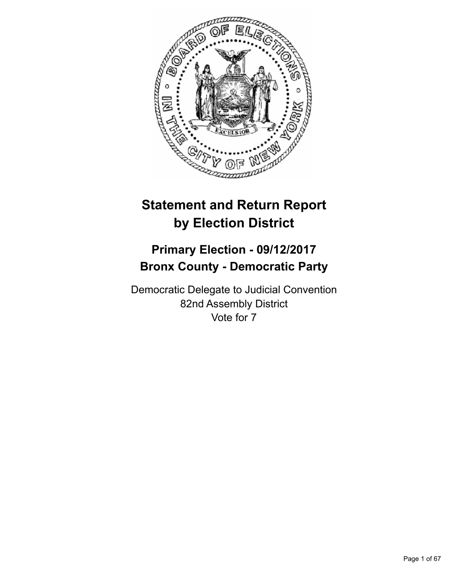

# **Statement and Return Report by Election District**

# **Primary Election - 09/12/2017 Bronx County - Democratic Party**

Democratic Delegate to Judicial Convention 82nd Assembly District Vote for 7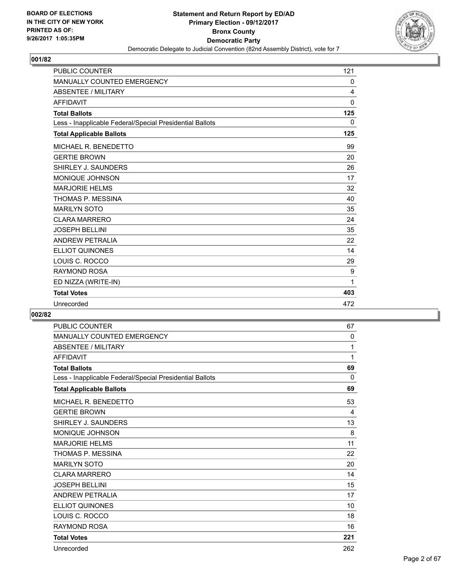

| <b>PUBLIC COUNTER</b>                                    | 121          |
|----------------------------------------------------------|--------------|
| MANUALLY COUNTED EMERGENCY                               | 0            |
| <b>ABSENTEE / MILITARY</b>                               | 4            |
| <b>AFFIDAVIT</b>                                         | $\mathbf{0}$ |
| <b>Total Ballots</b>                                     | 125          |
| Less - Inapplicable Federal/Special Presidential Ballots | $\mathbf{0}$ |
| <b>Total Applicable Ballots</b>                          | 125          |
| MICHAEL R. BENEDETTO                                     | 99           |
| <b>GERTIE BROWN</b>                                      | 20           |
| SHIRLEY J. SAUNDERS                                      | 26           |
| <b>MONIQUE JOHNSON</b>                                   | 17           |
| <b>MARJORIE HELMS</b>                                    | 32           |
| THOMAS P. MESSINA                                        | 40           |
| <b>MARILYN SOTO</b>                                      | 35           |
| <b>CLARA MARRERO</b>                                     | 24           |
| <b>JOSEPH BELLINI</b>                                    | 35           |
| <b>ANDREW PETRALIA</b>                                   | 22           |
| ELLIOT QUINONES                                          | 14           |
| LOUIS C. ROCCO                                           | 29           |
| <b>RAYMOND ROSA</b>                                      | 9            |
| ED NIZZA (WRITE-IN)                                      | 1            |
| <b>Total Votes</b>                                       | 403          |
| Unrecorded                                               | 472          |

| <b>PUBLIC COUNTER</b>                                    | 67  |
|----------------------------------------------------------|-----|
| MANUALLY COUNTED EMERGENCY                               | 0   |
| <b>ABSENTEE / MILITARY</b>                               | 1   |
| <b>AFFIDAVIT</b>                                         | 1   |
| <b>Total Ballots</b>                                     | 69  |
| Less - Inapplicable Federal/Special Presidential Ballots | 0   |
| <b>Total Applicable Ballots</b>                          | 69  |
| MICHAEL R. BENEDETTO                                     | 53  |
| <b>GERTIE BROWN</b>                                      | 4   |
| SHIRLEY J. SAUNDERS                                      | 13  |
| <b>MONIQUE JOHNSON</b>                                   | 8   |
| <b>MARJORIE HELMS</b>                                    | 11  |
| THOMAS P. MESSINA                                        | 22  |
| <b>MARILYN SOTO</b>                                      | 20  |
| <b>CLARA MARRERO</b>                                     | 14  |
| <b>JOSEPH BELLINI</b>                                    | 15  |
| <b>ANDREW PETRALIA</b>                                   | 17  |
| <b>ELLIOT QUINONES</b>                                   | 10  |
| LOUIS C. ROCCO                                           | 18  |
| <b>RAYMOND ROSA</b>                                      | 16  |
| <b>Total Votes</b>                                       | 221 |
| Unrecorded                                               | 262 |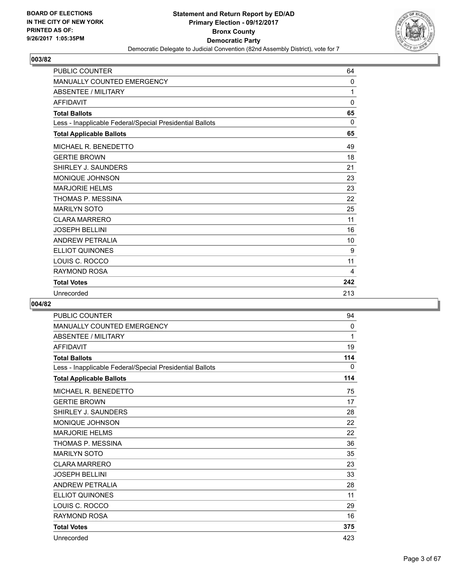

| <b>PUBLIC COUNTER</b>                                    | 64       |
|----------------------------------------------------------|----------|
| <b>MANUALLY COUNTED EMERGENCY</b>                        | 0        |
| <b>ABSENTEE / MILITARY</b>                               | 1        |
| <b>AFFIDAVIT</b>                                         | 0        |
| <b>Total Ballots</b>                                     | 65       |
| Less - Inapplicable Federal/Special Presidential Ballots | $\Omega$ |
| <b>Total Applicable Ballots</b>                          | 65       |
| MICHAEL R. BENEDETTO                                     | 49       |
| <b>GERTIE BROWN</b>                                      | 18       |
| SHIRLEY J. SAUNDERS                                      | 21       |
| <b>MONIQUE JOHNSON</b>                                   | 23       |
| <b>MARJORIE HELMS</b>                                    | 23       |
| THOMAS P. MESSINA                                        | 22       |
| <b>MARILYN SOTO</b>                                      | 25       |
| <b>CLARA MARRERO</b>                                     | 11       |
| <b>JOSEPH BELLINI</b>                                    | 16       |
| <b>ANDREW PETRALIA</b>                                   | 10       |
| <b>ELLIOT QUINONES</b>                                   | 9        |
| LOUIS C. ROCCO                                           | 11       |
| <b>RAYMOND ROSA</b>                                      | 4        |
| <b>Total Votes</b>                                       | 242      |
| Unrecorded                                               | 213      |

| <b>PUBLIC COUNTER</b>                                    | 94  |
|----------------------------------------------------------|-----|
| <b>MANUALLY COUNTED EMERGENCY</b>                        | 0   |
| <b>ABSENTEE / MILITARY</b>                               | 1   |
| <b>AFFIDAVIT</b>                                         | 19  |
| <b>Total Ballots</b>                                     | 114 |
| Less - Inapplicable Federal/Special Presidential Ballots | 0   |
| <b>Total Applicable Ballots</b>                          | 114 |
| MICHAEL R. BENEDETTO                                     | 75  |
| <b>GERTIE BROWN</b>                                      | 17  |
| SHIRLEY J. SAUNDERS                                      | 28  |
| MONIQUE JOHNSON                                          | 22  |
| <b>MARJORIE HELMS</b>                                    | 22  |
| THOMAS P. MESSINA                                        | 36  |
| <b>MARILYN SOTO</b>                                      | 35  |
| <b>CLARA MARRERO</b>                                     | 23  |
| <b>JOSEPH BELLINI</b>                                    | 33  |
| <b>ANDREW PETRALIA</b>                                   | 28  |
| <b>ELLIOT QUINONES</b>                                   | 11  |
| LOUIS C. ROCCO                                           | 29  |
| <b>RAYMOND ROSA</b>                                      | 16  |
| <b>Total Votes</b>                                       | 375 |
| Unrecorded                                               | 423 |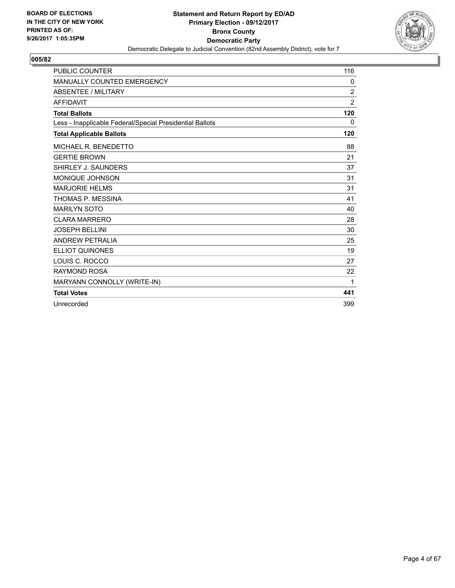

| <b>PUBLIC COUNTER</b>                                    | 116            |
|----------------------------------------------------------|----------------|
| <b>MANUALLY COUNTED EMERGENCY</b>                        | 0              |
| <b>ABSENTEE / MILITARY</b>                               | $\overline{2}$ |
| <b>AFFIDAVIT</b>                                         | 2              |
| <b>Total Ballots</b>                                     | 120            |
| Less - Inapplicable Federal/Special Presidential Ballots | $\Omega$       |
| <b>Total Applicable Ballots</b>                          | 120            |
| MICHAEL R. BENEDETTO                                     | 88             |
| <b>GERTIE BROWN</b>                                      | 21             |
| SHIRLEY J. SAUNDERS                                      | 37             |
| <b>MONIQUE JOHNSON</b>                                   | 31             |
| <b>MARJORIE HELMS</b>                                    | 31             |
| THOMAS P. MESSINA                                        | 41             |
| <b>MARILYN SOTO</b>                                      | 40             |
| <b>CLARA MARRERO</b>                                     | 28             |
| <b>JOSEPH BELLINI</b>                                    | 30             |
| <b>ANDREW PETRALIA</b>                                   | 25             |
| <b>ELLIOT QUINONES</b>                                   | 19             |
| LOUIS C. ROCCO                                           | 27             |
| <b>RAYMOND ROSA</b>                                      | 22             |
| MARYANN CONNOLLY (WRITE-IN)                              | 1              |
| <b>Total Votes</b>                                       | 441            |
| Unrecorded                                               | 399            |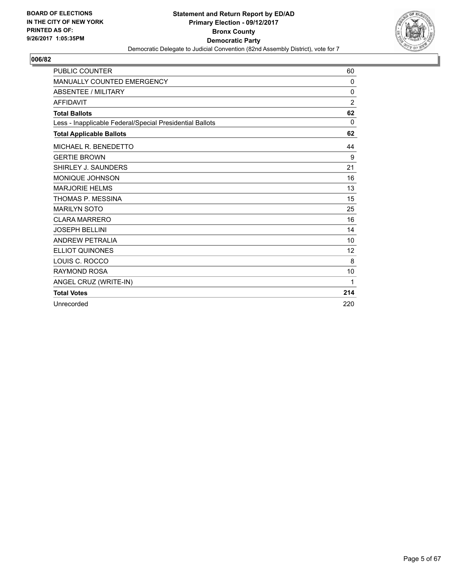

| <b>PUBLIC COUNTER</b>                                    | 60             |
|----------------------------------------------------------|----------------|
| MANUALLY COUNTED EMERGENCY                               | 0              |
| <b>ABSENTEE / MILITARY</b>                               | 0              |
| <b>AFFIDAVIT</b>                                         | $\overline{2}$ |
| <b>Total Ballots</b>                                     | 62             |
| Less - Inapplicable Federal/Special Presidential Ballots | 0              |
| <b>Total Applicable Ballots</b>                          | 62             |
| MICHAEL R. BENEDETTO                                     | 44             |
| <b>GERTIE BROWN</b>                                      | 9              |
| SHIRLEY J. SAUNDERS                                      | 21             |
| <b>MONIQUE JOHNSON</b>                                   | 16             |
| <b>MARJORIE HELMS</b>                                    | 13             |
| THOMAS P. MESSINA                                        | 15             |
| <b>MARILYN SOTO</b>                                      | 25             |
| <b>CLARA MARRERO</b>                                     | 16             |
| <b>JOSEPH BELLINI</b>                                    | 14             |
| <b>ANDREW PETRALIA</b>                                   | 10             |
| <b>ELLIOT QUINONES</b>                                   | 12             |
| LOUIS C. ROCCO                                           | 8              |
| <b>RAYMOND ROSA</b>                                      | 10             |
| ANGEL CRUZ (WRITE-IN)                                    | 1              |
| <b>Total Votes</b>                                       | 214            |
| Unrecorded                                               | 220            |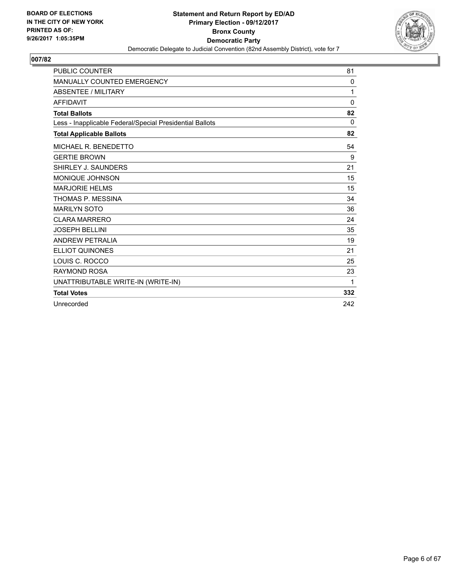

| <b>PUBLIC COUNTER</b>                                    | 81           |
|----------------------------------------------------------|--------------|
| <b>MANUALLY COUNTED EMERGENCY</b>                        | 0            |
| <b>ABSENTEE / MILITARY</b>                               | 1            |
| <b>AFFIDAVIT</b>                                         | $\mathbf{0}$ |
| <b>Total Ballots</b>                                     | 82           |
| Less - Inapplicable Federal/Special Presidential Ballots | 0            |
| <b>Total Applicable Ballots</b>                          | 82           |
| MICHAEL R. BENEDETTO                                     | 54           |
| <b>GERTIE BROWN</b>                                      | 9            |
| SHIRLEY J. SAUNDERS                                      | 21           |
| <b>MONIQUE JOHNSON</b>                                   | 15           |
| <b>MARJORIE HELMS</b>                                    | 15           |
| THOMAS P. MESSINA                                        | 34           |
| <b>MARILYN SOTO</b>                                      | 36           |
| <b>CLARA MARRERO</b>                                     | 24           |
| <b>JOSEPH BELLINI</b>                                    | 35           |
| <b>ANDREW PETRALIA</b>                                   | 19           |
| <b>ELLIOT QUINONES</b>                                   | 21           |
| LOUIS C. ROCCO                                           | 25           |
| <b>RAYMOND ROSA</b>                                      | 23           |
| UNATTRIBUTABLE WRITE-IN (WRITE-IN)                       | 1            |
| <b>Total Votes</b>                                       | 332          |
| Unrecorded                                               | 242          |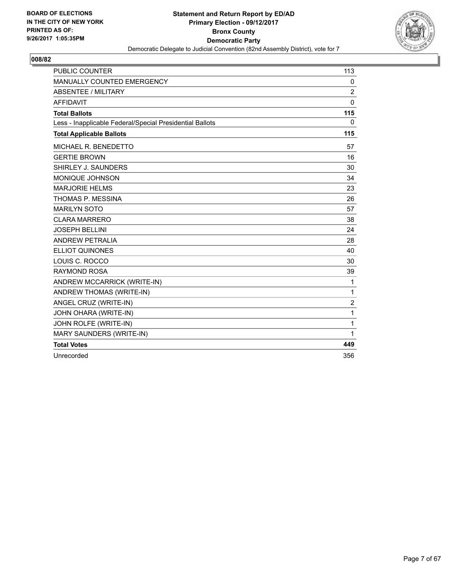

| <b>PUBLIC COUNTER</b>                                    | 113            |
|----------------------------------------------------------|----------------|
| MANUALLY COUNTED EMERGENCY                               | 0              |
| <b>ABSENTEE / MILITARY</b>                               | $\overline{2}$ |
| <b>AFFIDAVIT</b>                                         | $\mathbf{0}$   |
| <b>Total Ballots</b>                                     | 115            |
| Less - Inapplicable Federal/Special Presidential Ballots | $\mathbf{0}$   |
| <b>Total Applicable Ballots</b>                          | 115            |
| MICHAEL R. BENEDETTO                                     | 57             |
| <b>GERTIE BROWN</b>                                      | 16             |
| SHIRLEY J. SAUNDERS                                      | 30             |
| <b>MONIQUE JOHNSON</b>                                   | 34             |
| <b>MARJORIE HELMS</b>                                    | 23             |
| THOMAS P. MESSINA                                        | 26             |
| <b>MARILYN SOTO</b>                                      | 57             |
| <b>CLARA MARRERO</b>                                     | 38             |
| <b>JOSEPH BELLINI</b>                                    | 24             |
| <b>ANDREW PETRALIA</b>                                   | 28             |
| <b>ELLIOT QUINONES</b>                                   | 40             |
| LOUIS C. ROCCO                                           | 30             |
| <b>RAYMOND ROSA</b>                                      | 39             |
| ANDREW MCCARRICK (WRITE-IN)                              | $\mathbf{1}$   |
| ANDREW THOMAS (WRITE-IN)                                 | $\mathbf 1$    |
| ANGEL CRUZ (WRITE-IN)                                    | $\overline{c}$ |
| JOHN OHARA (WRITE-IN)                                    | 1              |
| JOHN ROLFE (WRITE-IN)                                    | $\mathbf{1}$   |
| MARY SAUNDERS (WRITE-IN)                                 | 1              |
| <b>Total Votes</b>                                       | 449            |
| Unrecorded                                               | 356            |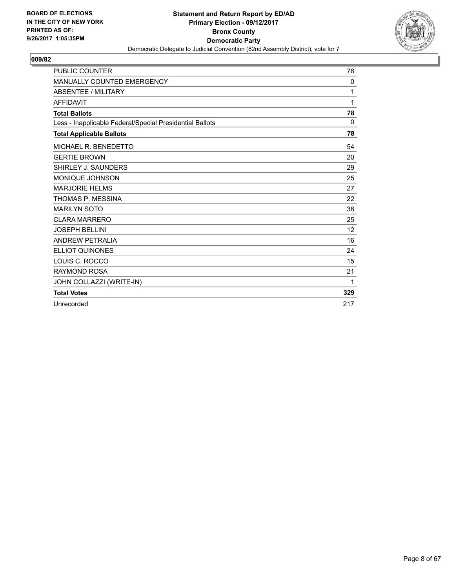

| <b>PUBLIC COUNTER</b>                                    | 76  |
|----------------------------------------------------------|-----|
| MANUALLY COUNTED EMERGENCY                               | 0   |
| <b>ABSENTEE / MILITARY</b>                               | 1   |
| <b>AFFIDAVIT</b>                                         | 1   |
| <b>Total Ballots</b>                                     | 78  |
| Less - Inapplicable Federal/Special Presidential Ballots | 0   |
| <b>Total Applicable Ballots</b>                          | 78  |
| MICHAEL R. BENEDETTO                                     | 54  |
| <b>GERTIE BROWN</b>                                      | 20  |
| SHIRLEY J. SAUNDERS                                      | 29  |
| <b>MONIQUE JOHNSON</b>                                   | 25  |
| <b>MARJORIE HELMS</b>                                    | 27  |
| THOMAS P. MESSINA                                        | 22  |
| <b>MARILYN SOTO</b>                                      | 38  |
| <b>CLARA MARRERO</b>                                     | 25  |
| <b>JOSEPH BELLINI</b>                                    | 12  |
| <b>ANDREW PETRALIA</b>                                   | 16  |
| <b>ELLIOT QUINONES</b>                                   | 24  |
| LOUIS C. ROCCO                                           | 15  |
| <b>RAYMOND ROSA</b>                                      | 21  |
| JOHN COLLAZZI (WRITE-IN)                                 | 1   |
| <b>Total Votes</b>                                       | 329 |
| Unrecorded                                               | 217 |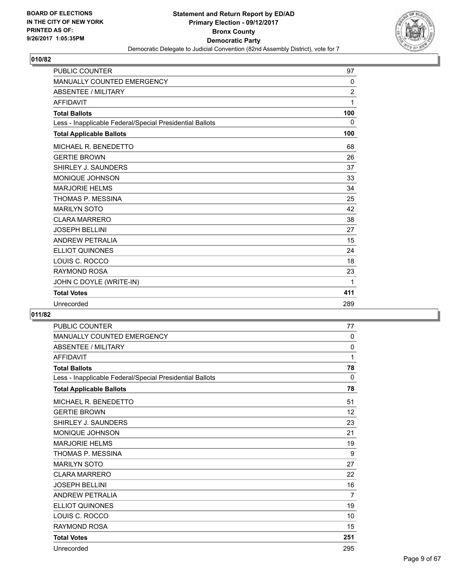

| <b>PUBLIC COUNTER</b>                                    | 97             |
|----------------------------------------------------------|----------------|
| <b>MANUALLY COUNTED EMERGENCY</b>                        | 0              |
| <b>ABSENTEE / MILITARY</b>                               | $\overline{2}$ |
| <b>AFFIDAVIT</b>                                         | 1              |
| <b>Total Ballots</b>                                     | 100            |
| Less - Inapplicable Federal/Special Presidential Ballots | 0              |
| <b>Total Applicable Ballots</b>                          | 100            |
| MICHAEL R. BENEDETTO                                     | 68             |
| <b>GERTIE BROWN</b>                                      | 26             |
| SHIRLEY J. SAUNDERS                                      | 37             |
| <b>MONIQUE JOHNSON</b>                                   | 33             |
| <b>MARJORIE HELMS</b>                                    | 34             |
| THOMAS P. MESSINA                                        | 25             |
| <b>MARILYN SOTO</b>                                      | 42             |
| <b>CLARA MARRERO</b>                                     | 38             |
| <b>JOSEPH BELLINI</b>                                    | 27             |
| <b>ANDREW PETRALIA</b>                                   | 15             |
| <b>ELLIOT QUINONES</b>                                   | 24             |
| LOUIS C. ROCCO                                           | 18             |
| <b>RAYMOND ROSA</b>                                      | 23             |
| JOHN C DOYLE (WRITE-IN)                                  | 1              |
| <b>Total Votes</b>                                       | 411            |
| Unrecorded                                               | 289            |

| <b>PUBLIC COUNTER</b>                                    | 77             |
|----------------------------------------------------------|----------------|
| <b>MANUALLY COUNTED EMERGENCY</b>                        | $\mathbf{0}$   |
| <b>ABSENTEE / MILITARY</b>                               | 0              |
| <b>AFFIDAVIT</b>                                         | 1              |
| <b>Total Ballots</b>                                     | 78             |
| Less - Inapplicable Federal/Special Presidential Ballots | 0              |
| <b>Total Applicable Ballots</b>                          | 78             |
| MICHAEL R. BENEDETTO                                     | 51             |
| <b>GERTIE BROWN</b>                                      | 12             |
| SHIRLEY J. SAUNDERS                                      | 23             |
| <b>MONIQUE JOHNSON</b>                                   | 21             |
| <b>MARJORIE HELMS</b>                                    | 19             |
| THOMAS P. MESSINA                                        | 9              |
| <b>MARILYN SOTO</b>                                      | 27             |
| <b>CLARA MARRERO</b>                                     | 22             |
| <b>JOSEPH BELLINI</b>                                    | 16             |
| ANDREW PETRALIA                                          | $\overline{7}$ |
| <b>ELLIOT QUINONES</b>                                   | 19             |
| LOUIS C. ROCCO                                           | 10             |
| <b>RAYMOND ROSA</b>                                      | 15             |
| <b>Total Votes</b>                                       | 251            |
| Unrecorded                                               | 295            |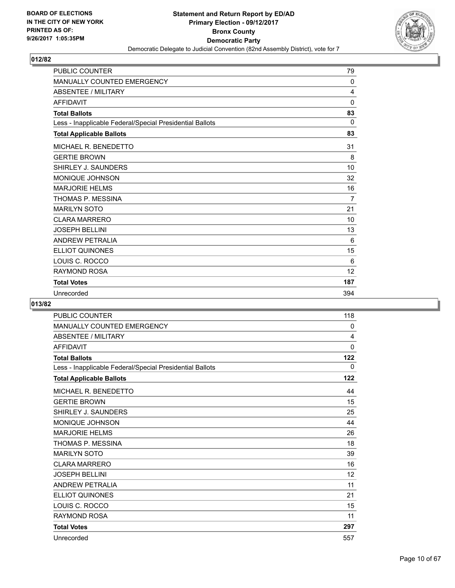

| <b>PUBLIC COUNTER</b>                                    | 79           |
|----------------------------------------------------------|--------------|
| <b>MANUALLY COUNTED EMERGENCY</b>                        | $\mathbf{0}$ |
| <b>ABSENTEE / MILITARY</b>                               | 4            |
| <b>AFFIDAVIT</b>                                         | $\mathbf{0}$ |
| <b>Total Ballots</b>                                     | 83           |
| Less - Inapplicable Federal/Special Presidential Ballots | 0            |
| <b>Total Applicable Ballots</b>                          | 83           |
| MICHAEL R. BENEDETTO                                     | 31           |
| <b>GERTIE BROWN</b>                                      | 8            |
| SHIRLEY J. SAUNDERS                                      | 10           |
| <b>MONIQUE JOHNSON</b>                                   | 32           |
| <b>MARJORIE HELMS</b>                                    | 16           |
| THOMAS P. MESSINA                                        | 7            |
| <b>MARILYN SOTO</b>                                      | 21           |
| <b>CLARA MARRERO</b>                                     | 10           |
| <b>JOSEPH BELLINI</b>                                    | 13           |
| <b>ANDREW PETRALIA</b>                                   | 6            |
| <b>ELLIOT QUINONES</b>                                   | 15           |
| LOUIS C. ROCCO                                           | 6            |
| <b>RAYMOND ROSA</b>                                      | 12           |
| <b>Total Votes</b>                                       | 187          |
| Unrecorded                                               | 394          |

| <b>PUBLIC COUNTER</b>                                    | 118         |
|----------------------------------------------------------|-------------|
| <b>MANUALLY COUNTED EMERGENCY</b>                        | 0           |
| <b>ABSENTEE / MILITARY</b>                               | 4           |
| <b>AFFIDAVIT</b>                                         | $\mathbf 0$ |
| <b>Total Ballots</b>                                     | 122         |
| Less - Inapplicable Federal/Special Presidential Ballots | 0           |
| <b>Total Applicable Ballots</b>                          | 122         |
| MICHAEL R. BENEDETTO                                     | 44          |
| <b>GERTIE BROWN</b>                                      | 15          |
| SHIRLEY J. SAUNDERS                                      | 25          |
| MONIQUE JOHNSON                                          | 44          |
| <b>MARJORIE HELMS</b>                                    | 26          |
| THOMAS P. MESSINA                                        | 18          |
| <b>MARILYN SOTO</b>                                      | 39          |
| <b>CLARA MARRERO</b>                                     | 16          |
| <b>JOSEPH BELLINI</b>                                    | 12          |
| <b>ANDREW PETRALIA</b>                                   | 11          |
| <b>ELLIOT QUINONES</b>                                   | 21          |
| LOUIS C. ROCCO                                           | 15          |
| <b>RAYMOND ROSA</b>                                      | 11          |
| <b>Total Votes</b>                                       | 297         |
| Unrecorded                                               | 557         |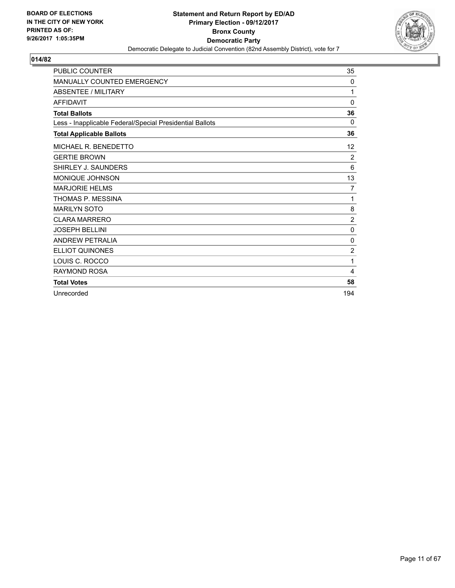

| <b>PUBLIC COUNTER</b>                                    | 35             |
|----------------------------------------------------------|----------------|
| MANUALLY COUNTED EMERGENCY                               | 0              |
| <b>ABSENTEE / MILITARY</b>                               | 1              |
| <b>AFFIDAVIT</b>                                         | 0              |
| <b>Total Ballots</b>                                     | 36             |
| Less - Inapplicable Federal/Special Presidential Ballots | 0              |
| <b>Total Applicable Ballots</b>                          | 36             |
| MICHAEL R. BENEDETTO                                     | 12             |
| <b>GERTIE BROWN</b>                                      | $\overline{2}$ |
| SHIRLEY J. SAUNDERS                                      | 6              |
| <b>MONIQUE JOHNSON</b>                                   | 13             |
| <b>MARJORIE HELMS</b>                                    | 7              |
| THOMAS P. MESSINA                                        | 1              |
| <b>MARILYN SOTO</b>                                      | 8              |
| <b>CLARA MARRERO</b>                                     | $\overline{2}$ |
| <b>JOSEPH BELLINI</b>                                    | 0              |
| <b>ANDREW PETRALIA</b>                                   | 0              |
| <b>ELLIOT QUINONES</b>                                   | $\overline{2}$ |
| LOUIS C. ROCCO                                           | 1              |
| <b>RAYMOND ROSA</b>                                      | 4              |
| <b>Total Votes</b>                                       | 58             |
| Unrecorded                                               | 194            |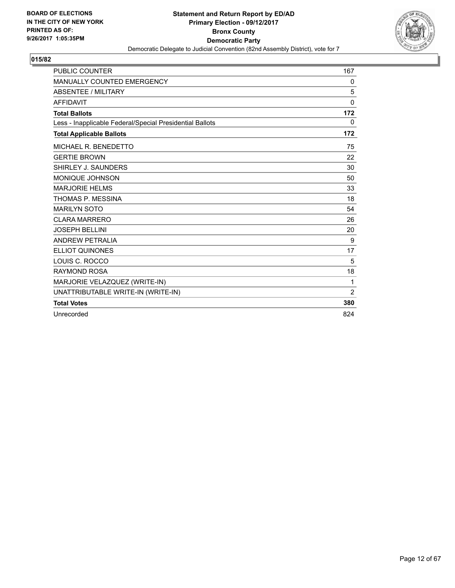

| <b>PUBLIC COUNTER</b>                                    | 167      |
|----------------------------------------------------------|----------|
| MANUALLY COUNTED EMERGENCY                               | 0        |
| <b>ABSENTEE / MILITARY</b>                               | 5        |
| <b>AFFIDAVIT</b>                                         | $\Omega$ |
| <b>Total Ballots</b>                                     | 172      |
| Less - Inapplicable Federal/Special Presidential Ballots | 0        |
| <b>Total Applicable Ballots</b>                          | 172      |
| MICHAEL R. BENEDETTO                                     | 75       |
| <b>GERTIE BROWN</b>                                      | 22       |
| SHIRLEY J. SAUNDERS                                      | 30       |
| MONIQUE JOHNSON                                          | 50       |
| <b>MARJORIE HELMS</b>                                    | 33       |
| THOMAS P. MESSINA                                        | 18       |
| <b>MARILYN SOTO</b>                                      | 54       |
| <b>CLARA MARRERO</b>                                     | 26       |
| <b>JOSEPH BELLINI</b>                                    | 20       |
| <b>ANDREW PETRALIA</b>                                   | 9        |
| <b>ELLIOT QUINONES</b>                                   | 17       |
| LOUIS C. ROCCO                                           | 5        |
| <b>RAYMOND ROSA</b>                                      | 18       |
| MARJORIE VELAZQUEZ (WRITE-IN)                            | 1        |
| UNATTRIBUTABLE WRITE-IN (WRITE-IN)                       | 2        |
| <b>Total Votes</b>                                       | 380      |
| Unrecorded                                               | 824      |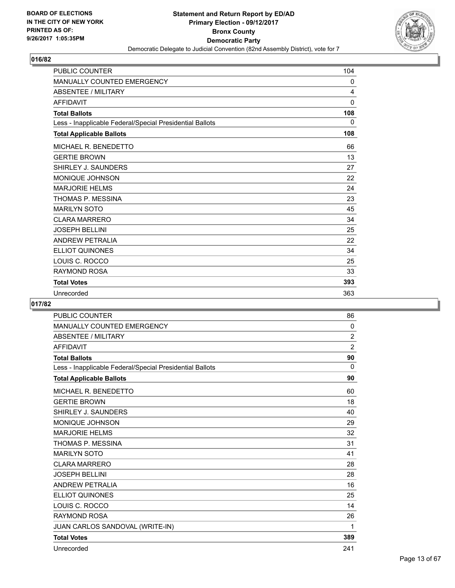

| <b>PUBLIC COUNTER</b>                                    | 104          |
|----------------------------------------------------------|--------------|
| <b>MANUALLY COUNTED EMERGENCY</b>                        | 0            |
| <b>ABSENTEE / MILITARY</b>                               | 4            |
| <b>AFFIDAVIT</b>                                         | $\mathbf{0}$ |
| <b>Total Ballots</b>                                     | 108          |
| Less - Inapplicable Federal/Special Presidential Ballots | 0            |
| <b>Total Applicable Ballots</b>                          | 108          |
| MICHAEL R. BENEDETTO                                     | 66           |
| <b>GERTIE BROWN</b>                                      | 13           |
| SHIRLEY J. SAUNDERS                                      | 27           |
| MONIQUE JOHNSON                                          | 22           |
| <b>MARJORIE HELMS</b>                                    | 24           |
| THOMAS P. MESSINA                                        | 23           |
| <b>MARILYN SOTO</b>                                      | 45           |
| <b>CLARA MARRERO</b>                                     | 34           |
| <b>JOSEPH BELLINI</b>                                    | 25           |
| <b>ANDREW PETRALIA</b>                                   | 22           |
| ELLIOT QUINONES                                          | 34           |
| LOUIS C. ROCCO                                           | 25           |
| <b>RAYMOND ROSA</b>                                      | 33           |
| <b>Total Votes</b>                                       | 393          |
| Unrecorded                                               | 363          |

| <b>PUBLIC COUNTER</b>                                    | 86             |
|----------------------------------------------------------|----------------|
| MANUALLY COUNTED EMERGENCY                               | 0              |
| <b>ABSENTEE / MILITARY</b>                               | $\overline{2}$ |
| <b>AFFIDAVIT</b>                                         | $\overline{2}$ |
| <b>Total Ballots</b>                                     | 90             |
| Less - Inapplicable Federal/Special Presidential Ballots | 0              |
| <b>Total Applicable Ballots</b>                          | 90             |
| MICHAEL R. BENEDETTO                                     | 60             |
| <b>GERTIE BROWN</b>                                      | 18             |
| SHIRLEY J. SAUNDERS                                      | 40             |
| <b>MONIQUE JOHNSON</b>                                   | 29             |
| <b>MARJORIE HELMS</b>                                    | 32             |
| THOMAS P. MESSINA                                        | 31             |
| <b>MARILYN SOTO</b>                                      | 41             |
| <b>CLARA MARRERO</b>                                     | 28             |
| <b>JOSEPH BELLINI</b>                                    | 28             |
| <b>ANDREW PETRALIA</b>                                   | 16             |
| <b>ELLIOT QUINONES</b>                                   | 25             |
| LOUIS C. ROCCO                                           | 14             |
| <b>RAYMOND ROSA</b>                                      | 26             |
| JUAN CARLOS SANDOVAL (WRITE-IN)                          | 1              |
| <b>Total Votes</b>                                       | 389            |
| Unrecorded                                               | 241            |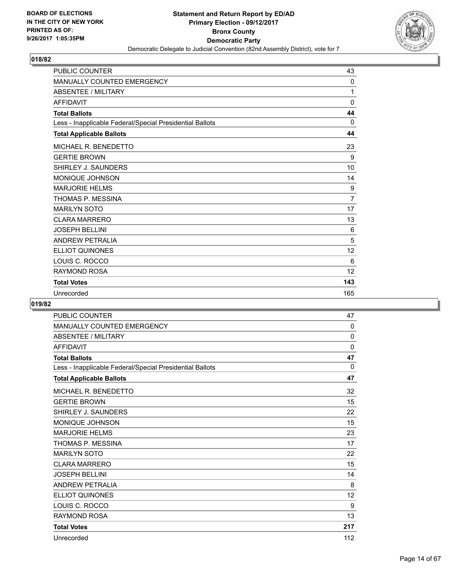

| <b>PUBLIC COUNTER</b>                                    | 43           |
|----------------------------------------------------------|--------------|
| <b>MANUALLY COUNTED EMERGENCY</b>                        | $\mathbf{0}$ |
| <b>ABSENTEE / MILITARY</b>                               | 1            |
| <b>AFFIDAVIT</b>                                         | $\mathbf{0}$ |
| <b>Total Ballots</b>                                     | 44           |
| Less - Inapplicable Federal/Special Presidential Ballots | 0            |
| <b>Total Applicable Ballots</b>                          | 44           |
| MICHAEL R. BENEDETTO                                     | 23           |
| <b>GERTIE BROWN</b>                                      | 9            |
| SHIRLEY J. SAUNDERS                                      | 10           |
| MONIQUE JOHNSON                                          | 14           |
| <b>MARJORIE HELMS</b>                                    | 9            |
| THOMAS P. MESSINA                                        | 7            |
| <b>MARILYN SOTO</b>                                      | 17           |
| <b>CLARA MARRERO</b>                                     | 13           |
| <b>JOSEPH BELLINI</b>                                    | 6            |
| <b>ANDREW PETRALIA</b>                                   | 5            |
| <b>ELLIOT QUINONES</b>                                   | 12           |
| LOUIS C. ROCCO                                           | 6            |
| <b>RAYMOND ROSA</b>                                      | 12           |
| <b>Total Votes</b>                                       | 143          |
| Unrecorded                                               | 165          |

| <b>PUBLIC COUNTER</b>                                    | 47           |
|----------------------------------------------------------|--------------|
| <b>MANUALLY COUNTED EMERGENCY</b>                        | $\mathbf{0}$ |
| <b>ABSENTEE / MILITARY</b>                               | 0            |
| <b>AFFIDAVIT</b>                                         | $\mathbf 0$  |
| <b>Total Ballots</b>                                     | 47           |
| Less - Inapplicable Federal/Special Presidential Ballots | 0            |
| <b>Total Applicable Ballots</b>                          | 47           |
| MICHAEL R. BENEDETTO                                     | 32           |
| <b>GERTIE BROWN</b>                                      | 15           |
| SHIRLEY J. SAUNDERS                                      | 22           |
| MONIQUE JOHNSON                                          | 15           |
| <b>MARJORIE HELMS</b>                                    | 23           |
| THOMAS P. MESSINA                                        | 17           |
| <b>MARILYN SOTO</b>                                      | 22           |
| <b>CLARA MARRERO</b>                                     | 15           |
| <b>JOSEPH BELLINI</b>                                    | 14           |
| <b>ANDREW PETRALIA</b>                                   | 8            |
| <b>ELLIOT QUINONES</b>                                   | 12           |
| LOUIS C. ROCCO                                           | 9            |
| <b>RAYMOND ROSA</b>                                      | 13           |
| <b>Total Votes</b>                                       | 217          |
| Unrecorded                                               | 112          |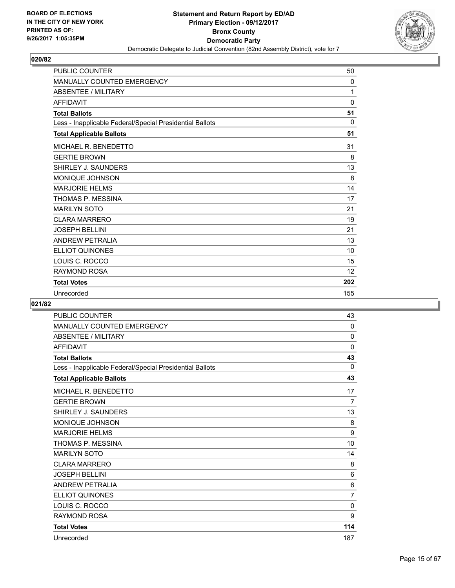

| <b>PUBLIC COUNTER</b>                                    | 50           |
|----------------------------------------------------------|--------------|
| <b>MANUALLY COUNTED EMERGENCY</b>                        | $\mathbf{0}$ |
| <b>ABSENTEE / MILITARY</b>                               | 1            |
| <b>AFFIDAVIT</b>                                         | $\mathbf{0}$ |
| <b>Total Ballots</b>                                     | 51           |
| Less - Inapplicable Federal/Special Presidential Ballots | $\mathbf{0}$ |
| <b>Total Applicable Ballots</b>                          | 51           |
| MICHAEL R. BENEDETTO                                     | 31           |
| <b>GERTIE BROWN</b>                                      | 8            |
| SHIRLEY J. SAUNDERS                                      | 13           |
| MONIQUE JOHNSON                                          | 8            |
| <b>MARJORIE HELMS</b>                                    | 14           |
| THOMAS P. MESSINA                                        | 17           |
| <b>MARILYN SOTO</b>                                      | 21           |
| <b>CLARA MARRERO</b>                                     | 19           |
| <b>JOSEPH BELLINI</b>                                    | 21           |
| <b>ANDREW PETRALIA</b>                                   | 13           |
| <b>ELLIOT QUINONES</b>                                   | 10           |
| LOUIS C. ROCCO                                           | 15           |
| <b>RAYMOND ROSA</b>                                      | 12           |
| <b>Total Votes</b>                                       | 202          |
| Unrecorded                                               | 155          |

| <b>PUBLIC COUNTER</b>                                    | 43             |
|----------------------------------------------------------|----------------|
| <b>MANUALLY COUNTED EMERGENCY</b>                        | 0              |
| <b>ABSENTEE / MILITARY</b>                               | 0              |
| <b>AFFIDAVIT</b>                                         | 0              |
| <b>Total Ballots</b>                                     | 43             |
| Less - Inapplicable Federal/Special Presidential Ballots | 0              |
| <b>Total Applicable Ballots</b>                          | 43             |
| MICHAEL R. BENEDETTO                                     | 17             |
| <b>GERTIE BROWN</b>                                      | $\overline{7}$ |
| SHIRLEY J. SAUNDERS                                      | 13             |
| MONIQUE JOHNSON                                          | 8              |
| <b>MARJORIE HELMS</b>                                    | 9              |
| THOMAS P. MESSINA                                        | 10             |
| <b>MARILYN SOTO</b>                                      | 14             |
| <b>CLARA MARRERO</b>                                     | 8              |
| <b>JOSEPH BELLINI</b>                                    | 6              |
| <b>ANDREW PETRALIA</b>                                   | 6              |
| <b>ELLIOT QUINONES</b>                                   | $\overline{7}$ |
| LOUIS C. ROCCO                                           | 0              |
| <b>RAYMOND ROSA</b>                                      | 9              |
| <b>Total Votes</b>                                       | 114            |
| Unrecorded                                               | 187            |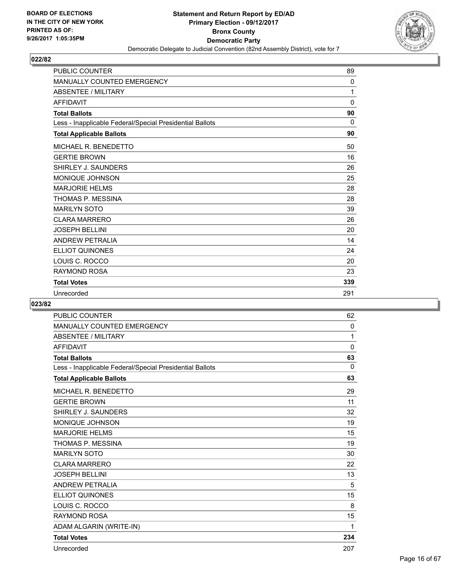

| <b>PUBLIC COUNTER</b>                                    | 89       |
|----------------------------------------------------------|----------|
| <b>MANUALLY COUNTED EMERGENCY</b>                        | 0        |
| <b>ABSENTEE / MILITARY</b>                               | 1        |
| <b>AFFIDAVIT</b>                                         | 0        |
| <b>Total Ballots</b>                                     | 90       |
| Less - Inapplicable Federal/Special Presidential Ballots | $\Omega$ |
| <b>Total Applicable Ballots</b>                          | 90       |
| MICHAEL R. BENEDETTO                                     | 50       |
| <b>GERTIE BROWN</b>                                      | 16       |
| SHIRLEY J. SAUNDERS                                      | 26       |
| <b>MONIQUE JOHNSON</b>                                   | 25       |
| <b>MARJORIE HELMS</b>                                    | 28       |
| THOMAS P. MESSINA                                        | 28       |
| <b>MARILYN SOTO</b>                                      | 39       |
| <b>CLARA MARRERO</b>                                     | 26       |
| <b>JOSEPH BELLINI</b>                                    | 20       |
| <b>ANDREW PETRALIA</b>                                   | 14       |
| <b>ELLIOT QUINONES</b>                                   | 24       |
| LOUIS C. ROCCO                                           | 20       |
| <b>RAYMOND ROSA</b>                                      | 23       |
| <b>Total Votes</b>                                       | 339      |
| Unrecorded                                               | 291      |

| <b>PUBLIC COUNTER</b>                                    | 62           |
|----------------------------------------------------------|--------------|
| MANUALLY COUNTED EMERGENCY                               | 0            |
| <b>ABSENTEE / MILITARY</b>                               | 1            |
| <b>AFFIDAVIT</b>                                         | $\mathbf{0}$ |
| <b>Total Ballots</b>                                     | 63           |
| Less - Inapplicable Federal/Special Presidential Ballots | $\Omega$     |
| <b>Total Applicable Ballots</b>                          | 63           |
| MICHAEL R. BENEDETTO                                     | 29           |
| <b>GERTIE BROWN</b>                                      | 11           |
| SHIRLEY J. SAUNDERS                                      | 32           |
| <b>MONIQUE JOHNSON</b>                                   | 19           |
| <b>MARJORIE HELMS</b>                                    | 15           |
| THOMAS P. MESSINA                                        | 19           |
| <b>MARILYN SOTO</b>                                      | 30           |
| <b>CLARA MARRERO</b>                                     | 22           |
| <b>JOSEPH BELLINI</b>                                    | 13           |
| <b>ANDREW PETRALIA</b>                                   | 5            |
| <b>ELLIOT QUINONES</b>                                   | 15           |
| LOUIS C. ROCCO                                           | 8            |
| <b>RAYMOND ROSA</b>                                      | 15           |
| ADAM ALGARIN (WRITE-IN)                                  | 1            |
| <b>Total Votes</b>                                       | 234          |
| Unrecorded                                               | 207          |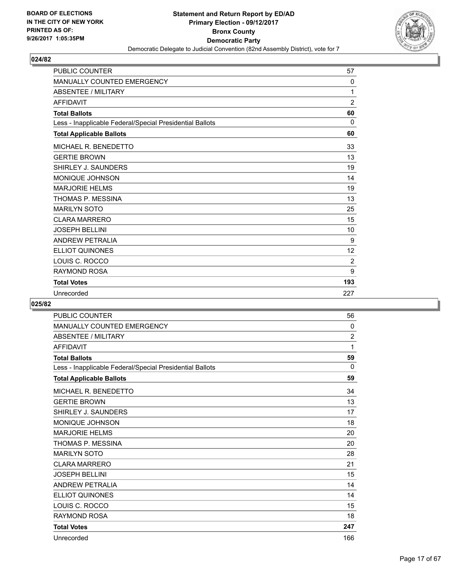

| <b>PUBLIC COUNTER</b>                                    | 57             |
|----------------------------------------------------------|----------------|
| MANUALLY COUNTED EMERGENCY                               | $\mathbf{0}$   |
| <b>ABSENTEE / MILITARY</b>                               | 1              |
| <b>AFFIDAVIT</b>                                         | $\overline{2}$ |
| <b>Total Ballots</b>                                     | 60             |
| Less - Inapplicable Federal/Special Presidential Ballots | $\Omega$       |
| <b>Total Applicable Ballots</b>                          | 60             |
| MICHAEL R. BENEDETTO                                     | 33             |
| <b>GERTIE BROWN</b>                                      | 13             |
| SHIRLEY J. SAUNDERS                                      | 19             |
| <b>MONIQUE JOHNSON</b>                                   | 14             |
| <b>MARJORIE HELMS</b>                                    | 19             |
| THOMAS P. MESSINA                                        | 13             |
| <b>MARILYN SOTO</b>                                      | 25             |
| <b>CLARA MARRERO</b>                                     | 15             |
| <b>JOSEPH BELLINI</b>                                    | 10             |
| <b>ANDREW PETRALIA</b>                                   | 9              |
| <b>ELLIOT QUINONES</b>                                   | 12             |
| LOUIS C. ROCCO                                           | 2              |
| <b>RAYMOND ROSA</b>                                      | 9              |
| <b>Total Votes</b>                                       | 193            |
| Unrecorded                                               | 227            |

| <b>PUBLIC COUNTER</b>                                    | 56             |
|----------------------------------------------------------|----------------|
| MANUALLY COUNTED EMERGENCY                               | 0              |
| <b>ABSENTEE / MILITARY</b>                               | $\overline{2}$ |
| <b>AFFIDAVIT</b>                                         | 1              |
| <b>Total Ballots</b>                                     | 59             |
| Less - Inapplicable Federal/Special Presidential Ballots | 0              |
| <b>Total Applicable Ballots</b>                          | 59             |
| MICHAEL R. BENEDETTO                                     | 34             |
| <b>GERTIE BROWN</b>                                      | 13             |
| SHIRLEY J. SAUNDERS                                      | 17             |
| <b>MONIQUE JOHNSON</b>                                   | 18             |
| <b>MARJORIE HELMS</b>                                    | 20             |
| THOMAS P. MESSINA                                        | 20             |
| <b>MARILYN SOTO</b>                                      | 28             |
| <b>CLARA MARRERO</b>                                     | 21             |
| <b>JOSEPH BELLINI</b>                                    | 15             |
| <b>ANDREW PETRALIA</b>                                   | 14             |
| <b>ELLIOT QUINONES</b>                                   | 14             |
| LOUIS C. ROCCO                                           | 15             |
| <b>RAYMOND ROSA</b>                                      | 18             |
| <b>Total Votes</b>                                       | 247            |
| Unrecorded                                               | 166            |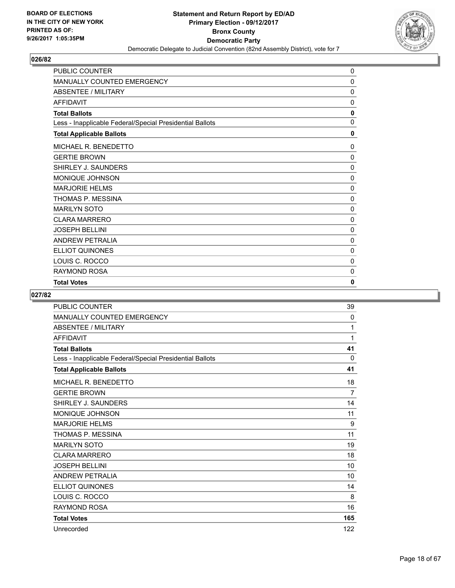

| PUBLIC COUNTER                                           | 0            |
|----------------------------------------------------------|--------------|
| <b>MANUALLY COUNTED EMERGENCY</b>                        | 0            |
| <b>ABSENTEE / MILITARY</b>                               | 0            |
| <b>AFFIDAVIT</b>                                         | $\mathbf 0$  |
| <b>Total Ballots</b>                                     | 0            |
| Less - Inapplicable Federal/Special Presidential Ballots | $\mathbf{0}$ |
| <b>Total Applicable Ballots</b>                          | 0            |
| MICHAEL R. BENEDETTO                                     | 0            |
| <b>GERTIE BROWN</b>                                      | 0            |
| SHIRLEY J. SAUNDERS                                      | 0            |
| <b>MONIQUE JOHNSON</b>                                   | $\mathbf{0}$ |
| <b>MARJORIE HELMS</b>                                    | $\Omega$     |
| THOMAS P. MESSINA                                        | $\mathbf{0}$ |
| <b>MARILYN SOTO</b>                                      | 0            |
| <b>CLARA MARRERO</b>                                     | $\mathbf 0$  |
| <b>JOSEPH BELLINI</b>                                    | 0            |
| <b>ANDREW PETRALIA</b>                                   | 0            |
| <b>ELLIOT QUINONES</b>                                   | 0            |
| LOUIS C. ROCCO                                           | $\mathbf{0}$ |
| RAYMOND ROSA                                             | 0            |
| <b>Total Votes</b>                                       | 0            |

| <b>PUBLIC COUNTER</b>                                    | 39             |
|----------------------------------------------------------|----------------|
| <b>MANUALLY COUNTED EMERGENCY</b>                        | $\Omega$       |
| <b>ABSENTEE / MILITARY</b>                               | 1              |
| <b>AFFIDAVIT</b>                                         | 1              |
| <b>Total Ballots</b>                                     | 41             |
| Less - Inapplicable Federal/Special Presidential Ballots | $\Omega$       |
| <b>Total Applicable Ballots</b>                          | 41             |
| MICHAEL R. BENEDETTO                                     | 18             |
| <b>GERTIE BROWN</b>                                      | $\overline{7}$ |
| SHIRLEY J. SAUNDERS                                      | 14             |
| MONIQUE JOHNSON                                          | 11             |
| <b>MARJORIE HELMS</b>                                    | 9              |
| THOMAS P. MESSINA                                        | 11             |
| <b>MARILYN SOTO</b>                                      | 19             |
| <b>CLARA MARRERO</b>                                     | 18             |
| <b>JOSEPH BELLINI</b>                                    | 10             |
| <b>ANDREW PETRALIA</b>                                   | 10             |
| ELLIOT QUINONES                                          | 14             |
| LOUIS C. ROCCO                                           | 8              |
| <b>RAYMOND ROSA</b>                                      | 16             |
| <b>Total Votes</b>                                       | 165            |
| Unrecorded                                               | 122            |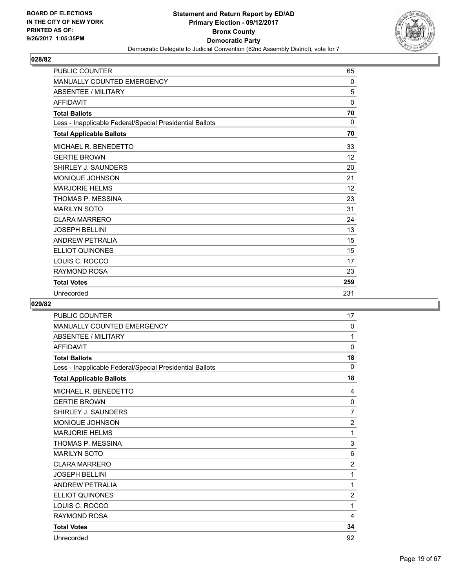

| <b>PUBLIC COUNTER</b>                                    | 65       |
|----------------------------------------------------------|----------|
| <b>MANUALLY COUNTED EMERGENCY</b>                        | $\Omega$ |
| <b>ABSENTEE / MILITARY</b>                               | 5        |
| <b>AFFIDAVIT</b>                                         | 0        |
| <b>Total Ballots</b>                                     | 70       |
| Less - Inapplicable Federal/Special Presidential Ballots | 0        |
| <b>Total Applicable Ballots</b>                          | 70       |
| MICHAEL R. BENEDETTO                                     | 33       |
| <b>GERTIE BROWN</b>                                      | 12       |
| SHIRLEY J. SAUNDERS                                      | 20       |
| MONIQUE JOHNSON                                          | 21       |
| <b>MARJORIE HELMS</b>                                    | 12       |
| THOMAS P. MESSINA                                        | 23       |
| <b>MARILYN SOTO</b>                                      | 31       |
| <b>CLARA MARRERO</b>                                     | 24       |
| <b>JOSEPH BELLINI</b>                                    | 13       |
| <b>ANDREW PETRALIA</b>                                   | 15       |
| <b>ELLIOT QUINONES</b>                                   | 15       |
| LOUIS C. ROCCO                                           | 17       |
| <b>RAYMOND ROSA</b>                                      | 23       |
| <b>Total Votes</b>                                       | 259      |
| Unrecorded                                               | 231      |

| <b>PUBLIC COUNTER</b>                                    | 17             |
|----------------------------------------------------------|----------------|
| <b>MANUALLY COUNTED EMERGENCY</b>                        | $\mathbf{0}$   |
| <b>ABSENTEE / MILITARY</b>                               | 1              |
| <b>AFFIDAVIT</b>                                         | $\mathbf 0$    |
| <b>Total Ballots</b>                                     | 18             |
| Less - Inapplicable Federal/Special Presidential Ballots | $\mathbf{0}$   |
| <b>Total Applicable Ballots</b>                          | 18             |
| MICHAEL R. BENEDETTO                                     | 4              |
| <b>GERTIE BROWN</b>                                      | 0              |
| SHIRLEY J. SAUNDERS                                      | 7              |
| MONIQUE JOHNSON                                          | $\overline{2}$ |
| <b>MARJORIE HELMS</b>                                    | 1              |
| THOMAS P. MESSINA                                        | 3              |
| <b>MARILYN SOTO</b>                                      | 6              |
| <b>CLARA MARRERO</b>                                     | $\overline{2}$ |
| <b>JOSEPH BELLINI</b>                                    | 1              |
| <b>ANDREW PETRALIA</b>                                   | 1              |
| <b>ELLIOT QUINONES</b>                                   | $\overline{2}$ |
| LOUIS C. ROCCO                                           | 1              |
| <b>RAYMOND ROSA</b>                                      | 4              |
| <b>Total Votes</b>                                       | 34             |
| Unrecorded                                               | 92             |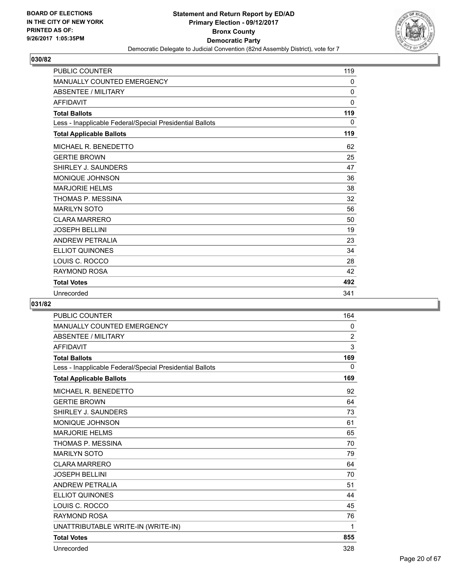

| <b>PUBLIC COUNTER</b>                                    | 119          |
|----------------------------------------------------------|--------------|
| <b>MANUALLY COUNTED EMERGENCY</b>                        | 0            |
| <b>ABSENTEE / MILITARY</b>                               | $\mathbf{0}$ |
| <b>AFFIDAVIT</b>                                         | $\mathbf{0}$ |
| <b>Total Ballots</b>                                     | 119          |
| Less - Inapplicable Federal/Special Presidential Ballots | $\mathbf{0}$ |
| <b>Total Applicable Ballots</b>                          | 119          |
| MICHAEL R. BENEDETTO                                     | 62           |
| <b>GERTIE BROWN</b>                                      | 25           |
| SHIRLEY J. SAUNDERS                                      | 47           |
| <b>MONIQUE JOHNSON</b>                                   | 36           |
| <b>MARJORIE HELMS</b>                                    | 38           |
| THOMAS P. MESSINA                                        | 32           |
| <b>MARILYN SOTO</b>                                      | 56           |
| <b>CLARA MARRERO</b>                                     | 50           |
| <b>JOSEPH BELLINI</b>                                    | 19           |
| <b>ANDREW PETRALIA</b>                                   | 23           |
| <b>ELLIOT QUINONES</b>                                   | 34           |
| LOUIS C. ROCCO                                           | 28           |
| RAYMOND ROSA                                             | 42           |
| <b>Total Votes</b>                                       | 492          |
| Unrecorded                                               | 341          |

| <b>PUBLIC COUNTER</b>                                    | 164            |
|----------------------------------------------------------|----------------|
| <b>MANUALLY COUNTED EMERGENCY</b>                        | 0              |
| <b>ABSENTEE / MILITARY</b>                               | $\overline{2}$ |
| <b>AFFIDAVIT</b>                                         | 3              |
| <b>Total Ballots</b>                                     | 169            |
| Less - Inapplicable Federal/Special Presidential Ballots | 0              |
| <b>Total Applicable Ballots</b>                          | 169            |
| MICHAEL R. BENEDETTO                                     | 92             |
| <b>GERTIE BROWN</b>                                      | 64             |
| SHIRLEY J. SAUNDERS                                      | 73             |
| MONIQUE JOHNSON                                          | 61             |
| <b>MARJORIE HELMS</b>                                    | 65             |
| THOMAS P. MESSINA                                        | 70             |
| <b>MARILYN SOTO</b>                                      | 79             |
| <b>CLARA MARRERO</b>                                     | 64             |
| <b>JOSEPH BELLINI</b>                                    | 70             |
| <b>ANDREW PETRALIA</b>                                   | 51             |
| <b>ELLIOT QUINONES</b>                                   | 44             |
| LOUIS C. ROCCO                                           | 45             |
| <b>RAYMOND ROSA</b>                                      | 76             |
| UNATTRIBUTABLE WRITE-IN (WRITE-IN)                       | 1              |
| <b>Total Votes</b>                                       | 855            |
| Unrecorded                                               | 328            |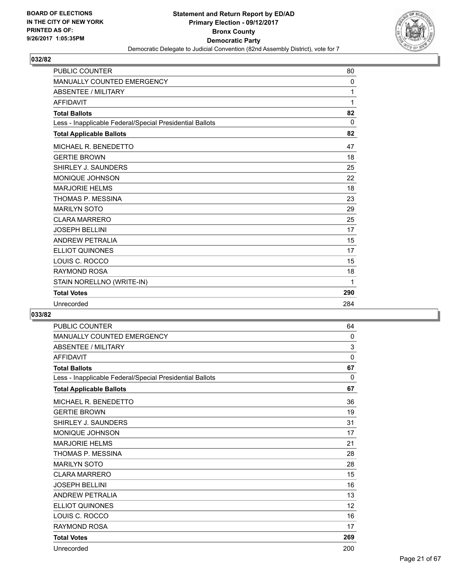

| <b>MANUALLY COUNTED EMERGENCY</b>                        | 0        |
|----------------------------------------------------------|----------|
| <b>ABSENTEE / MILITARY</b>                               | 1        |
| <b>AFFIDAVIT</b>                                         | 1        |
| <b>Total Ballots</b>                                     | 82       |
| Less - Inapplicable Federal/Special Presidential Ballots | $\Omega$ |
| <b>Total Applicable Ballots</b>                          | 82       |
| <b>MICHAEL R. BENEDETTO</b>                              | 47       |
| <b>GERTIE BROWN</b>                                      | 18       |
| SHIRLEY J. SAUNDERS                                      | 25       |
| <b>MONIQUE JOHNSON</b>                                   | 22       |
| <b>MARJORIE HELMS</b>                                    | 18       |
| THOMAS P. MESSINA                                        | 23       |
| <b>MARILYN SOTO</b>                                      | 29       |
| CI ARA MARRERO                                           | 25       |
| <b>JOSEPH BELLINI</b>                                    | 17       |
| <b>ANDREW PETRALIA</b>                                   | 15       |
| <b>ELLIOT QUINONES</b>                                   | 17       |
| LOUIS C. ROCCO                                           | 15       |
| <b>RAYMOND ROSA</b>                                      | 18       |
| STAIN NORELLNO (WRITE-IN)                                | 1        |
| <b>Total Votes</b>                                       | 290      |
| Unrecorded                                               | 284      |

| <b>PUBLIC COUNTER</b>                                    | 64           |
|----------------------------------------------------------|--------------|
| <b>MANUALLY COUNTED EMERGENCY</b>                        | 0            |
| <b>ABSENTEE / MILITARY</b>                               | 3            |
| <b>AFFIDAVIT</b>                                         | $\mathbf{0}$ |
| <b>Total Ballots</b>                                     | 67           |
| Less - Inapplicable Federal/Special Presidential Ballots | $\Omega$     |
| <b>Total Applicable Ballots</b>                          | 67           |
| MICHAEL R. BENEDETTO                                     | 36           |
| <b>GERTIE BROWN</b>                                      | 19           |
| SHIRLEY J. SAUNDERS                                      | 31           |
| MONIQUE JOHNSON                                          | 17           |
| <b>MARJORIE HELMS</b>                                    | 21           |
| THOMAS P. MESSINA                                        | 28           |
| <b>MARILYN SOTO</b>                                      | 28           |
| <b>CLARA MARRERO</b>                                     | 15           |
| <b>JOSEPH BELLINI</b>                                    | 16           |
| <b>ANDREW PETRALIA</b>                                   | 13           |
| <b>ELLIOT QUINONES</b>                                   | 12           |
| LOUIS C. ROCCO                                           | 16           |
| <b>RAYMOND ROSA</b>                                      | 17           |
| <b>Total Votes</b>                                       | 269          |
| Unrecorded                                               | 200          |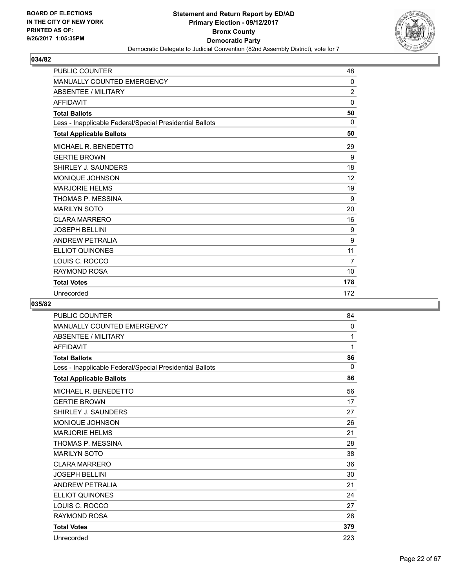

| <b>PUBLIC COUNTER</b>                                    | 48             |
|----------------------------------------------------------|----------------|
| MANUALLY COUNTED EMERGENCY                               | $\mathbf{0}$   |
| <b>ABSENTEE / MILITARY</b>                               | $\overline{2}$ |
| <b>AFFIDAVIT</b>                                         | 0              |
| <b>Total Ballots</b>                                     | 50             |
| Less - Inapplicable Federal/Special Presidential Ballots | 0              |
| <b>Total Applicable Ballots</b>                          | 50             |
| MICHAEL R. BENEDETTO                                     | 29             |
| <b>GERTIE BROWN</b>                                      | 9              |
| SHIRLEY J. SAUNDERS                                      | 18             |
| <b>MONIQUE JOHNSON</b>                                   | 12             |
| <b>MARJORIE HELMS</b>                                    | 19             |
| THOMAS P. MESSINA                                        | 9              |
| <b>MARILYN SOTO</b>                                      | 20             |
| <b>CLARA MARRERO</b>                                     | 16             |
| <b>JOSEPH BELLINI</b>                                    | 9              |
| <b>ANDREW PETRALIA</b>                                   | 9              |
| <b>ELLIOT QUINONES</b>                                   | 11             |
| LOUIS C. ROCCO                                           | $\overline{7}$ |
| <b>RAYMOND ROSA</b>                                      | 10             |
| <b>Total Votes</b>                                       | 178            |
| Unrecorded                                               | 172            |

| <b>PUBLIC COUNTER</b>                                    | 84  |
|----------------------------------------------------------|-----|
| <b>MANUALLY COUNTED EMERGENCY</b>                        | 0   |
| <b>ABSENTEE / MILITARY</b>                               | 1   |
| <b>AFFIDAVIT</b>                                         | 1   |
| <b>Total Ballots</b>                                     | 86  |
| Less - Inapplicable Federal/Special Presidential Ballots | 0   |
| <b>Total Applicable Ballots</b>                          | 86  |
| MICHAEL R. BENEDETTO                                     | 56  |
| <b>GERTIE BROWN</b>                                      | 17  |
| SHIRLEY J. SAUNDERS                                      | 27  |
| MONIQUE JOHNSON                                          | 26  |
| <b>MARJORIE HELMS</b>                                    | 21  |
| THOMAS P. MESSINA                                        | 28  |
| <b>MARILYN SOTO</b>                                      | 38  |
| <b>CLARA MARRERO</b>                                     | 36  |
| <b>JOSEPH BELLINI</b>                                    | 30  |
| <b>ANDREW PETRALIA</b>                                   | 21  |
| <b>ELLIOT QUINONES</b>                                   | 24  |
| LOUIS C. ROCCO                                           | 27  |
| <b>RAYMOND ROSA</b>                                      | 28  |
| <b>Total Votes</b>                                       | 379 |
| Unrecorded                                               | 223 |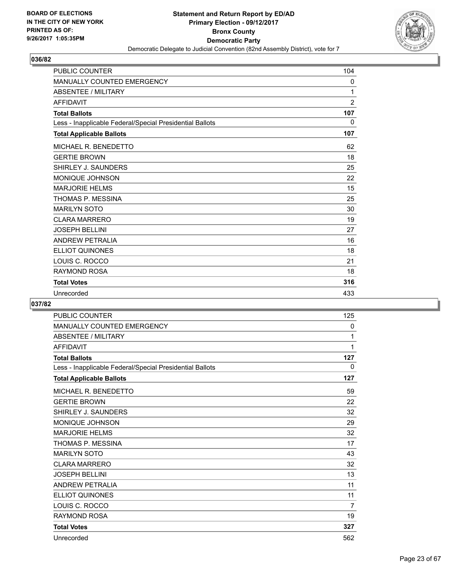

| <b>PUBLIC COUNTER</b>                                    | 104            |
|----------------------------------------------------------|----------------|
| <b>MANUALLY COUNTED EMERGENCY</b>                        | 0              |
| <b>ABSENTEE / MILITARY</b>                               | 1              |
| <b>AFFIDAVIT</b>                                         | $\overline{2}$ |
| <b>Total Ballots</b>                                     | 107            |
| Less - Inapplicable Federal/Special Presidential Ballots | $\mathbf{0}$   |
| <b>Total Applicable Ballots</b>                          | 107            |
| MICHAEL R. BENEDETTO                                     | 62             |
| <b>GERTIE BROWN</b>                                      | 18             |
| SHIRLEY J. SAUNDERS                                      | 25             |
| <b>MONIQUE JOHNSON</b>                                   | 22             |
| <b>MARJORIE HELMS</b>                                    | 15             |
| THOMAS P. MESSINA                                        | 25             |
| <b>MARILYN SOTO</b>                                      | 30             |
| <b>CLARA MARRERO</b>                                     | 19             |
| <b>JOSEPH BELLINI</b>                                    | 27             |
| <b>ANDREW PETRALIA</b>                                   | 16             |
| <b>ELLIOT QUINONES</b>                                   | 18             |
| LOUIS C. ROCCO                                           | 21             |
| <b>RAYMOND ROSA</b>                                      | 18             |
| <b>Total Votes</b>                                       | 316            |
| Unrecorded                                               | 433            |

| <b>PUBLIC COUNTER</b>                                    | 125 |
|----------------------------------------------------------|-----|
| <b>MANUALLY COUNTED EMERGENCY</b>                        | 0   |
| <b>ABSENTEE / MILITARY</b>                               | 1   |
| <b>AFFIDAVIT</b>                                         | 1   |
| <b>Total Ballots</b>                                     | 127 |
| Less - Inapplicable Federal/Special Presidential Ballots | 0   |
| <b>Total Applicable Ballots</b>                          | 127 |
| MICHAEL R. BENEDETTO                                     | 59  |
| <b>GERTIE BROWN</b>                                      | 22  |
| SHIRLEY J. SAUNDERS                                      | 32  |
| MONIQUE JOHNSON                                          | 29  |
| <b>MARJORIE HELMS</b>                                    | 32  |
| THOMAS P. MESSINA                                        | 17  |
| <b>MARILYN SOTO</b>                                      | 43  |
| <b>CLARA MARRERO</b>                                     | 32  |
| <b>JOSEPH BELLINI</b>                                    | 13  |
| <b>ANDREW PETRALIA</b>                                   | 11  |
| <b>ELLIOT QUINONES</b>                                   | 11  |
| LOUIS C. ROCCO                                           | 7   |
| <b>RAYMOND ROSA</b>                                      | 19  |
| <b>Total Votes</b>                                       | 327 |
| Unrecorded                                               | 562 |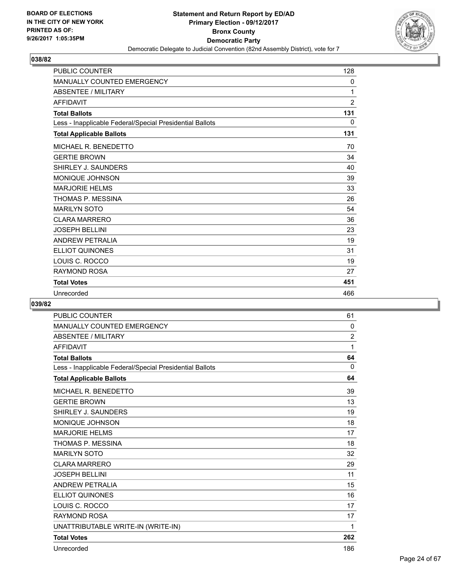

| <b>PUBLIC COUNTER</b>                                    | 128          |
|----------------------------------------------------------|--------------|
| <b>MANUALLY COUNTED EMERGENCY</b>                        | 0            |
| <b>ABSENTEE / MILITARY</b>                               | 1            |
| <b>AFFIDAVIT</b>                                         | 2            |
| <b>Total Ballots</b>                                     | 131          |
| Less - Inapplicable Federal/Special Presidential Ballots | $\mathbf{0}$ |
| <b>Total Applicable Ballots</b>                          | 131          |
| MICHAEL R. BENEDETTO                                     | 70           |
| <b>GERTIE BROWN</b>                                      | 34           |
| SHIRLEY J. SAUNDERS                                      | 40           |
| <b>MONIQUE JOHNSON</b>                                   | 39           |
| <b>MARJORIE HELMS</b>                                    | 33           |
| THOMAS P. MESSINA                                        | 26           |
| <b>MARILYN SOTO</b>                                      | 54           |
| <b>CLARA MARRERO</b>                                     | 36           |
| <b>JOSEPH BELLINI</b>                                    | 23           |
| <b>ANDREW PETRALIA</b>                                   | 19           |
| <b>ELLIOT QUINONES</b>                                   | 31           |
| LOUIS C. ROCCO                                           | 19           |
| RAYMOND ROSA                                             | 27           |
| <b>Total Votes</b>                                       | 451          |
| Unrecorded                                               | 466          |

| <b>PUBLIC COUNTER</b>                                    | 61             |
|----------------------------------------------------------|----------------|
| MANUALLY COUNTED EMERGENCY                               | 0              |
| <b>ABSENTEE / MILITARY</b>                               | $\overline{2}$ |
| <b>AFFIDAVIT</b>                                         | 1              |
| <b>Total Ballots</b>                                     | 64             |
| Less - Inapplicable Federal/Special Presidential Ballots | $\mathbf{0}$   |
| <b>Total Applicable Ballots</b>                          | 64             |
| MICHAEL R. BENEDETTO                                     | 39             |
| <b>GERTIE BROWN</b>                                      | 13             |
| SHIRLEY J. SAUNDERS                                      | 19             |
| MONIQUE JOHNSON                                          | 18             |
| <b>MARJORIE HELMS</b>                                    | 17             |
| THOMAS P. MESSINA                                        | 18             |
| <b>MARILYN SOTO</b>                                      | 32             |
| <b>CLARA MARRERO</b>                                     | 29             |
| <b>JOSEPH BELLINI</b>                                    | 11             |
| <b>ANDREW PETRALIA</b>                                   | 15             |
| <b>ELLIOT QUINONES</b>                                   | 16             |
| LOUIS C. ROCCO                                           | 17             |
| <b>RAYMOND ROSA</b>                                      | 17             |
| UNATTRIBUTABLE WRITE-IN (WRITE-IN)                       | 1              |
| <b>Total Votes</b>                                       | 262            |
| Unrecorded                                               | 186            |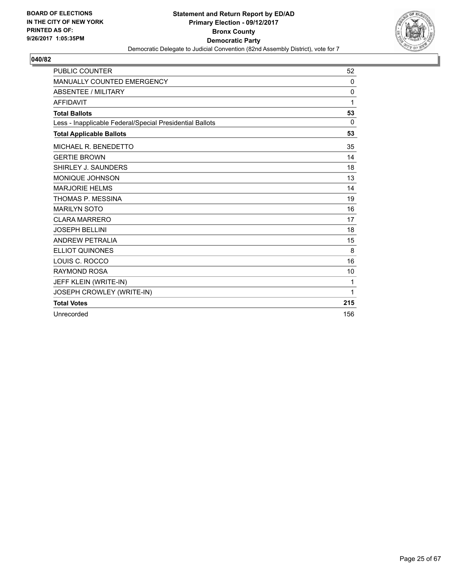

| <b>PUBLIC COUNTER</b>                                    | 52           |
|----------------------------------------------------------|--------------|
| MANUALLY COUNTED EMERGENCY                               | 0            |
| <b>ABSENTEE / MILITARY</b>                               | $\mathbf{0}$ |
| <b>AFFIDAVIT</b>                                         | 1            |
| <b>Total Ballots</b>                                     | 53           |
| Less - Inapplicable Federal/Special Presidential Ballots | $\Omega$     |
| <b>Total Applicable Ballots</b>                          | 53           |
| MICHAEL R. BENEDETTO                                     | 35           |
| <b>GERTIE BROWN</b>                                      | 14           |
| SHIRLEY J. SAUNDERS                                      | 18           |
| MONIQUE JOHNSON                                          | 13           |
| <b>MARJORIE HELMS</b>                                    | 14           |
| THOMAS P. MESSINA                                        | 19           |
| <b>MARILYN SOTO</b>                                      | 16           |
| <b>CLARA MARRERO</b>                                     | 17           |
| <b>JOSEPH BELLINI</b>                                    | 18           |
| <b>ANDREW PETRALIA</b>                                   | 15           |
| <b>ELLIOT QUINONES</b>                                   | 8            |
| LOUIS C. ROCCO                                           | 16           |
| <b>RAYMOND ROSA</b>                                      | 10           |
| JEFF KLEIN (WRITE-IN)                                    | 1            |
| JOSEPH CROWLEY (WRITE-IN)                                | 1            |
| <b>Total Votes</b>                                       | 215          |
| Unrecorded                                               | 156          |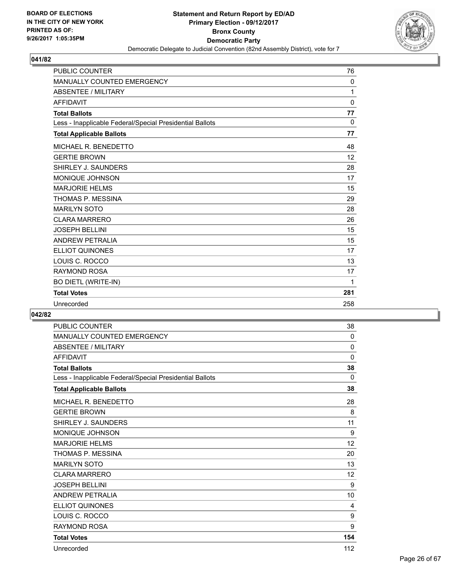

| <b>PUBLIC COUNTER</b>                                    | 76       |
|----------------------------------------------------------|----------|
| MANUALLY COUNTED EMERGENCY                               | $\Omega$ |
| <b>ABSENTEE / MILITARY</b>                               | 1        |
| <b>AFFIDAVIT</b>                                         | 0        |
| <b>Total Ballots</b>                                     | 77       |
| Less - Inapplicable Federal/Special Presidential Ballots | $\Omega$ |
| <b>Total Applicable Ballots</b>                          | 77       |
| MICHAEL R. BENEDETTO                                     | 48       |
| <b>GERTIE BROWN</b>                                      | 12       |
| SHIRLEY J. SAUNDERS                                      | 28       |
| <b>MONIQUE JOHNSON</b>                                   | 17       |
| <b>MARJORIE HELMS</b>                                    | 15       |
| THOMAS P. MESSINA                                        | 29       |
| <b>MARILYN SOTO</b>                                      | 28       |
| <b>CLARA MARRERO</b>                                     | 26       |
| <b>JOSEPH BELLINI</b>                                    | 15       |
| <b>ANDREW PETRALIA</b>                                   | 15       |
| <b>ELLIOT QUINONES</b>                                   | 17       |
| LOUIS C. ROCCO                                           | 13       |
| <b>RAYMOND ROSA</b>                                      | 17       |
| BO DIETL (WRITE-IN)                                      | 1        |
| <b>Total Votes</b>                                       | 281      |
| Unrecorded                                               | 258      |

| <b>PUBLIC COUNTER</b>                                    | 38           |
|----------------------------------------------------------|--------------|
| <b>MANUALLY COUNTED EMERGENCY</b>                        | $\mathbf{0}$ |
| <b>ABSENTEE / MILITARY</b>                               | $\mathbf 0$  |
| <b>AFFIDAVIT</b>                                         | 0            |
| <b>Total Ballots</b>                                     | 38           |
| Less - Inapplicable Federal/Special Presidential Ballots | $\Omega$     |
| <b>Total Applicable Ballots</b>                          | 38           |
| MICHAEL R. BENEDETTO                                     | 28           |
| <b>GERTIE BROWN</b>                                      | 8            |
| SHIRLEY J. SAUNDERS                                      | 11           |
| <b>MONIQUE JOHNSON</b>                                   | 9            |
| <b>MARJORIE HELMS</b>                                    | 12           |
| THOMAS P. MESSINA                                        | 20           |
| <b>MARILYN SOTO</b>                                      | 13           |
| <b>CLARA MARRERO</b>                                     | 12           |
| <b>JOSEPH BELLINI</b>                                    | 9            |
| <b>ANDREW PETRALIA</b>                                   | 10           |
| ELLIOT QUINONES                                          | 4            |
| LOUIS C. ROCCO                                           | 9            |
| <b>RAYMOND ROSA</b>                                      | 9            |
| <b>Total Votes</b>                                       | 154          |
| Unrecorded                                               | 112          |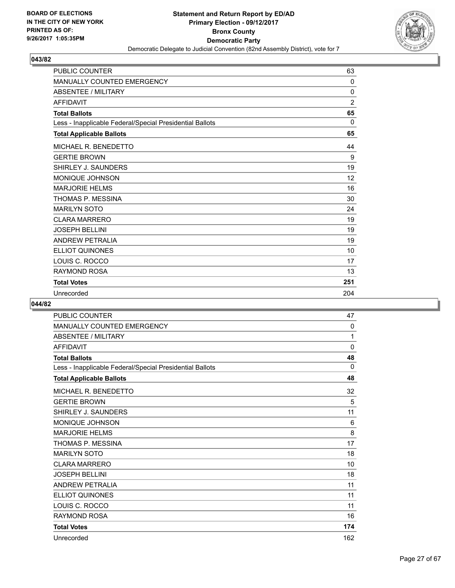

| <b>PUBLIC COUNTER</b>                                    | 63             |
|----------------------------------------------------------|----------------|
| <b>MANUALLY COUNTED EMERGENCY</b>                        | $\mathbf{0}$   |
| <b>ABSENTEE / MILITARY</b>                               | $\mathbf{0}$   |
| <b>AFFIDAVIT</b>                                         | $\overline{2}$ |
| <b>Total Ballots</b>                                     | 65             |
| Less - Inapplicable Federal/Special Presidential Ballots | $\Omega$       |
| <b>Total Applicable Ballots</b>                          | 65             |
| MICHAEL R. BENEDETTO                                     | 44             |
| <b>GERTIE BROWN</b>                                      | 9              |
| SHIRLEY J. SAUNDERS                                      | 19             |
| <b>MONIQUE JOHNSON</b>                                   | 12             |
| <b>MARJORIE HELMS</b>                                    | 16             |
| THOMAS P. MESSINA                                        | 30             |
| <b>MARILYN SOTO</b>                                      | 24             |
| <b>CLARA MARRERO</b>                                     | 19             |
| <b>JOSEPH BELLINI</b>                                    | 19             |
| <b>ANDREW PETRALIA</b>                                   | 19             |
| <b>ELLIOT QUINONES</b>                                   | 10             |
| LOUIS C. ROCCO                                           | 17             |
| RAYMOND ROSA                                             | 13             |
| <b>Total Votes</b>                                       | 251            |
| Unrecorded                                               | 204            |

| <b>PUBLIC COUNTER</b>                                    | 47          |
|----------------------------------------------------------|-------------|
| <b>MANUALLY COUNTED EMERGENCY</b>                        | 0           |
| <b>ABSENTEE / MILITARY</b>                               | 1           |
| <b>AFFIDAVIT</b>                                         | $\mathbf 0$ |
| <b>Total Ballots</b>                                     | 48          |
| Less - Inapplicable Federal/Special Presidential Ballots | $\Omega$    |
| <b>Total Applicable Ballots</b>                          | 48          |
| MICHAEL R. BENEDETTO                                     | 32          |
| <b>GERTIE BROWN</b>                                      | 5           |
| SHIRLEY J. SAUNDERS                                      | 11          |
| MONIQUE JOHNSON                                          | 6           |
| <b>MARJORIE HELMS</b>                                    | 8           |
| THOMAS P. MESSINA                                        | 17          |
| <b>MARILYN SOTO</b>                                      | 18          |
| <b>CLARA MARRERO</b>                                     | 10          |
| <b>JOSEPH BELLINI</b>                                    | 18          |
| <b>ANDREW PETRALIA</b>                                   | 11          |
| <b>ELLIOT QUINONES</b>                                   | 11          |
| LOUIS C. ROCCO                                           | 11          |
| <b>RAYMOND ROSA</b>                                      | 16          |
| <b>Total Votes</b>                                       | 174         |
| Unrecorded                                               | 162         |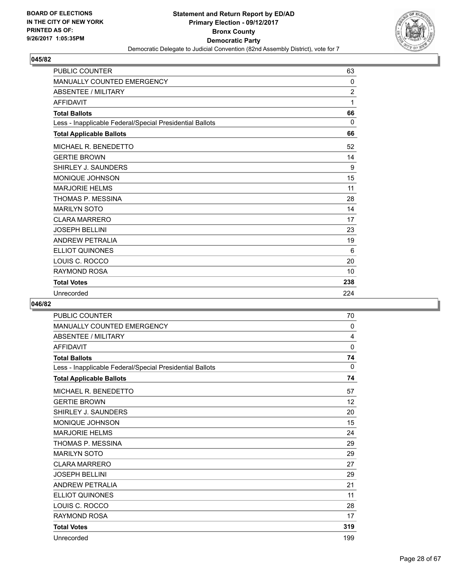

| <b>PUBLIC COUNTER</b>                                    | 63             |
|----------------------------------------------------------|----------------|
| MANUALLY COUNTED EMERGENCY                               | $\Omega$       |
| <b>ABSENTEE / MILITARY</b>                               | $\overline{2}$ |
| <b>AFFIDAVIT</b>                                         | 1              |
| <b>Total Ballots</b>                                     | 66             |
| Less - Inapplicable Federal/Special Presidential Ballots | $\Omega$       |
| <b>Total Applicable Ballots</b>                          | 66             |
| MICHAEL R. BENEDETTO                                     | 52             |
| <b>GERTIE BROWN</b>                                      | 14             |
| SHIRLEY J. SAUNDERS                                      | 9              |
| MONIQUE JOHNSON                                          | 15             |
| <b>MARJORIE HELMS</b>                                    | 11             |
| THOMAS P. MESSINA                                        | 28             |
| <b>MARILYN SOTO</b>                                      | 14             |
| <b>CLARA MARRERO</b>                                     | 17             |
| <b>JOSEPH BELLINI</b>                                    | 23             |
| <b>ANDREW PETRALIA</b>                                   | 19             |
| <b>ELLIOT QUINONES</b>                                   | 6              |
| LOUIS C. ROCCO                                           | 20             |
| <b>RAYMOND ROSA</b>                                      | 10             |
| <b>Total Votes</b>                                       | 238            |
| Unrecorded                                               | 224            |

| <b>PUBLIC COUNTER</b>                                    | 70          |
|----------------------------------------------------------|-------------|
| <b>MANUALLY COUNTED EMERGENCY</b>                        | 0           |
| ABSENTEE / MILITARY                                      | 4           |
| <b>AFFIDAVIT</b>                                         | $\mathbf 0$ |
| <b>Total Ballots</b>                                     | 74          |
| Less - Inapplicable Federal/Special Presidential Ballots | 0           |
| <b>Total Applicable Ballots</b>                          | 74          |
| MICHAEL R. BENEDETTO                                     | 57          |
| <b>GERTIE BROWN</b>                                      | 12          |
| SHIRLEY J. SAUNDERS                                      | 20          |
| <b>MONIQUE JOHNSON</b>                                   | 15          |
| <b>MARJORIE HELMS</b>                                    | 24          |
| THOMAS P. MESSINA                                        | 29          |
| <b>MARILYN SOTO</b>                                      | 29          |
| <b>CLARA MARRERO</b>                                     | 27          |
| <b>JOSEPH BELLINI</b>                                    | 29          |
| <b>ANDREW PETRALIA</b>                                   | 21          |
| <b>ELLIOT QUINONES</b>                                   | 11          |
| LOUIS C. ROCCO                                           | 28          |
| <b>RAYMOND ROSA</b>                                      | 17          |
| <b>Total Votes</b>                                       | 319         |
| Unrecorded                                               | 199         |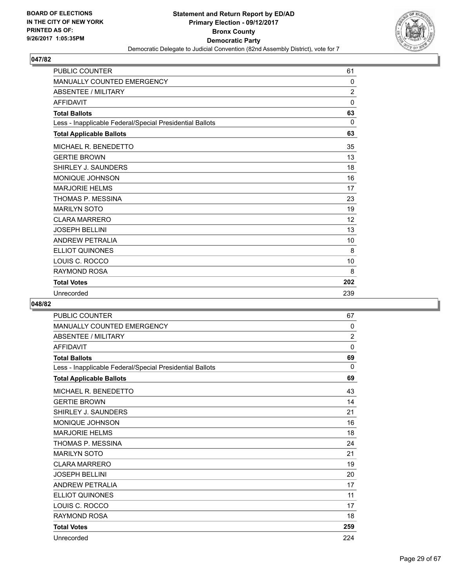

| <b>PUBLIC COUNTER</b>                                    | 61             |
|----------------------------------------------------------|----------------|
| MANUALLY COUNTED EMERGENCY                               | $\Omega$       |
| <b>ABSENTEE / MILITARY</b>                               | $\overline{2}$ |
| <b>AFFIDAVIT</b>                                         | 0              |
| <b>Total Ballots</b>                                     | 63             |
| Less - Inapplicable Federal/Special Presidential Ballots | 0              |
| <b>Total Applicable Ballots</b>                          | 63             |
| MICHAEL R. BENEDETTO                                     | 35             |
| <b>GERTIE BROWN</b>                                      | 13             |
| SHIRLEY J. SAUNDERS                                      | 18             |
| <b>MONIQUE JOHNSON</b>                                   | 16             |
| <b>MARJORIE HELMS</b>                                    | 17             |
| THOMAS P. MESSINA                                        | 23             |
| <b>MARILYN SOTO</b>                                      | 19             |
| <b>CLARA MARRERO</b>                                     | 12             |
| <b>JOSEPH BELLINI</b>                                    | 13             |
| <b>ANDREW PETRALIA</b>                                   | 10             |
| <b>ELLIOT QUINONES</b>                                   | 8              |
| LOUIS C. ROCCO                                           | 10             |
| RAYMOND ROSA                                             | 8              |
| <b>Total Votes</b>                                       | 202            |
| Unrecorded                                               | 239            |

| <b>PUBLIC COUNTER</b>                                    | 67             |
|----------------------------------------------------------|----------------|
| <b>MANUALLY COUNTED EMERGENCY</b>                        | $\mathbf{0}$   |
| <b>ABSENTEE / MILITARY</b>                               | $\overline{2}$ |
| <b>AFFIDAVIT</b>                                         | $\mathbf{0}$   |
| <b>Total Ballots</b>                                     | 69             |
| Less - Inapplicable Federal/Special Presidential Ballots | $\Omega$       |
| <b>Total Applicable Ballots</b>                          | 69             |
| MICHAEL R. BENEDETTO                                     | 43             |
| <b>GERTIE BROWN</b>                                      | 14             |
| SHIRLEY J. SAUNDERS                                      | 21             |
| MONIQUE JOHNSON                                          | 16             |
| <b>MARJORIE HELMS</b>                                    | 18             |
| THOMAS P. MESSINA                                        | 24             |
| <b>MARILYN SOTO</b>                                      | 21             |
| <b>CLARA MARRERO</b>                                     | 19             |
| <b>JOSEPH BELLINI</b>                                    | 20             |
| <b>ANDREW PETRALIA</b>                                   | 17             |
| <b>ELLIOT QUINONES</b>                                   | 11             |
| LOUIS C. ROCCO                                           | 17             |
| <b>RAYMOND ROSA</b>                                      | 18             |
| <b>Total Votes</b>                                       | 259            |
| Unrecorded                                               | 224            |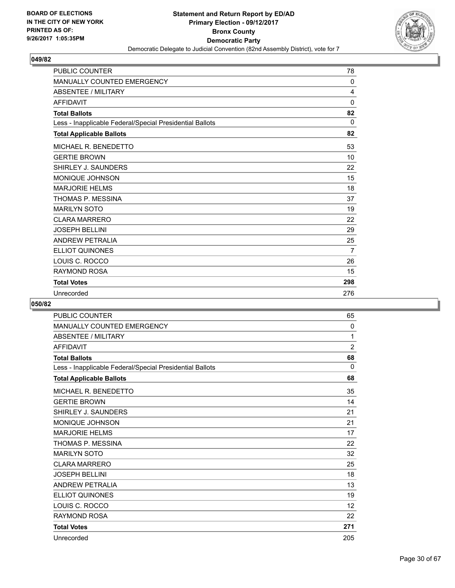

| <b>PUBLIC COUNTER</b>                                    | 78           |
|----------------------------------------------------------|--------------|
| MANUALLY COUNTED EMERGENCY                               | $\mathbf{0}$ |
| <b>ABSENTEE / MILITARY</b>                               | 4            |
| <b>AFFIDAVIT</b>                                         | $\Omega$     |
| <b>Total Ballots</b>                                     | 82           |
| Less - Inapplicable Federal/Special Presidential Ballots | $\Omega$     |
| <b>Total Applicable Ballots</b>                          | 82           |
| MICHAEL R. BENEDETTO                                     | 53           |
| <b>GERTIE BROWN</b>                                      | 10           |
| SHIRLEY J. SAUNDERS                                      | 22           |
| <b>MONIQUE JOHNSON</b>                                   | 15           |
| <b>MARJORIE HELMS</b>                                    | 18           |
| THOMAS P. MESSINA                                        | 37           |
| <b>MARILYN SOTO</b>                                      | 19           |
| <b>CLARA MARRERO</b>                                     | 22           |
| <b>JOSEPH BELLINI</b>                                    | 29           |
| <b>ANDREW PETRALIA</b>                                   | 25           |
| <b>ELLIOT QUINONES</b>                                   | 7            |
| LOUIS C. ROCCO                                           | 26           |
| RAYMOND ROSA                                             | 15           |
| <b>Total Votes</b>                                       | 298          |
| Unrecorded                                               | 276          |

| <b>PUBLIC COUNTER</b>                                    | 65             |
|----------------------------------------------------------|----------------|
| <b>MANUALLY COUNTED EMERGENCY</b>                        | $\Omega$       |
| <b>ABSENTEE / MILITARY</b>                               | 1              |
| <b>AFFIDAVIT</b>                                         | $\overline{2}$ |
| <b>Total Ballots</b>                                     | 68             |
| Less - Inapplicable Federal/Special Presidential Ballots | $\Omega$       |
| <b>Total Applicable Ballots</b>                          | 68             |
| MICHAEL R. BENEDETTO                                     | 35             |
| <b>GERTIE BROWN</b>                                      | 14             |
| SHIRLEY J. SAUNDERS                                      | 21             |
| MONIQUE JOHNSON                                          | 21             |
| <b>MARJORIE HELMS</b>                                    | 17             |
| THOMAS P. MESSINA                                        | 22             |
| <b>MARILYN SOTO</b>                                      | 32             |
| <b>CLARA MARRERO</b>                                     | 25             |
| <b>JOSEPH BELLINI</b>                                    | 18             |
| <b>ANDREW PETRALIA</b>                                   | 13             |
| <b>ELLIOT QUINONES</b>                                   | 19             |
| LOUIS C. ROCCO                                           | 12             |
| <b>RAYMOND ROSA</b>                                      | 22             |
| <b>Total Votes</b>                                       | 271            |
| Unrecorded                                               | 205            |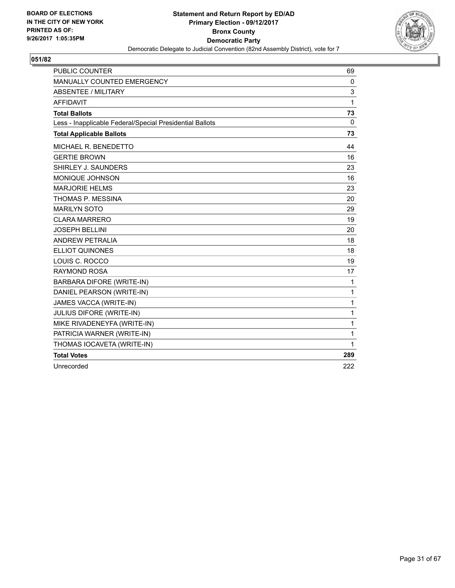

| <b>PUBLIC COUNTER</b>                                    | 69           |
|----------------------------------------------------------|--------------|
| MANUALLY COUNTED EMERGENCY                               | 0            |
| ABSENTEE / MILITARY                                      | 3            |
| <b>AFFIDAVIT</b>                                         | 1            |
| <b>Total Ballots</b>                                     | 73           |
| Less - Inapplicable Federal/Special Presidential Ballots | $\mathbf{0}$ |
| <b>Total Applicable Ballots</b>                          | 73           |
| MICHAEL R. BENEDETTO                                     | 44           |
| <b>GERTIE BROWN</b>                                      | 16           |
| SHIRLEY J. SAUNDERS                                      | 23           |
| <b>MONIQUE JOHNSON</b>                                   | 16           |
| <b>MARJORIE HELMS</b>                                    | 23           |
| THOMAS P. MESSINA                                        | 20           |
| <b>MARILYN SOTO</b>                                      | 29           |
| <b>CLARA MARRERO</b>                                     | 19           |
| <b>JOSEPH BELLINI</b>                                    | 20           |
| ANDREW PETRALIA                                          | 18           |
| <b>ELLIOT QUINONES</b>                                   | 18           |
| LOUIS C. ROCCO                                           | 19           |
| <b>RAYMOND ROSA</b>                                      | 17           |
| BARBARA DIFORE (WRITE-IN)                                | 1            |
| DANIEL PEARSON (WRITE-IN)                                | $\mathbf 1$  |
| JAMES VACCA (WRITE-IN)                                   | $\mathbf{1}$ |
| JULIUS DIFORE (WRITE-IN)                                 | $\mathbf{1}$ |
| MIKE RIVADENEYFA (WRITE-IN)                              | $\mathbf{1}$ |
| PATRICIA WARNER (WRITE-IN)                               | $\mathbf{1}$ |
| THOMAS IOCAVETA (WRITE-IN)                               | 1            |
| <b>Total Votes</b>                                       | 289          |
| Unrecorded                                               | 222          |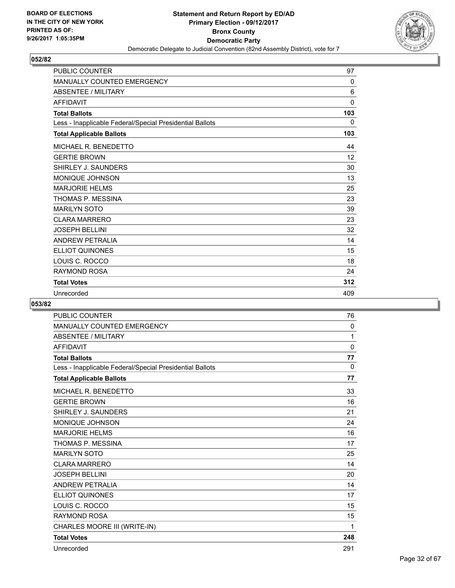

| <b>PUBLIC COUNTER</b>                                    | 97           |
|----------------------------------------------------------|--------------|
| <b>MANUALLY COUNTED EMERGENCY</b>                        | $\Omega$     |
| <b>ABSENTEE / MILITARY</b>                               | 6            |
| <b>AFFIDAVIT</b>                                         | $\mathbf{0}$ |
| <b>Total Ballots</b>                                     | 103          |
| Less - Inapplicable Federal/Special Presidential Ballots | 0            |
| <b>Total Applicable Ballots</b>                          | 103          |
| MICHAEL R. BENEDETTO                                     | 44           |
| <b>GERTIE BROWN</b>                                      | 12           |
| SHIRLEY J. SAUNDERS                                      | 30           |
| <b>MONIQUE JOHNSON</b>                                   | 13           |
| <b>MARJORIE HELMS</b>                                    | 25           |
| THOMAS P. MESSINA                                        | 23           |
| <b>MARILYN SOTO</b>                                      | 39           |
| <b>CLARA MARRERO</b>                                     | 23           |
| <b>JOSEPH BELLINI</b>                                    | 32           |
| <b>ANDREW PETRALIA</b>                                   | 14           |
| <b>ELLIOT QUINONES</b>                                   | 15           |
| LOUIS C. ROCCO                                           | 18           |
| RAYMOND ROSA                                             | 24           |
| <b>Total Votes</b>                                       | 312          |
| Unrecorded                                               | 409          |

| <b>PUBLIC COUNTER</b>                                    | 76           |
|----------------------------------------------------------|--------------|
| MANUALLY COUNTED EMERGENCY                               | 0            |
| <b>ABSENTEE / MILITARY</b>                               | 1            |
| <b>AFFIDAVIT</b>                                         | $\mathbf 0$  |
| <b>Total Ballots</b>                                     | 77           |
| Less - Inapplicable Federal/Special Presidential Ballots | $\mathbf{0}$ |
| <b>Total Applicable Ballots</b>                          | 77           |
| MICHAEL R. BENEDETTO                                     | 33           |
| <b>GERTIE BROWN</b>                                      | 16           |
| SHIRLEY J. SAUNDERS                                      | 21           |
| <b>MONIQUE JOHNSON</b>                                   | 24           |
| <b>MARJORIE HELMS</b>                                    | 16           |
| THOMAS P. MESSINA                                        | 17           |
| <b>MARILYN SOTO</b>                                      | 25           |
| <b>CLARA MARRERO</b>                                     | 14           |
| <b>JOSEPH BELLINI</b>                                    | 20           |
| <b>ANDREW PETRALIA</b>                                   | 14           |
| <b>ELLIOT QUINONES</b>                                   | 17           |
| LOUIS C. ROCCO                                           | 15           |
| <b>RAYMOND ROSA</b>                                      | 15           |
| CHARLES MOORE III (WRITE-IN)                             | 1            |
| <b>Total Votes</b>                                       | 248          |
| Unrecorded                                               | 291          |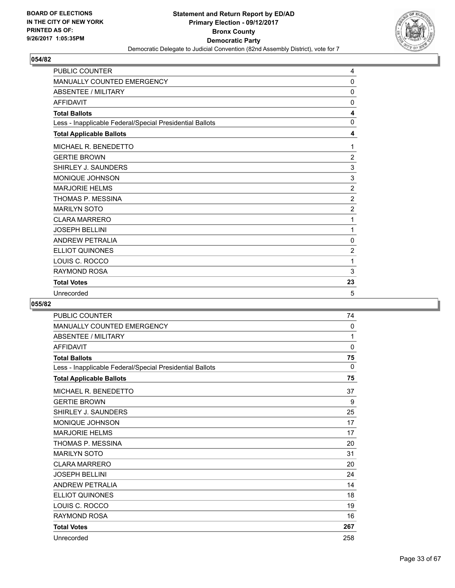

| <b>PUBLIC COUNTER</b>                                    | 4              |
|----------------------------------------------------------|----------------|
| MANUALLY COUNTED EMERGENCY                               | 0              |
| <b>ABSENTEE / MILITARY</b>                               | 0              |
| <b>AFFIDAVIT</b>                                         | 0              |
| <b>Total Ballots</b>                                     | 4              |
| Less - Inapplicable Federal/Special Presidential Ballots | 0              |
| <b>Total Applicable Ballots</b>                          | 4              |
| MICHAEL R. BENEDETTO                                     | 1              |
| <b>GERTIE BROWN</b>                                      | $\overline{2}$ |
| SHIRLEY J. SAUNDERS                                      | 3              |
| MONIQUE JOHNSON                                          | 3              |
| <b>MARJORIE HELMS</b>                                    | $\overline{2}$ |
| THOMAS P. MESSINA                                        | $\overline{2}$ |
| <b>MARILYN SOTO</b>                                      | $\overline{2}$ |
| <b>CLARA MARRERO</b>                                     | 1              |
| <b>JOSEPH BELLINI</b>                                    | 1              |
| <b>ANDREW PETRALIA</b>                                   | 0              |
| <b>ELLIOT QUINONES</b>                                   | $\overline{2}$ |
| LOUIS C. ROCCO                                           | 1              |
| <b>RAYMOND ROSA</b>                                      | 3              |
| <b>Total Votes</b>                                       | 23             |
| Unrecorded                                               | 5              |

| <b>PUBLIC COUNTER</b>                                    | 74          |
|----------------------------------------------------------|-------------|
| MANUALLY COUNTED EMERGENCY                               | 0           |
| ABSENTEE / MILITARY                                      | 1           |
| <b>AFFIDAVIT</b>                                         | $\mathbf 0$ |
| <b>Total Ballots</b>                                     | 75          |
| Less - Inapplicable Federal/Special Presidential Ballots | 0           |
| <b>Total Applicable Ballots</b>                          | 75          |
| MICHAEL R. BENEDETTO                                     | 37          |
| <b>GERTIE BROWN</b>                                      | 9           |
| SHIRLEY J. SAUNDERS                                      | 25          |
| <b>MONIQUE JOHNSON</b>                                   | 17          |
| <b>MARJORIE HELMS</b>                                    | 17          |
| THOMAS P. MESSINA                                        | 20          |
| <b>MARILYN SOTO</b>                                      | 31          |
| <b>CLARA MARRERO</b>                                     | 20          |
| <b>JOSEPH BELLINI</b>                                    | 24          |
| <b>ANDREW PETRALIA</b>                                   | 14          |
| <b>ELLIOT QUINONES</b>                                   | 18          |
| LOUIS C. ROCCO                                           | 19          |
| <b>RAYMOND ROSA</b>                                      | 16          |
| <b>Total Votes</b>                                       | 267         |
| Unrecorded                                               | 258         |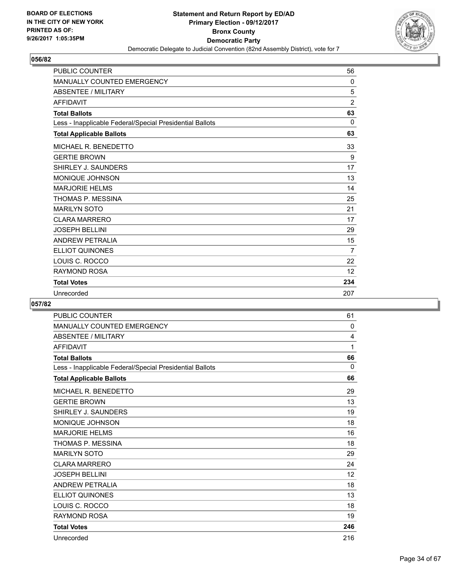

| <b>PUBLIC COUNTER</b>                                    | 56             |
|----------------------------------------------------------|----------------|
| <b>MANUALLY COUNTED EMERGENCY</b>                        | $\Omega$       |
| <b>ABSENTEE / MILITARY</b>                               | 5              |
| <b>AFFIDAVIT</b>                                         | $\overline{2}$ |
| <b>Total Ballots</b>                                     | 63             |
| Less - Inapplicable Federal/Special Presidential Ballots | $\mathbf{0}$   |
| <b>Total Applicable Ballots</b>                          | 63             |
| MICHAEL R. BENEDETTO                                     | 33             |
| <b>GERTIE BROWN</b>                                      | 9              |
| SHIRLEY J. SAUNDERS                                      | 17             |
| <b>MONIQUE JOHNSON</b>                                   | 13             |
| <b>MARJORIE HELMS</b>                                    | 14             |
| THOMAS P. MESSINA                                        | 25             |
| <b>MARILYN SOTO</b>                                      | 21             |
| <b>CLARA MARRERO</b>                                     | 17             |
| <b>JOSEPH BELLINI</b>                                    | 29             |
| <b>ANDREW PETRALIA</b>                                   | 15             |
| <b>ELLIOT QUINONES</b>                                   | 7              |
| LOUIS C. ROCCO                                           | 22             |
| <b>RAYMOND ROSA</b>                                      | 12             |
| <b>Total Votes</b>                                       | 234            |
| Unrecorded                                               | 207            |

| <b>PUBLIC COUNTER</b>                                    | 61  |
|----------------------------------------------------------|-----|
| <b>MANUALLY COUNTED EMERGENCY</b>                        | 0   |
| <b>ABSENTEE / MILITARY</b>                               | 4   |
| <b>AFFIDAVIT</b>                                         | 1   |
| <b>Total Ballots</b>                                     | 66  |
| Less - Inapplicable Federal/Special Presidential Ballots | 0   |
| <b>Total Applicable Ballots</b>                          | 66  |
| MICHAEL R. BENEDETTO                                     | 29  |
| <b>GERTIE BROWN</b>                                      | 13  |
| SHIRLEY J. SAUNDERS                                      | 19  |
| MONIQUE JOHNSON                                          | 18  |
| <b>MARJORIE HELMS</b>                                    | 16  |
| THOMAS P. MESSINA                                        | 18  |
| <b>MARILYN SOTO</b>                                      | 29  |
| <b>CLARA MARRERO</b>                                     | 24  |
| <b>JOSEPH BELLINI</b>                                    | 12  |
| <b>ANDREW PETRALIA</b>                                   | 18  |
| <b>ELLIOT QUINONES</b>                                   | 13  |
| LOUIS C. ROCCO                                           | 18  |
| <b>RAYMOND ROSA</b>                                      | 19  |
| <b>Total Votes</b>                                       | 246 |
| Unrecorded                                               | 216 |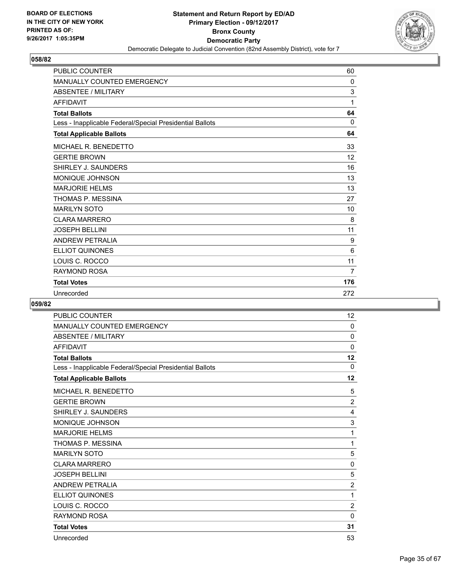

| <b>PUBLIC COUNTER</b>                                    | 60           |
|----------------------------------------------------------|--------------|
| <b>MANUALLY COUNTED EMERGENCY</b>                        | $\mathbf{0}$ |
| <b>ABSENTEE / MILITARY</b>                               | 3            |
| <b>AFFIDAVIT</b>                                         | 1            |
| <b>Total Ballots</b>                                     | 64           |
| Less - Inapplicable Federal/Special Presidential Ballots | 0            |
| <b>Total Applicable Ballots</b>                          | 64           |
| MICHAEL R. BENEDETTO                                     | 33           |
| <b>GERTIE BROWN</b>                                      | 12           |
| SHIRLEY J. SAUNDERS                                      | 16           |
| MONIQUE JOHNSON                                          | 13           |
| <b>MARJORIE HELMS</b>                                    | 13           |
| THOMAS P. MESSINA                                        | 27           |
| <b>MARILYN SOTO</b>                                      | 10           |
| <b>CLARA MARRERO</b>                                     | 8            |
| <b>JOSEPH BELLINI</b>                                    | 11           |
| <b>ANDREW PETRALIA</b>                                   | 9            |
| <b>ELLIOT QUINONES</b>                                   | 6            |
| LOUIS C. ROCCO                                           | 11           |
| <b>RAYMOND ROSA</b>                                      | 7            |
| <b>Total Votes</b>                                       | 176          |
| Unrecorded                                               | 272          |

| <b>PUBLIC COUNTER</b>                                    | 12             |
|----------------------------------------------------------|----------------|
| <b>MANUALLY COUNTED EMERGENCY</b>                        | 0              |
| <b>ABSENTEE / MILITARY</b>                               | 0              |
| <b>AFFIDAVIT</b>                                         | $\mathbf 0$    |
| <b>Total Ballots</b>                                     | 12             |
| Less - Inapplicable Federal/Special Presidential Ballots | 0              |
| <b>Total Applicable Ballots</b>                          | 12             |
| MICHAEL R. BENEDETTO                                     | 5              |
| <b>GERTIE BROWN</b>                                      | $\overline{2}$ |
| SHIRLEY J. SAUNDERS                                      | 4              |
| MONIQUE JOHNSON                                          | 3              |
| <b>MARJORIE HELMS</b>                                    | 1              |
| THOMAS P. MESSINA                                        | 1              |
| <b>MARILYN SOTO</b>                                      | 5              |
| <b>CLARA MARRERO</b>                                     | 0              |
| <b>JOSEPH BELLINI</b>                                    | 5              |
| <b>ANDREW PETRALIA</b>                                   | $\overline{2}$ |
| <b>ELLIOT QUINONES</b>                                   | 1              |
| LOUIS C. ROCCO                                           | $\overline{2}$ |
| <b>RAYMOND ROSA</b>                                      | $\mathbf 0$    |
| <b>Total Votes</b>                                       | 31             |
| Unrecorded                                               | 53             |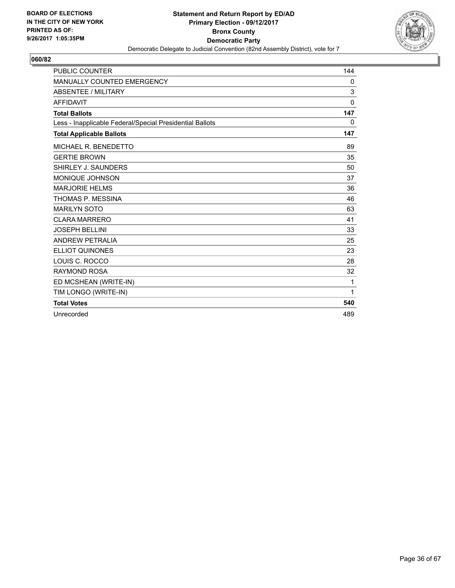

| <b>PUBLIC COUNTER</b>                                    | 144         |
|----------------------------------------------------------|-------------|
| <b>MANUALLY COUNTED EMERGENCY</b>                        | 0           |
| <b>ABSENTEE / MILITARY</b>                               | 3           |
| <b>AFFIDAVIT</b>                                         | $\mathbf 0$ |
| <b>Total Ballots</b>                                     | 147         |
| Less - Inapplicable Federal/Special Presidential Ballots | 0           |
| <b>Total Applicable Ballots</b>                          | 147         |
| MICHAEL R. BENEDETTO                                     | 89          |
| <b>GERTIE BROWN</b>                                      | 35          |
| SHIRLEY J. SAUNDERS                                      | 50          |
| <b>MONIQUE JOHNSON</b>                                   | 37          |
| <b>MARJORIE HELMS</b>                                    | 36          |
| THOMAS P. MESSINA                                        | 46          |
| <b>MARILYN SOTO</b>                                      | 63          |
| <b>CLARA MARRERO</b>                                     | 41          |
| <b>JOSEPH BELLINI</b>                                    | 33          |
| <b>ANDREW PETRALIA</b>                                   | 25          |
| <b>ELLIOT QUINONES</b>                                   | 23          |
| LOUIS C. ROCCO                                           | 28          |
| <b>RAYMOND ROSA</b>                                      | 32          |
| ED MCSHEAN (WRITE-IN)                                    | 1           |
| TIM LONGO (WRITE-IN)                                     | 1           |
| <b>Total Votes</b>                                       | 540         |
| Unrecorded                                               | 489         |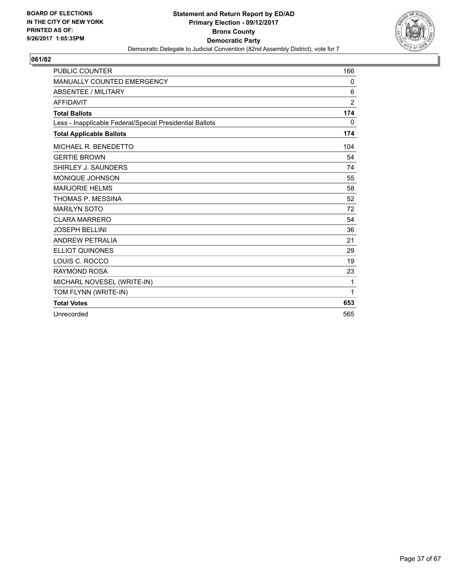

| <b>PUBLIC COUNTER</b>                                    | 166            |
|----------------------------------------------------------|----------------|
| <b>MANUALLY COUNTED EMERGENCY</b>                        | 0              |
| <b>ABSENTEE / MILITARY</b>                               | 6              |
| <b>AFFIDAVIT</b>                                         | $\overline{2}$ |
| <b>Total Ballots</b>                                     | 174            |
| Less - Inapplicable Federal/Special Presidential Ballots | 0              |
| <b>Total Applicable Ballots</b>                          | 174            |
| MICHAEL R. BENEDETTO                                     | 104            |
| <b>GERTIE BROWN</b>                                      | 54             |
| SHIRLEY J. SAUNDERS                                      | 74             |
| MONIQUE JOHNSON                                          | 55             |
| <b>MARJORIE HELMS</b>                                    | 58             |
| THOMAS P. MESSINA                                        | 52             |
| <b>MARILYN SOTO</b>                                      | 72             |
| <b>CLARA MARRERO</b>                                     | 54             |
| <b>JOSEPH BELLINI</b>                                    | 36             |
| <b>ANDREW PETRALIA</b>                                   | 21             |
| <b>ELLIOT QUINONES</b>                                   | 29             |
| LOUIS C. ROCCO                                           | 19             |
| <b>RAYMOND ROSA</b>                                      | 23             |
| MICHARL NOVESEL (WRITE-IN)                               | 1              |
| TOM FLYNN (WRITE-IN)                                     | $\mathbf{1}$   |
| <b>Total Votes</b>                                       | 653            |
| Unrecorded                                               | 565            |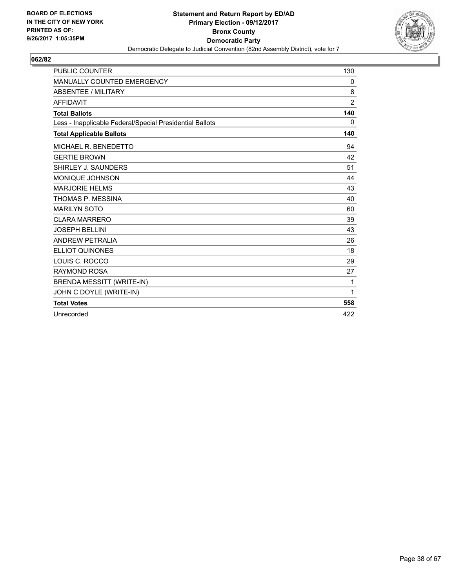

| <b>PUBLIC COUNTER</b>                                    | 130            |
|----------------------------------------------------------|----------------|
| MANUALLY COUNTED EMERGENCY                               | 0              |
| <b>ABSENTEE / MILITARY</b>                               | 8              |
| <b>AFFIDAVIT</b>                                         | $\overline{2}$ |
| <b>Total Ballots</b>                                     | 140            |
| Less - Inapplicable Federal/Special Presidential Ballots | 0              |
| <b>Total Applicable Ballots</b>                          | 140            |
| MICHAEL R. BENEDETTO                                     | 94             |
| <b>GERTIE BROWN</b>                                      | 42             |
| SHIRLEY J. SAUNDERS                                      | 51             |
| <b>MONIQUE JOHNSON</b>                                   | 44             |
| <b>MARJORIE HELMS</b>                                    | 43             |
| THOMAS P. MESSINA                                        | 40             |
| <b>MARILYN SOTO</b>                                      | 60             |
| <b>CLARA MARRERO</b>                                     | 39             |
| <b>JOSEPH BELLINI</b>                                    | 43             |
| <b>ANDREW PETRALIA</b>                                   | 26             |
| <b>ELLIOT QUINONES</b>                                   | 18             |
| LOUIS C. ROCCO                                           | 29             |
| <b>RAYMOND ROSA</b>                                      | 27             |
| <b>BRENDA MESSITT (WRITE-IN)</b>                         | 1              |
| JOHN C DOYLE (WRITE-IN)                                  | 1              |
| <b>Total Votes</b>                                       | 558            |
| Unrecorded                                               | 422            |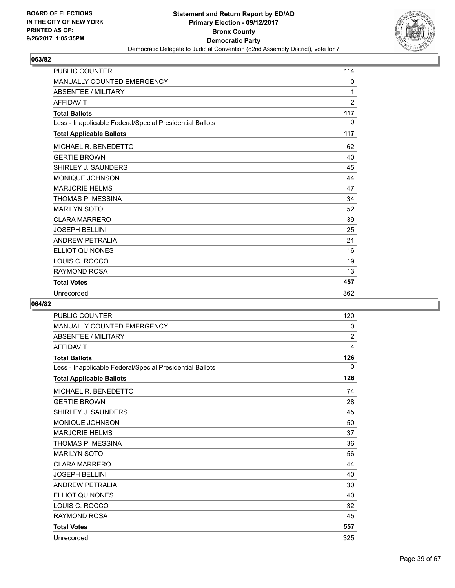

| <b>PUBLIC COUNTER</b>                                    | 114            |
|----------------------------------------------------------|----------------|
| <b>MANUALLY COUNTED EMERGENCY</b>                        | 0              |
| <b>ABSENTEE / MILITARY</b>                               | 1              |
| <b>AFFIDAVIT</b>                                         | $\overline{2}$ |
| <b>Total Ballots</b>                                     | 117            |
| Less - Inapplicable Federal/Special Presidential Ballots | $\mathbf{0}$   |
| <b>Total Applicable Ballots</b>                          | 117            |
| MICHAEL R. BENEDETTO                                     | 62             |
| <b>GERTIE BROWN</b>                                      | 40             |
| SHIRLEY J. SAUNDERS                                      | 45             |
| <b>MONIQUE JOHNSON</b>                                   | 44             |
| <b>MARJORIE HELMS</b>                                    | 47             |
| THOMAS P. MESSINA                                        | 34             |
| <b>MARILYN SOTO</b>                                      | 52             |
| <b>CLARA MARRERO</b>                                     | 39             |
| <b>JOSEPH BELLINI</b>                                    | 25             |
| <b>ANDREW PETRALIA</b>                                   | 21             |
| <b>ELLIOT QUINONES</b>                                   | 16             |
| LOUIS C. ROCCO                                           | 19             |
| RAYMOND ROSA                                             | 13             |
| <b>Total Votes</b>                                       | 457            |
| Unrecorded                                               | 362            |

| <b>PUBLIC COUNTER</b>                                    | 120 |
|----------------------------------------------------------|-----|
| <b>MANUALLY COUNTED EMERGENCY</b>                        | 0   |
| <b>ABSENTEE / MILITARY</b>                               | 2   |
| <b>AFFIDAVIT</b>                                         | 4   |
| <b>Total Ballots</b>                                     | 126 |
| Less - Inapplicable Federal/Special Presidential Ballots | 0   |
| <b>Total Applicable Ballots</b>                          | 126 |
| MICHAEL R. BENEDETTO                                     | 74  |
| <b>GERTIE BROWN</b>                                      | 28  |
| SHIRLEY J. SAUNDERS                                      | 45  |
| MONIQUE JOHNSON                                          | 50  |
| <b>MARJORIE HELMS</b>                                    | 37  |
| THOMAS P. MESSINA                                        | 36  |
| <b>MARILYN SOTO</b>                                      | 56  |
| <b>CLARA MARRERO</b>                                     | 44  |
| <b>JOSEPH BELLINI</b>                                    | 40  |
| <b>ANDREW PETRALIA</b>                                   | 30  |
| <b>ELLIOT QUINONES</b>                                   | 40  |
| LOUIS C. ROCCO                                           | 32  |
| <b>RAYMOND ROSA</b>                                      | 45  |
| <b>Total Votes</b>                                       | 557 |
| Unrecorded                                               | 325 |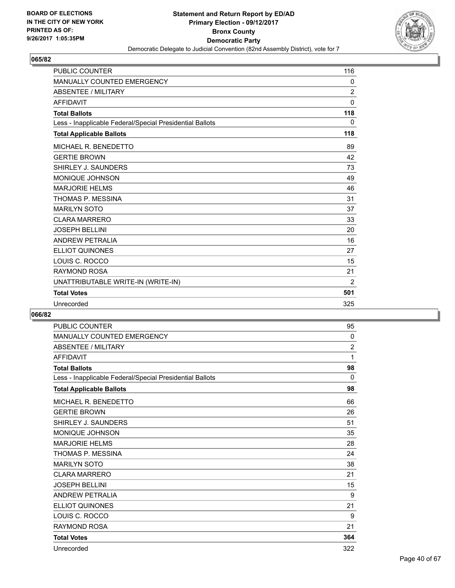

| <b>PUBLIC COUNTER</b>                                    | 116            |
|----------------------------------------------------------|----------------|
| <b>MANUALLY COUNTED EMERGENCY</b>                        | 0              |
| <b>ABSENTEE / MILITARY</b>                               | $\overline{2}$ |
| <b>AFFIDAVIT</b>                                         | $\mathbf{0}$   |
| <b>Total Ballots</b>                                     | 118            |
| Less - Inapplicable Federal/Special Presidential Ballots | 0              |
| <b>Total Applicable Ballots</b>                          | 118            |
| MICHAEL R. BENEDETTO                                     | 89             |
| <b>GERTIE BROWN</b>                                      | 42             |
| SHIRLEY J. SAUNDERS                                      | 73             |
| <b>MONIQUE JOHNSON</b>                                   | 49             |
| <b>MARJORIE HELMS</b>                                    | 46             |
| THOMAS P. MESSINA                                        | 31             |
| <b>MARILYN SOTO</b>                                      | 37             |
| <b>CLARA MARRERO</b>                                     | 33             |
| <b>JOSEPH BELLINI</b>                                    | 20             |
| <b>ANDREW PETRALIA</b>                                   | 16             |
| <b>ELLIOT QUINONES</b>                                   | 27             |
| LOUIS C. ROCCO                                           | 15             |
| <b>RAYMOND ROSA</b>                                      | 21             |
| UNATTRIBUTABLE WRITE-IN (WRITE-IN)                       | $\overline{2}$ |
| <b>Total Votes</b>                                       | 501            |
| Unrecorded                                               | 325            |

| <b>PUBLIC COUNTER</b>                                    | 95             |
|----------------------------------------------------------|----------------|
| <b>MANUALLY COUNTED EMERGENCY</b>                        | 0              |
| <b>ABSENTEE / MILITARY</b>                               | $\overline{c}$ |
| <b>AFFIDAVIT</b>                                         | 1              |
| <b>Total Ballots</b>                                     | 98             |
| Less - Inapplicable Federal/Special Presidential Ballots | $\mathbf{0}$   |
| <b>Total Applicable Ballots</b>                          | 98             |
| MICHAEL R. BENEDETTO                                     | 66             |
| <b>GERTIE BROWN</b>                                      | 26             |
| SHIRLEY J. SAUNDERS                                      | 51             |
| <b>MONIQUE JOHNSON</b>                                   | 35             |
| <b>MARJORIE HELMS</b>                                    | 28             |
| THOMAS P. MESSINA                                        | 24             |
| <b>MARILYN SOTO</b>                                      | 38             |
| <b>CLARA MARRERO</b>                                     | 21             |
| <b>JOSEPH BELLINI</b>                                    | 15             |
| <b>ANDREW PETRALIA</b>                                   | 9              |
| <b>ELLIOT QUINONES</b>                                   | 21             |
| LOUIS C. ROCCO                                           | 9              |
| <b>RAYMOND ROSA</b>                                      | 21             |
| <b>Total Votes</b>                                       | 364            |
| Unrecorded                                               | 322            |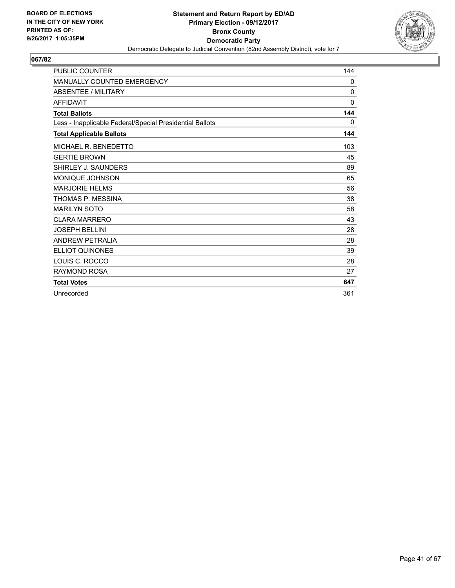

| <b>PUBLIC COUNTER</b>                                    | 144          |
|----------------------------------------------------------|--------------|
| <b>MANUALLY COUNTED EMERGENCY</b>                        | $\mathbf{0}$ |
| <b>ABSENTEE / MILITARY</b>                               | $\Omega$     |
| <b>AFFIDAVIT</b>                                         | $\mathbf{0}$ |
| <b>Total Ballots</b>                                     | 144          |
| Less - Inapplicable Federal/Special Presidential Ballots | 0            |
| <b>Total Applicable Ballots</b>                          | 144          |
| MICHAEL R. BENEDETTO                                     | 103          |
| <b>GERTIE BROWN</b>                                      | 45           |
| SHIRLEY J. SAUNDERS                                      | 89           |
| <b>MONIQUE JOHNSON</b>                                   | 65           |
| <b>MARJORIE HELMS</b>                                    | 56           |
| THOMAS P. MESSINA                                        | 38           |
| <b>MARILYN SOTO</b>                                      | 58           |
| <b>CLARA MARRERO</b>                                     | 43           |
| <b>JOSEPH BELLINI</b>                                    | 28           |
| <b>ANDREW PETRALIA</b>                                   | 28           |
| <b>ELLIOT QUINONES</b>                                   | 39           |
| LOUIS C. ROCCO                                           | 28           |
| <b>RAYMOND ROSA</b>                                      | 27           |
| <b>Total Votes</b>                                       | 647          |
| Unrecorded                                               | 361          |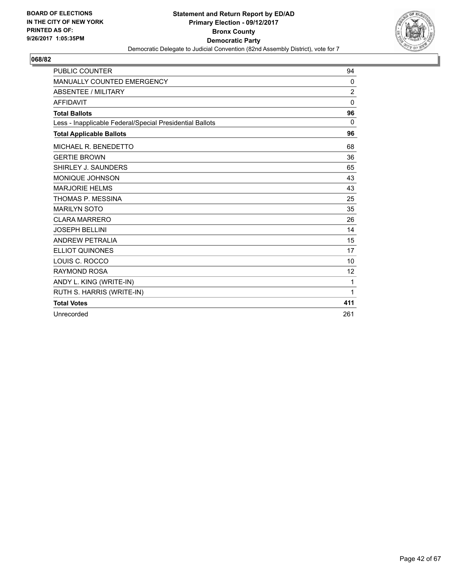

| <b>PUBLIC COUNTER</b>                                    | 94                |
|----------------------------------------------------------|-------------------|
| MANUALLY COUNTED EMERGENCY                               | 0                 |
| <b>ABSENTEE / MILITARY</b>                               | 2                 |
| <b>AFFIDAVIT</b>                                         | $\mathbf{0}$      |
| <b>Total Ballots</b>                                     | 96                |
| Less - Inapplicable Federal/Special Presidential Ballots | $\Omega$          |
| <b>Total Applicable Ballots</b>                          | 96                |
| MICHAEL R. BENEDETTO                                     | 68                |
| <b>GERTIE BROWN</b>                                      | 36                |
| SHIRLEY J. SAUNDERS                                      | 65                |
| MONIQUE JOHNSON                                          | 43                |
| <b>MARJORIE HELMS</b>                                    | 43                |
| THOMAS P. MESSINA                                        | 25                |
| <b>MARILYN SOTO</b>                                      | 35                |
| <b>CLARA MARRERO</b>                                     | 26                |
| <b>JOSEPH BELLINI</b>                                    | 14                |
| <b>ANDREW PETRALIA</b>                                   | 15                |
| <b>ELLIOT QUINONES</b>                                   | 17                |
| LOUIS C. ROCCO                                           | 10                |
| <b>RAYMOND ROSA</b>                                      | $12 \overline{ }$ |
| ANDY L. KING (WRITE-IN)                                  | 1                 |
| RUTH S. HARRIS (WRITE-IN)                                | 1                 |
| <b>Total Votes</b>                                       | 411               |
| Unrecorded                                               | 261               |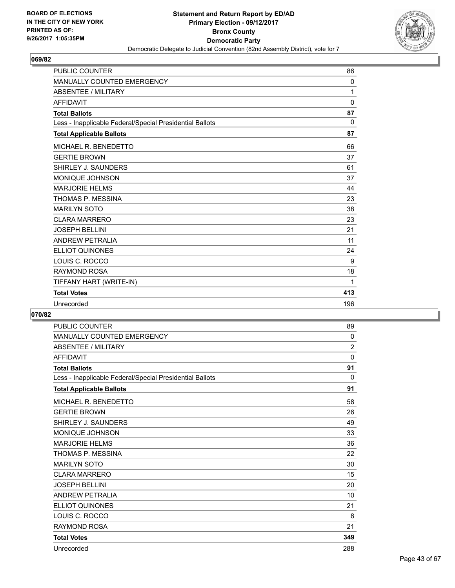

| <b>PUBLIC COUNTER</b>                                    | 86           |
|----------------------------------------------------------|--------------|
| <b>MANUALLY COUNTED EMERGENCY</b>                        | 0            |
| <b>ABSENTEE / MILITARY</b>                               | 1            |
| <b>AFFIDAVIT</b>                                         | $\mathbf 0$  |
| <b>Total Ballots</b>                                     | 87           |
| Less - Inapplicable Federal/Special Presidential Ballots | $\mathbf{0}$ |
| <b>Total Applicable Ballots</b>                          | 87           |
| MICHAEL R. BENEDETTO                                     | 66           |
| <b>GERTIE BROWN</b>                                      | 37           |
| SHIRLEY J. SAUNDERS                                      | 61           |
| MONIQUE JOHNSON                                          | 37           |
| <b>MARJORIE HELMS</b>                                    | 44           |
| THOMAS P. MESSINA                                        | 23           |
| <b>MARILYN SOTO</b>                                      | 38           |
| <b>CLARA MARRERO</b>                                     | 23           |
| <b>JOSEPH BELLINI</b>                                    | 21           |
| <b>ANDREW PETRALIA</b>                                   | 11           |
| <b>ELLIOT QUINONES</b>                                   | 24           |
| LOUIS C. ROCCO                                           | 9            |
| <b>RAYMOND ROSA</b>                                      | 18           |
| TIFFANY HART (WRITE-IN)                                  | 1            |
| <b>Total Votes</b>                                       | 413          |
| Unrecorded                                               | 196          |

| <b>PUBLIC COUNTER</b>                                    | 89             |
|----------------------------------------------------------|----------------|
| <b>MANUALLY COUNTED EMERGENCY</b>                        | $\mathbf{0}$   |
| <b>ABSENTEE / MILITARY</b>                               | $\overline{2}$ |
| <b>AFFIDAVIT</b>                                         | 0              |
| <b>Total Ballots</b>                                     | 91             |
| Less - Inapplicable Federal/Special Presidential Ballots | $\Omega$       |
| <b>Total Applicable Ballots</b>                          | 91             |
| MICHAEL R. BENEDETTO                                     | 58             |
| <b>GERTIE BROWN</b>                                      | 26             |
| SHIRLEY J. SAUNDERS                                      | 49             |
| <b>MONIQUE JOHNSON</b>                                   | 33             |
| <b>MARJORIE HELMS</b>                                    | 36             |
| THOMAS P. MESSINA                                        | 22             |
| <b>MARILYN SOTO</b>                                      | 30             |
| <b>CLARA MARRERO</b>                                     | 15             |
| <b>JOSEPH BELLINI</b>                                    | 20             |
| <b>ANDREW PETRALIA</b>                                   | 10             |
| <b>ELLIOT QUINONES</b>                                   | 21             |
| LOUIS C. ROCCO                                           | 8              |
| <b>RAYMOND ROSA</b>                                      | 21             |
| <b>Total Votes</b>                                       | 349            |
| Unrecorded                                               | 288            |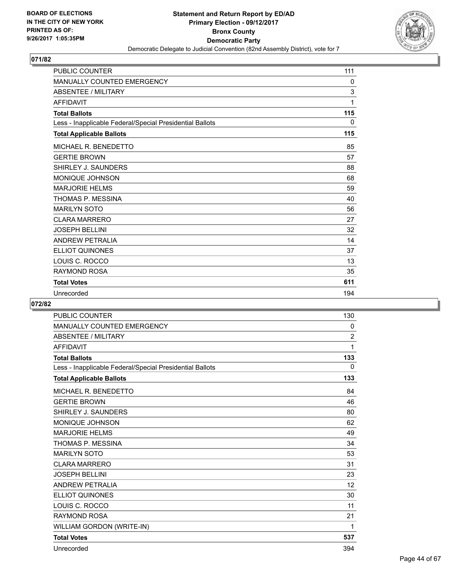

| <b>PUBLIC COUNTER</b>                                    | 111 |
|----------------------------------------------------------|-----|
| <b>MANUALLY COUNTED EMERGENCY</b>                        | 0   |
| <b>ABSENTEE / MILITARY</b>                               | 3   |
| <b>AFFIDAVIT</b>                                         | 1   |
| <b>Total Ballots</b>                                     | 115 |
| Less - Inapplicable Federal/Special Presidential Ballots | 0   |
| <b>Total Applicable Ballots</b>                          | 115 |
| MICHAEL R. BENEDETTO                                     | 85  |
| <b>GERTIE BROWN</b>                                      | 57  |
| SHIRLEY J. SAUNDERS                                      | 88  |
| <b>MONIQUE JOHNSON</b>                                   | 68  |
| <b>MARJORIE HELMS</b>                                    | 59  |
| THOMAS P. MESSINA                                        | 40  |
| <b>MARILYN SOTO</b>                                      | 56  |
| <b>CLARA MARRERO</b>                                     | 27  |
| <b>JOSEPH BELLINI</b>                                    | 32  |
| <b>ANDREW PETRALIA</b>                                   | 14  |
| <b>ELLIOT QUINONES</b>                                   | 37  |
| LOUIS C. ROCCO                                           | 13  |
| RAYMOND ROSA                                             | 35  |
| <b>Total Votes</b>                                       | 611 |
| Unrecorded                                               | 194 |

| <b>PUBLIC COUNTER</b>                                    | 130            |
|----------------------------------------------------------|----------------|
| <b>MANUALLY COUNTED EMERGENCY</b>                        | 0              |
| ABSENTEE / MILITARY                                      | $\overline{2}$ |
| <b>AFFIDAVIT</b>                                         | 1              |
| <b>Total Ballots</b>                                     | 133            |
| Less - Inapplicable Federal/Special Presidential Ballots | 0              |
| <b>Total Applicable Ballots</b>                          | 133            |
| MICHAEL R. BENEDETTO                                     | 84             |
| <b>GERTIE BROWN</b>                                      | 46             |
| SHIRLEY J. SAUNDERS                                      | 80             |
| MONIQUE JOHNSON                                          | 62             |
| <b>MARJORIE HELMS</b>                                    | 49             |
| THOMAS P. MESSINA                                        | 34             |
| <b>MARILYN SOTO</b>                                      | 53             |
| <b>CLARA MARRERO</b>                                     | 31             |
| <b>JOSEPH BELLINI</b>                                    | 23             |
| <b>ANDREW PETRALIA</b>                                   | 12             |
| <b>ELLIOT QUINONES</b>                                   | 30             |
| LOUIS C. ROCCO                                           | 11             |
| RAYMOND ROSA                                             | 21             |
| WILLIAM GORDON (WRITE-IN)                                | 1              |
| <b>Total Votes</b>                                       | 537            |
| Unrecorded                                               | 394            |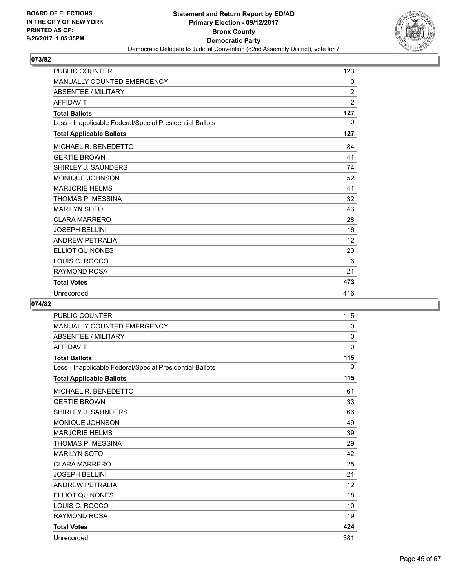

| <b>PUBLIC COUNTER</b>                                    | 123            |
|----------------------------------------------------------|----------------|
| <b>MANUALLY COUNTED EMERGENCY</b>                        | 0              |
| <b>ABSENTEE / MILITARY</b>                               | $\overline{2}$ |
| <b>AFFIDAVIT</b>                                         | $\overline{2}$ |
| <b>Total Ballots</b>                                     | 127            |
| Less - Inapplicable Federal/Special Presidential Ballots | $\mathbf{0}$   |
| <b>Total Applicable Ballots</b>                          | 127            |
| MICHAEL R. BENEDETTO                                     | 84             |
| <b>GERTIE BROWN</b>                                      | 41             |
| SHIRLEY J. SAUNDERS                                      | 74             |
| <b>MONIQUE JOHNSON</b>                                   | 52             |
| <b>MARJORIE HELMS</b>                                    | 41             |
| THOMAS P. MESSINA                                        | 32             |
| <b>MARILYN SOTO</b>                                      | 43             |
| <b>CLARA MARRERO</b>                                     | 28             |
| <b>JOSEPH BELLINI</b>                                    | 16             |
| <b>ANDREW PETRALIA</b>                                   | 12             |
| <b>ELLIOT QUINONES</b>                                   | 23             |
| LOUIS C. ROCCO                                           | 6              |
| RAYMOND ROSA                                             | 21             |
| <b>Total Votes</b>                                       | 473            |
| Unrecorded                                               | 416            |

| <b>PUBLIC COUNTER</b>                                    | 115         |
|----------------------------------------------------------|-------------|
| <b>MANUALLY COUNTED EMERGENCY</b>                        | 0           |
| <b>ABSENTEE / MILITARY</b>                               | $\mathbf 0$ |
| <b>AFFIDAVIT</b>                                         | $\mathbf 0$ |
| <b>Total Ballots</b>                                     | 115         |
| Less - Inapplicable Federal/Special Presidential Ballots | 0           |
| <b>Total Applicable Ballots</b>                          | 115         |
| MICHAEL R. BENEDETTO                                     | 61          |
| <b>GERTIE BROWN</b>                                      | 33          |
| SHIRLEY J. SAUNDERS                                      | 66          |
| <b>MONIQUE JOHNSON</b>                                   | 49          |
| <b>MARJORIE HELMS</b>                                    | 39          |
| THOMAS P. MESSINA                                        | 29          |
| <b>MARILYN SOTO</b>                                      | 42          |
| <b>CLARA MARRERO</b>                                     | 25          |
| <b>JOSEPH BELLINI</b>                                    | 21          |
| <b>ANDREW PETRALIA</b>                                   | 12          |
| <b>ELLIOT QUINONES</b>                                   | 18          |
| LOUIS C. ROCCO                                           | 10          |
| <b>RAYMOND ROSA</b>                                      | 19          |
| <b>Total Votes</b>                                       | 424         |
| Unrecorded                                               | 381         |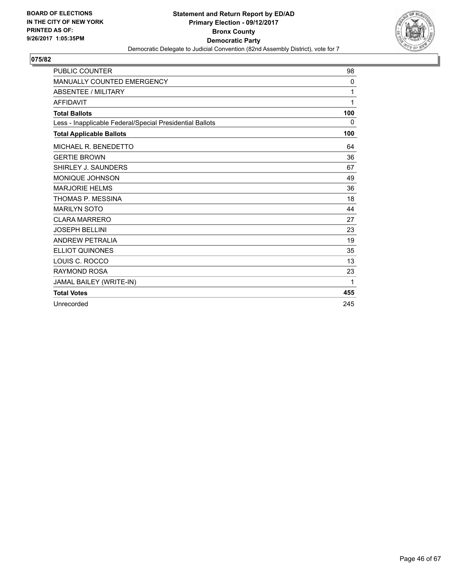

| <b>PUBLIC COUNTER</b>                                    | 98           |
|----------------------------------------------------------|--------------|
| <b>MANUALLY COUNTED EMERGENCY</b>                        | $\mathbf{0}$ |
| <b>ABSENTEE / MILITARY</b>                               | 1            |
| <b>AFFIDAVIT</b>                                         | 1            |
| <b>Total Ballots</b>                                     | 100          |
| Less - Inapplicable Federal/Special Presidential Ballots | $\Omega$     |
| <b>Total Applicable Ballots</b>                          | 100          |
| MICHAEL R. BENEDETTO                                     | 64           |
| <b>GERTIE BROWN</b>                                      | 36           |
| SHIRLEY J. SAUNDERS                                      | 67           |
| <b>MONIQUE JOHNSON</b>                                   | 49           |
| <b>MARJORIE HELMS</b>                                    | 36           |
| THOMAS P. MESSINA                                        | 18           |
| <b>MARILYN SOTO</b>                                      | 44           |
| <b>CLARA MARRERO</b>                                     | 27           |
| <b>JOSEPH BELLINI</b>                                    | 23           |
| ANDREW PETRALIA                                          | 19           |
| <b>ELLIOT QUINONES</b>                                   | 35           |
| LOUIS C. ROCCO                                           | 13           |
| <b>RAYMOND ROSA</b>                                      | 23           |
| JAMAL BAILEY (WRITE-IN)                                  | 1            |
| <b>Total Votes</b>                                       | 455          |
| Unrecorded                                               | 245          |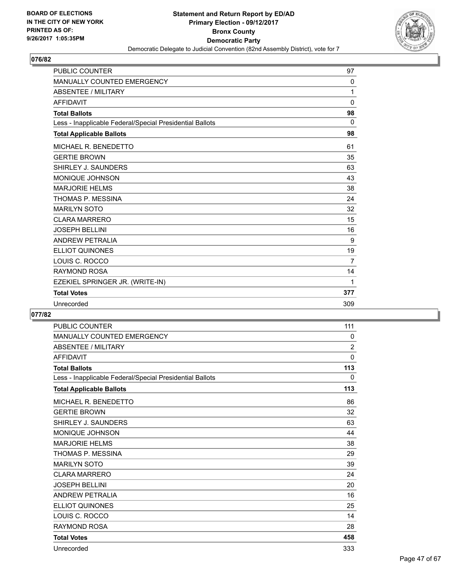

| <b>PUBLIC COUNTER</b>                                    | 97             |
|----------------------------------------------------------|----------------|
| <b>MANUALLY COUNTED EMERGENCY</b>                        | 0              |
| <b>ABSENTEE / MILITARY</b>                               | 1              |
| <b>AFFIDAVIT</b>                                         | $\mathbf 0$    |
| <b>Total Ballots</b>                                     | 98             |
| Less - Inapplicable Federal/Special Presidential Ballots | $\mathbf{0}$   |
| <b>Total Applicable Ballots</b>                          | 98             |
| MICHAEL R. BENEDETTO                                     | 61             |
| <b>GERTIE BROWN</b>                                      | 35             |
| SHIRLEY J. SAUNDERS                                      | 63             |
| <b>MONIQUE JOHNSON</b>                                   | 43             |
| <b>MARJORIE HELMS</b>                                    | 38             |
| THOMAS P. MESSINA                                        | 24             |
| <b>MARILYN SOTO</b>                                      | 32             |
| <b>CLARA MARRERO</b>                                     | 15             |
| <b>JOSEPH BELLINI</b>                                    | 16             |
| <b>ANDREW PETRALIA</b>                                   | 9              |
| <b>ELLIOT QUINONES</b>                                   | 19             |
| LOUIS C. ROCCO                                           | $\overline{7}$ |
| <b>RAYMOND ROSA</b>                                      | 14             |
| EZEKIEL SPRINGER JR. (WRITE-IN)                          | 1              |
| <b>Total Votes</b>                                       | 377            |
| Unrecorded                                               | 309            |

| <b>PUBLIC COUNTER</b>                                    | 111            |
|----------------------------------------------------------|----------------|
| <b>MANUALLY COUNTED EMERGENCY</b>                        | 0              |
| <b>ABSENTEE / MILITARY</b>                               | $\overline{2}$ |
| <b>AFFIDAVIT</b>                                         | 0              |
| <b>Total Ballots</b>                                     | 113            |
| Less - Inapplicable Federal/Special Presidential Ballots | $\mathbf{0}$   |
| <b>Total Applicable Ballots</b>                          | 113            |
| MICHAEL R. BENEDETTO                                     | 86             |
| <b>GERTIE BROWN</b>                                      | 32             |
| SHIRLEY J. SAUNDERS                                      | 63             |
| MONIQUE JOHNSON                                          | 44             |
| <b>MARJORIE HELMS</b>                                    | 38             |
| THOMAS P. MESSINA                                        | 29             |
| <b>MARILYN SOTO</b>                                      | 39             |
| <b>CLARA MARRERO</b>                                     | 24             |
| <b>JOSEPH BELLINI</b>                                    | 20             |
| <b>ANDREW PETRALIA</b>                                   | 16             |
| <b>ELLIOT QUINONES</b>                                   | 25             |
| LOUIS C. ROCCO                                           | 14             |
| <b>RAYMOND ROSA</b>                                      | 28             |
| <b>Total Votes</b>                                       | 458            |
| Unrecorded                                               | 333            |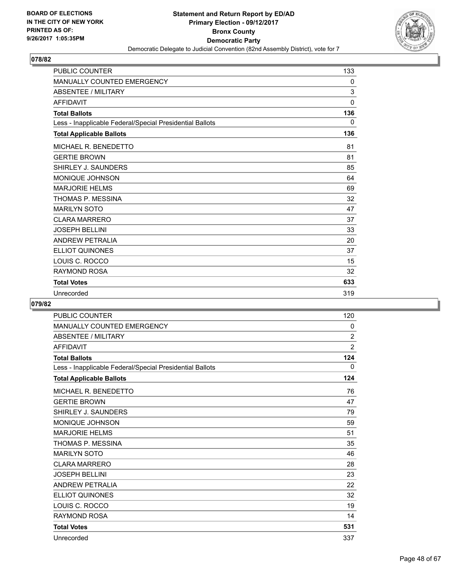

| <b>PUBLIC COUNTER</b>                                    | 133          |
|----------------------------------------------------------|--------------|
| <b>MANUALLY COUNTED EMERGENCY</b>                        | $\mathbf{0}$ |
| <b>ABSENTEE / MILITARY</b>                               | 3            |
| <b>AFFIDAVIT</b>                                         | $\Omega$     |
| <b>Total Ballots</b>                                     | 136          |
| Less - Inapplicable Federal/Special Presidential Ballots | 0            |
| <b>Total Applicable Ballots</b>                          | 136          |
| MICHAEL R. BENEDETTO                                     | 81           |
| <b>GERTIE BROWN</b>                                      | 81           |
| SHIRLEY J. SAUNDERS                                      | 85           |
| <b>MONIQUE JOHNSON</b>                                   | 64           |
| <b>MARJORIE HELMS</b>                                    | 69           |
| THOMAS P. MESSINA                                        | 32           |
| <b>MARILYN SOTO</b>                                      | 47           |
| <b>CLARA MARRERO</b>                                     | 37           |
| <b>JOSEPH BELLINI</b>                                    | 33           |
| <b>ANDREW PETRALIA</b>                                   | 20           |
| <b>ELLIOT QUINONES</b>                                   | 37           |
| LOUIS C. ROCCO                                           | 15           |
| <b>RAYMOND ROSA</b>                                      | 32           |
| <b>Total Votes</b>                                       | 633          |
| Unrecorded                                               | 319          |

| <b>PUBLIC COUNTER</b>                                    | 120            |
|----------------------------------------------------------|----------------|
| <b>MANUALLY COUNTED EMERGENCY</b>                        | 0              |
| <b>ABSENTEE / MILITARY</b>                               | $\overline{2}$ |
| <b>AFFIDAVIT</b>                                         | $\overline{2}$ |
| <b>Total Ballots</b>                                     | 124            |
| Less - Inapplicable Federal/Special Presidential Ballots | 0              |
| <b>Total Applicable Ballots</b>                          | 124            |
| MICHAEL R. BENEDETTO                                     | 76             |
| <b>GERTIE BROWN</b>                                      | 47             |
| SHIRLEY J. SAUNDERS                                      | 79             |
| <b>MONIQUE JOHNSON</b>                                   | 59             |
| <b>MARJORIE HELMS</b>                                    | 51             |
| THOMAS P. MESSINA                                        | 35             |
| <b>MARILYN SOTO</b>                                      | 46             |
| <b>CLARA MARRERO</b>                                     | 28             |
| <b>JOSEPH BELLINI</b>                                    | 23             |
| <b>ANDREW PETRALIA</b>                                   | 22             |
| <b>ELLIOT QUINONES</b>                                   | 32             |
| LOUIS C. ROCCO                                           | 19             |
| <b>RAYMOND ROSA</b>                                      | 14             |
| <b>Total Votes</b>                                       | 531            |
| Unrecorded                                               | 337            |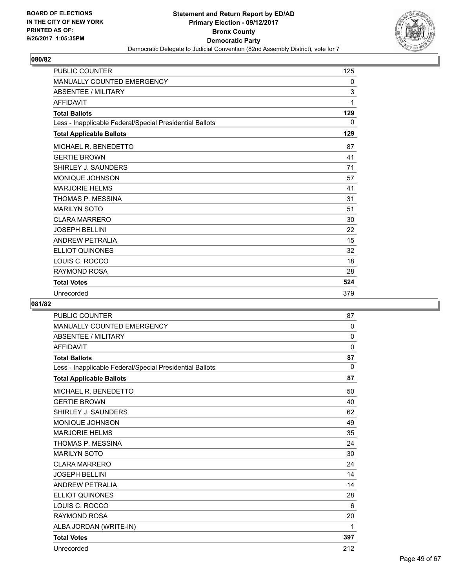

| <b>PUBLIC COUNTER</b>                                    | 125 |
|----------------------------------------------------------|-----|
| <b>MANUALLY COUNTED EMERGENCY</b>                        | 0   |
| <b>ABSENTEE / MILITARY</b>                               | 3   |
| <b>AFFIDAVIT</b>                                         | 1   |
| <b>Total Ballots</b>                                     | 129 |
| Less - Inapplicable Federal/Special Presidential Ballots | 0   |
| <b>Total Applicable Ballots</b>                          | 129 |
| MICHAEL R. BENEDETTO                                     | 87  |
| <b>GERTIE BROWN</b>                                      | 41  |
| SHIRLEY J. SAUNDERS                                      | 71  |
| <b>MONIQUE JOHNSON</b>                                   | 57  |
| <b>MARJORIE HELMS</b>                                    | 41  |
| THOMAS P. MESSINA                                        | 31  |
| <b>MARILYN SOTO</b>                                      | 51  |
| <b>CLARA MARRERO</b>                                     | 30  |
| <b>JOSEPH BELLINI</b>                                    | 22  |
| <b>ANDREW PETRALIA</b>                                   | 15  |
| <b>ELLIOT QUINONES</b>                                   | 32  |
| LOUIS C. ROCCO                                           | 18  |
| <b>RAYMOND ROSA</b>                                      | 28  |
| <b>Total Votes</b>                                       | 524 |
| Unrecorded                                               | 379 |

| <b>PUBLIC COUNTER</b>                                    | 87           |
|----------------------------------------------------------|--------------|
| MANUALLY COUNTED EMERGENCY                               | 0            |
| <b>ABSENTEE / MILITARY</b>                               | 0            |
| <b>AFFIDAVIT</b>                                         | $\Omega$     |
| <b>Total Ballots</b>                                     | 87           |
| Less - Inapplicable Federal/Special Presidential Ballots | $\mathbf{0}$ |
| <b>Total Applicable Ballots</b>                          | 87           |
| MICHAEL R. BENEDETTO                                     | 50           |
| <b>GERTIE BROWN</b>                                      | 40           |
| SHIRLEY J. SAUNDERS                                      | 62           |
| <b>MONIQUE JOHNSON</b>                                   | 49           |
| <b>MARJORIE HELMS</b>                                    | 35           |
| <b>THOMAS P. MESSINA</b>                                 | 24           |
| <b>MARILYN SOTO</b>                                      | 30           |
| <b>CLARA MARRERO</b>                                     | 24           |
| <b>JOSEPH BELLINI</b>                                    | 14           |
| <b>ANDREW PETRALIA</b>                                   | 14           |
| <b>ELLIOT QUINONES</b>                                   | 28           |
| LOUIS C. ROCCO                                           | 6            |
| <b>RAYMOND ROSA</b>                                      | 20           |
| ALBA JORDAN (WRITE-IN)                                   | 1            |
| <b>Total Votes</b>                                       | 397          |
| Unrecorded                                               | 212          |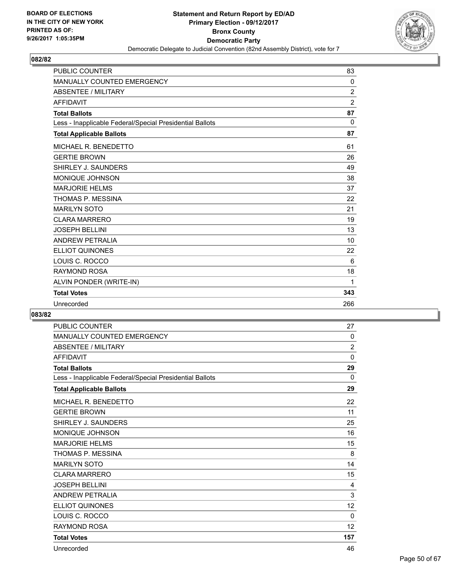

| <b>PUBLIC COUNTER</b>                                    | 83             |
|----------------------------------------------------------|----------------|
| <b>MANUALLY COUNTED EMERGENCY</b>                        | 0              |
| <b>ABSENTEE / MILITARY</b>                               | $\overline{2}$ |
| <b>AFFIDAVIT</b>                                         | $\overline{2}$ |
| <b>Total Ballots</b>                                     | 87             |
| Less - Inapplicable Federal/Special Presidential Ballots | $\Omega$       |
| <b>Total Applicable Ballots</b>                          | 87             |
| MICHAEL R. BENEDETTO                                     | 61             |
| <b>GERTIE BROWN</b>                                      | 26             |
| SHIRLEY J. SAUNDERS                                      | 49             |
| <b>MONIQUE JOHNSON</b>                                   | 38             |
| <b>MARJORIE HELMS</b>                                    | 37             |
| THOMAS P. MESSINA                                        | 22             |
| <b>MARILYN SOTO</b>                                      | 21             |
| <b>CLARA MARRERO</b>                                     | 19             |
| <b>JOSEPH BELLINI</b>                                    | 13             |
| <b>ANDREW PETRALIA</b>                                   | 10             |
| <b>ELLIOT QUINONES</b>                                   | 22             |
| LOUIS C. ROCCO                                           | 6              |
| <b>RAYMOND ROSA</b>                                      | 18             |
| ALVIN PONDER (WRITE-IN)                                  | 1              |
| <b>Total Votes</b>                                       | 343            |
| Unrecorded                                               | 266            |

| <b>PUBLIC COUNTER</b>                                    | 27             |
|----------------------------------------------------------|----------------|
| <b>MANUALLY COUNTED EMERGENCY</b>                        | 0              |
| <b>ABSENTEE / MILITARY</b>                               | $\overline{2}$ |
| <b>AFFIDAVIT</b>                                         | $\mathbf{0}$   |
| <b>Total Ballots</b>                                     | 29             |
| Less - Inapplicable Federal/Special Presidential Ballots | 0              |
| <b>Total Applicable Ballots</b>                          | 29             |
| MICHAEL R. BENEDETTO                                     | 22             |
| <b>GERTIE BROWN</b>                                      | 11             |
| SHIRLEY J. SAUNDERS                                      | 25             |
| MONIQUE JOHNSON                                          | 16             |
| <b>MARJORIE HELMS</b>                                    | 15             |
| THOMAS P. MESSINA                                        | 8              |
| <b>MARILYN SOTO</b>                                      | 14             |
| <b>CLARA MARRERO</b>                                     | 15             |
| <b>JOSEPH BELLINI</b>                                    | 4              |
| <b>ANDREW PETRALIA</b>                                   | 3              |
| <b>ELLIOT QUINONES</b>                                   | 12             |
| LOUIS C. ROCCO                                           | $\mathbf{0}$   |
| <b>RAYMOND ROSA</b>                                      | 12             |
| <b>Total Votes</b>                                       | 157            |
| Unrecorded                                               | 46             |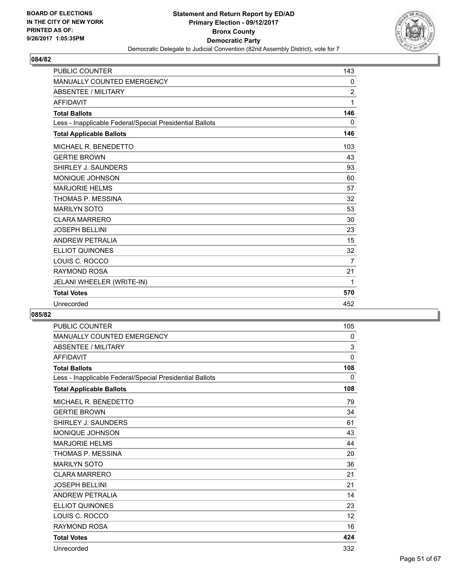

| <b>PUBLIC COUNTER</b>                                    | 143            |
|----------------------------------------------------------|----------------|
| <b>MANUALLY COUNTED EMERGENCY</b>                        | 0              |
| <b>ABSENTEE / MILITARY</b>                               | $\overline{2}$ |
| <b>AFFIDAVIT</b>                                         | 1              |
| <b>Total Ballots</b>                                     | 146            |
| Less - Inapplicable Federal/Special Presidential Ballots | 0              |
| <b>Total Applicable Ballots</b>                          | 146            |
| MICHAEL R. BENEDETTO                                     | 103            |
| <b>GERTIE BROWN</b>                                      | 43             |
| SHIRLEY J. SAUNDERS                                      | 93             |
| <b>MONIQUE JOHNSON</b>                                   | 60             |
| <b>MARJORIE HELMS</b>                                    | 57             |
| THOMAS P. MESSINA                                        | 32             |
| <b>MARILYN SOTO</b>                                      | 53             |
| <b>CLARA MARRERO</b>                                     | 30             |
| <b>JOSEPH BELLINI</b>                                    | 23             |
| <b>ANDREW PETRALIA</b>                                   | 15             |
| <b>ELLIOT QUINONES</b>                                   | 32             |
| LOUIS C. ROCCO                                           | $\overline{7}$ |
| <b>RAYMOND ROSA</b>                                      | 21             |
| JELANI WHEELER (WRITE-IN)                                | 1              |
| <b>Total Votes</b>                                       | 570            |
| Unrecorded                                               | 452            |

| <b>PUBLIC COUNTER</b>                                    | 105          |
|----------------------------------------------------------|--------------|
| <b>MANUALLY COUNTED EMERGENCY</b>                        | 0            |
| <b>ABSENTEE / MILITARY</b>                               | 3            |
| <b>AFFIDAVIT</b>                                         | $\mathbf{0}$ |
| <b>Total Ballots</b>                                     | 108          |
| Less - Inapplicable Federal/Special Presidential Ballots | 0            |
| <b>Total Applicable Ballots</b>                          | 108          |
| MICHAEL R. BENEDETTO                                     | 79           |
| <b>GERTIE BROWN</b>                                      | 34           |
| SHIRLEY J. SAUNDERS                                      | 61           |
| <b>MONIQUE JOHNSON</b>                                   | 43           |
| <b>MARJORIE HELMS</b>                                    | 44           |
| THOMAS P. MESSINA                                        | 20           |
| <b>MARILYN SOTO</b>                                      | 36           |
| <b>CLARA MARRERO</b>                                     | 21           |
| <b>JOSEPH BELLINI</b>                                    | 21           |
| <b>ANDREW PETRALIA</b>                                   | 14           |
| <b>ELLIOT QUINONES</b>                                   | 23           |
| LOUIS C. ROCCO                                           | 12           |
| <b>RAYMOND ROSA</b>                                      | 16           |
| <b>Total Votes</b>                                       | 424          |
| Unrecorded                                               | 332          |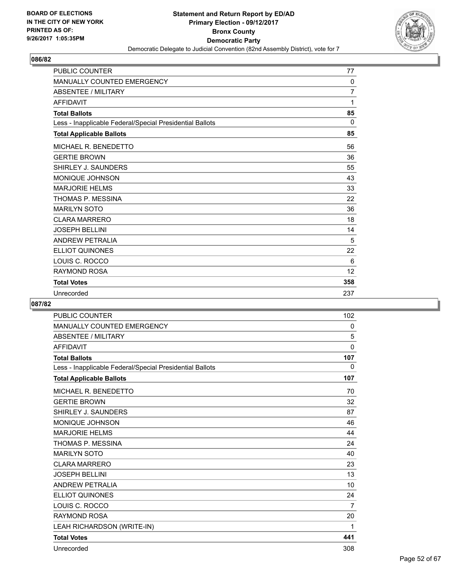

| <b>PUBLIC COUNTER</b>                                    | 77             |
|----------------------------------------------------------|----------------|
| <b>MANUALLY COUNTED EMERGENCY</b>                        | $\mathbf{0}$   |
| <b>ABSENTEE / MILITARY</b>                               | $\overline{7}$ |
| <b>AFFIDAVIT</b>                                         | 1              |
| <b>Total Ballots</b>                                     | 85             |
| Less - Inapplicable Federal/Special Presidential Ballots | $\Omega$       |
| <b>Total Applicable Ballots</b>                          | 85             |
| MICHAEL R. BENEDETTO                                     | 56             |
| <b>GERTIE BROWN</b>                                      | 36             |
| SHIRLEY J. SAUNDERS                                      | 55             |
| <b>MONIQUE JOHNSON</b>                                   | 43             |
| <b>MARJORIE HELMS</b>                                    | 33             |
| THOMAS P. MESSINA                                        | 22             |
| <b>MARILYN SOTO</b>                                      | 36             |
| <b>CLARA MARRERO</b>                                     | 18             |
| <b>JOSEPH BELLINI</b>                                    | 14             |
| <b>ANDREW PETRALIA</b>                                   | 5              |
| <b>ELLIOT QUINONES</b>                                   | 22             |
| LOUIS C. ROCCO                                           | 6              |
| <b>RAYMOND ROSA</b>                                      | 12             |
| <b>Total Votes</b>                                       | 358            |
| Unrecorded                                               | 237            |

| <b>PUBLIC COUNTER</b>                                    | 102            |
|----------------------------------------------------------|----------------|
| MANUALLY COUNTED EMERGENCY                               | 0              |
| <b>ABSENTEE / MILITARY</b>                               | 5              |
| <b>AFFIDAVIT</b>                                         | $\Omega$       |
| <b>Total Ballots</b>                                     | 107            |
| Less - Inapplicable Federal/Special Presidential Ballots | 0              |
| <b>Total Applicable Ballots</b>                          | 107            |
| MICHAEL R. BENEDETTO                                     | 70             |
| <b>GERTIE BROWN</b>                                      | 32             |
| SHIRLEY J. SAUNDERS                                      | 87             |
| <b>MONIQUE JOHNSON</b>                                   | 46             |
| <b>MARJORIE HELMS</b>                                    | 44             |
| THOMAS P. MESSINA                                        | 24             |
| <b>MARILYN SOTO</b>                                      | 40             |
| <b>CLARA MARRERO</b>                                     | 23             |
| <b>JOSEPH BELLINI</b>                                    | 13             |
| <b>ANDREW PETRALIA</b>                                   | 10             |
| <b>ELLIOT QUINONES</b>                                   | 24             |
| LOUIS C. ROCCO                                           | $\overline{7}$ |
| RAYMOND ROSA                                             | 20             |
| LEAH RICHARDSON (WRITE-IN)                               | 1              |
| <b>Total Votes</b>                                       | 441            |
| Unrecorded                                               | 308            |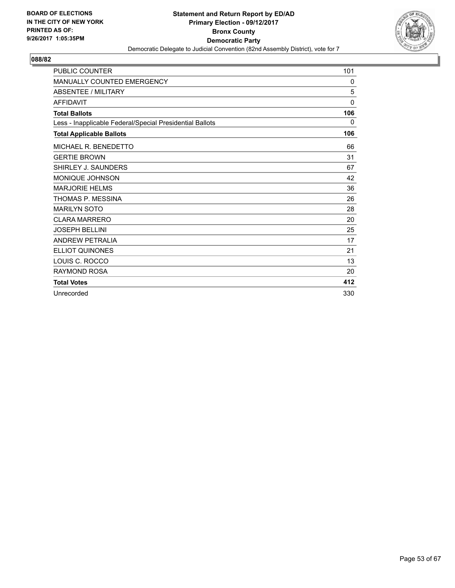

| <b>PUBLIC COUNTER</b>                                    | 101 |
|----------------------------------------------------------|-----|
| <b>MANUALLY COUNTED EMERGENCY</b>                        | 0   |
| <b>ABSENTEE / MILITARY</b>                               | 5   |
| <b>AFFIDAVIT</b>                                         | 0   |
| <b>Total Ballots</b>                                     | 106 |
| Less - Inapplicable Federal/Special Presidential Ballots | 0   |
| <b>Total Applicable Ballots</b>                          | 106 |
| MICHAEL R. BENEDETTO                                     | 66  |
| <b>GERTIE BROWN</b>                                      | 31  |
| SHIRLEY J. SAUNDERS                                      | 67  |
| MONIQUE JOHNSON                                          | 42  |
| <b>MARJORIE HELMS</b>                                    | 36  |
| THOMAS P. MESSINA                                        | 26  |
| <b>MARILYN SOTO</b>                                      | 28  |
| <b>CLARA MARRERO</b>                                     | 20  |
| <b>JOSEPH BELLINI</b>                                    | 25  |
| ANDREW PETRALIA                                          | 17  |
| <b>ELLIOT QUINONES</b>                                   | 21  |
| LOUIS C. ROCCO                                           | 13  |
| <b>RAYMOND ROSA</b>                                      | 20  |
| <b>Total Votes</b>                                       | 412 |
| Unrecorded                                               | 330 |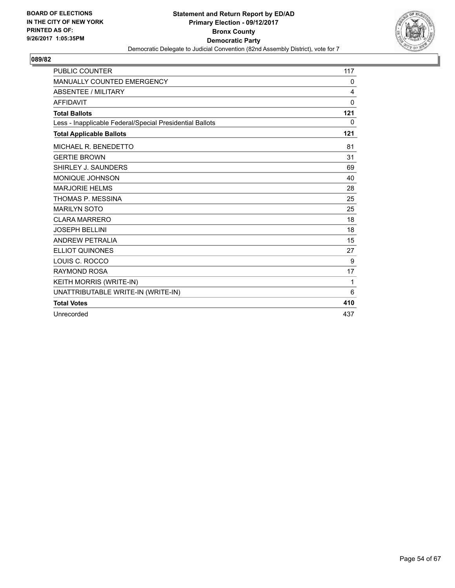

| <b>PUBLIC COUNTER</b>                                    | 117          |
|----------------------------------------------------------|--------------|
| MANUALLY COUNTED EMERGENCY                               | 0            |
| <b>ABSENTEE / MILITARY</b>                               | 4            |
| <b>AFFIDAVIT</b>                                         | 0            |
| <b>Total Ballots</b>                                     | 121          |
| Less - Inapplicable Federal/Special Presidential Ballots | $\mathbf{0}$ |
| <b>Total Applicable Ballots</b>                          | 121          |
| MICHAEL R. BENEDETTO                                     | 81           |
| <b>GERTIE BROWN</b>                                      | 31           |
| SHIRLEY J. SAUNDERS                                      | 69           |
| MONIQUE JOHNSON                                          | 40           |
| <b>MARJORIE HELMS</b>                                    | 28           |
| THOMAS P. MESSINA                                        | 25           |
| <b>MARILYN SOTO</b>                                      | 25           |
| <b>CLARA MARRERO</b>                                     | 18           |
| <b>JOSEPH BELLINI</b>                                    | 18           |
| ANDREW PETRALIA                                          | 15           |
| <b>ELLIOT QUINONES</b>                                   | 27           |
| LOUIS C. ROCCO                                           | 9            |
| <b>RAYMOND ROSA</b>                                      | 17           |
| KEITH MORRIS (WRITE-IN)                                  | 1            |
| UNATTRIBUTABLE WRITE-IN (WRITE-IN)                       | 6            |
| <b>Total Votes</b>                                       | 410          |
| Unrecorded                                               | 437          |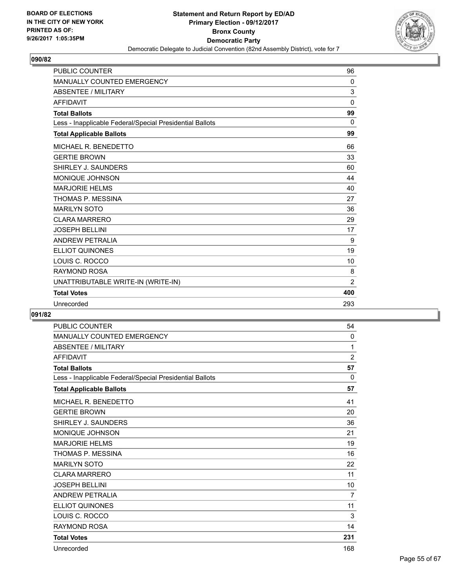

| <b>PUBLIC COUNTER</b>                                    | 96             |
|----------------------------------------------------------|----------------|
| MANUALLY COUNTED EMERGENCY                               | 0              |
| <b>ABSENTEE / MILITARY</b>                               | 3              |
| <b>AFFIDAVIT</b>                                         | 0              |
| <b>Total Ballots</b>                                     | 99             |
| Less - Inapplicable Federal/Special Presidential Ballots | $\Omega$       |
| <b>Total Applicable Ballots</b>                          | 99             |
| MICHAEL R. BENEDETTO                                     | 66             |
| <b>GERTIE BROWN</b>                                      | 33             |
| SHIRLEY J. SAUNDERS                                      | 60             |
| <b>MONIQUE JOHNSON</b>                                   | 44             |
| <b>MARJORIE HELMS</b>                                    | 40             |
| THOMAS P. MESSINA                                        | 27             |
| <b>MARILYN SOTO</b>                                      | 36             |
| <b>CLARA MARRERO</b>                                     | 29             |
| <b>JOSEPH BELLINI</b>                                    | 17             |
| <b>ANDREW PETRALIA</b>                                   | 9              |
| <b>ELLIOT QUINONES</b>                                   | 19             |
| LOUIS C. ROCCO                                           | 10             |
| <b>RAYMOND ROSA</b>                                      | 8              |
| UNATTRIBUTABLE WRITE-IN (WRITE-IN)                       | $\overline{2}$ |
| <b>Total Votes</b>                                       | 400            |
| Unrecorded                                               | 293            |

| PUBLIC COUNTER                                           | 54             |
|----------------------------------------------------------|----------------|
| <b>MANUALLY COUNTED EMERGENCY</b>                        | $\mathbf{0}$   |
| <b>ABSENTEE / MILITARY</b>                               | 1              |
| <b>AFFIDAVIT</b>                                         | 2              |
| <b>Total Ballots</b>                                     | 57             |
| Less - Inapplicable Federal/Special Presidential Ballots | $\Omega$       |
| <b>Total Applicable Ballots</b>                          | 57             |
| MICHAEL R. BENEDETTO                                     | 41             |
| <b>GERTIE BROWN</b>                                      | 20             |
| SHIRLEY J. SAUNDERS                                      | 36             |
| <b>MONIQUE JOHNSON</b>                                   | 21             |
| <b>MARJORIE HELMS</b>                                    | 19             |
| THOMAS P. MESSINA                                        | 16             |
| <b>MARILYN SOTO</b>                                      | 22             |
| <b>CLARA MARRERO</b>                                     | 11             |
| <b>JOSEPH BELLINI</b>                                    | 10             |
| <b>ANDREW PETRALIA</b>                                   | $\overline{7}$ |
| <b>ELLIOT QUINONES</b>                                   | 11             |
| LOUIS C. ROCCO                                           | 3              |
| <b>RAYMOND ROSA</b>                                      | 14             |
| <b>Total Votes</b>                                       | 231            |
| Unrecorded                                               | 168            |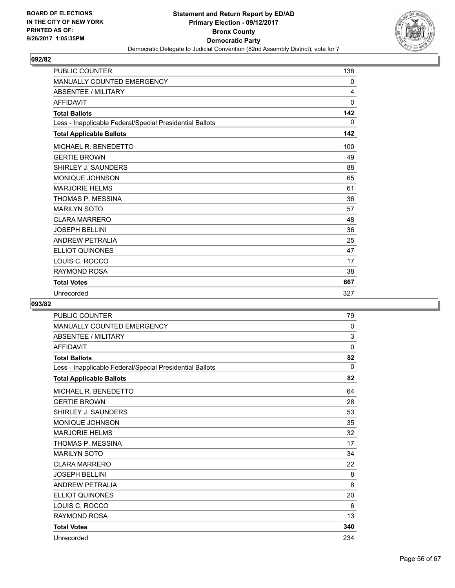

| <b>PUBLIC COUNTER</b>                                    | 138          |
|----------------------------------------------------------|--------------|
| <b>MANUALLY COUNTED EMERGENCY</b>                        | 0            |
| <b>ABSENTEE / MILITARY</b>                               | 4            |
| <b>AFFIDAVIT</b>                                         | $\mathbf{0}$ |
| <b>Total Ballots</b>                                     | 142          |
| Less - Inapplicable Federal/Special Presidential Ballots | 0            |
| <b>Total Applicable Ballots</b>                          | 142          |
| MICHAEL R. BENEDETTO                                     | 100          |
| <b>GERTIE BROWN</b>                                      | 49           |
| SHIRLEY J. SAUNDERS                                      | 88           |
| MONIQUE JOHNSON                                          | 65           |
| <b>MARJORIE HELMS</b>                                    | 61           |
| THOMAS P. MESSINA                                        | 36           |
| <b>MARILYN SOTO</b>                                      | 57           |
| <b>CLARA MARRERO</b>                                     | 48           |
| <b>JOSEPH BELLINI</b>                                    | 36           |
| <b>ANDREW PETRALIA</b>                                   | 25           |
| <b>ELLIOT QUINONES</b>                                   | 47           |
| LOUIS C. ROCCO                                           | 17           |
| <b>RAYMOND ROSA</b>                                      | 38           |
| <b>Total Votes</b>                                       | 667          |
| Unrecorded                                               | 327          |

| <b>PUBLIC COUNTER</b>                                    | 79  |
|----------------------------------------------------------|-----|
| <b>MANUALLY COUNTED EMERGENCY</b>                        | 0   |
| <b>ABSENTEE / MILITARY</b>                               | 3   |
| <b>AFFIDAVIT</b>                                         | 0   |
| <b>Total Ballots</b>                                     | 82  |
| Less - Inapplicable Federal/Special Presidential Ballots | 0   |
| <b>Total Applicable Ballots</b>                          | 82  |
| MICHAEL R. BENEDETTO                                     | 64  |
| <b>GERTIE BROWN</b>                                      | 28  |
| SHIRLEY J. SAUNDERS                                      | 53  |
| MONIQUE JOHNSON                                          | 35  |
| <b>MARJORIE HELMS</b>                                    | 32  |
| THOMAS P. MESSINA                                        | 17  |
| <b>MARILYN SOTO</b>                                      | 34  |
| <b>CLARA MARRERO</b>                                     | 22  |
| <b>JOSEPH BELLINI</b>                                    | 8   |
| <b>ANDREW PETRALIA</b>                                   | 8   |
| <b>ELLIOT QUINONES</b>                                   | 20  |
| LOUIS C. ROCCO                                           | 6   |
| <b>RAYMOND ROSA</b>                                      | 13  |
| <b>Total Votes</b>                                       | 340 |
| Unrecorded                                               | 234 |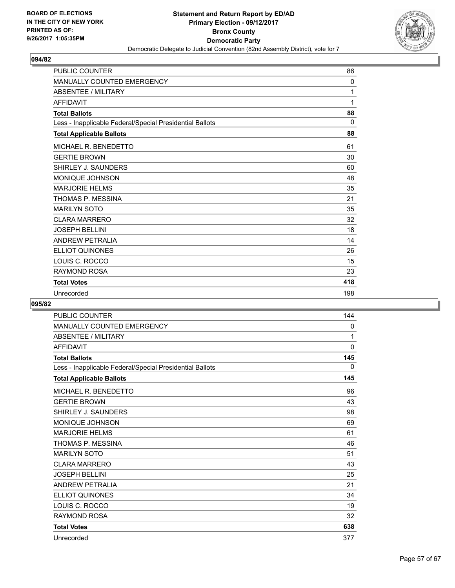

| <b>PUBLIC COUNTER</b>                                    | 86       |
|----------------------------------------------------------|----------|
| <b>MANUALLY COUNTED EMERGENCY</b>                        | $\Omega$ |
| <b>ABSENTEE / MILITARY</b>                               | 1        |
| <b>AFFIDAVIT</b>                                         | 1        |
| <b>Total Ballots</b>                                     | 88       |
| Less - Inapplicable Federal/Special Presidential Ballots | $\Omega$ |
| <b>Total Applicable Ballots</b>                          | 88       |
| MICHAEL R. BENEDETTO                                     | 61       |
| <b>GERTIE BROWN</b>                                      | 30       |
| SHIRLEY J. SAUNDERS                                      | 60       |
| <b>MONIQUE JOHNSON</b>                                   | 48       |
| <b>MARJORIE HELMS</b>                                    | 35       |
| THOMAS P. MESSINA                                        | 21       |
| <b>MARILYN SOTO</b>                                      | 35       |
| <b>CLARA MARRERO</b>                                     | 32       |
| <b>JOSEPH BELLINI</b>                                    | 18       |
| <b>ANDREW PETRALIA</b>                                   | 14       |
| <b>ELLIOT QUINONES</b>                                   | 26       |
| LOUIS C. ROCCO                                           | 15       |
| <b>RAYMOND ROSA</b>                                      | 23       |
| <b>Total Votes</b>                                       | 418      |
| Unrecorded                                               | 198      |

| <b>PUBLIC COUNTER</b>                                    | 144         |
|----------------------------------------------------------|-------------|
| <b>MANUALLY COUNTED EMERGENCY</b>                        | 0           |
| <b>ABSENTEE / MILITARY</b>                               | 1           |
| <b>AFFIDAVIT</b>                                         | $\mathbf 0$ |
| <b>Total Ballots</b>                                     | 145         |
| Less - Inapplicable Federal/Special Presidential Ballots | 0           |
| <b>Total Applicable Ballots</b>                          | 145         |
| MICHAEL R. BENEDETTO                                     | 96          |
| <b>GERTIE BROWN</b>                                      | 43          |
| SHIRLEY J. SAUNDERS                                      | 98          |
| MONIQUE JOHNSON                                          | 69          |
| <b>MARJORIE HELMS</b>                                    | 61          |
| THOMAS P. MESSINA                                        | 46          |
| <b>MARILYN SOTO</b>                                      | 51          |
| <b>CLARA MARRERO</b>                                     | 43          |
| <b>JOSEPH BELLINI</b>                                    | 25          |
| <b>ANDREW PETRALIA</b>                                   | 21          |
| <b>ELLIOT QUINONES</b>                                   | 34          |
| LOUIS C. ROCCO                                           | 19          |
| <b>RAYMOND ROSA</b>                                      | 32          |
| <b>Total Votes</b>                                       | 638         |
| Unrecorded                                               | 377         |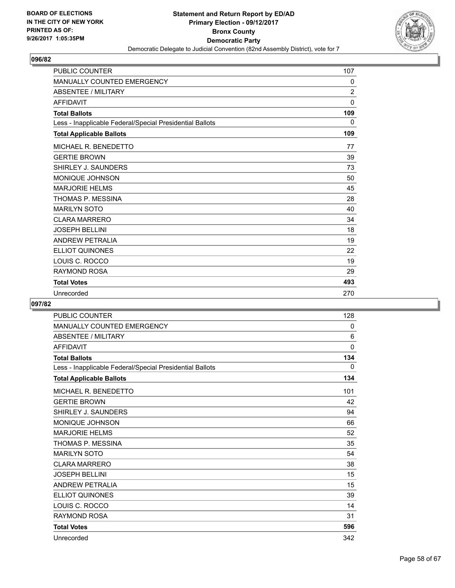

| <b>PUBLIC COUNTER</b>                                    | 107            |
|----------------------------------------------------------|----------------|
| <b>MANUALLY COUNTED EMERGENCY</b>                        | 0              |
| <b>ABSENTEE / MILITARY</b>                               | $\overline{2}$ |
| <b>AFFIDAVIT</b>                                         | $\mathbf{0}$   |
| <b>Total Ballots</b>                                     | 109            |
| Less - Inapplicable Federal/Special Presidential Ballots | 0              |
| <b>Total Applicable Ballots</b>                          | 109            |
| MICHAEL R. BENEDETTO                                     | 77             |
| <b>GERTIE BROWN</b>                                      | 39             |
| SHIRLEY J. SAUNDERS                                      | 73             |
| MONIQUE JOHNSON                                          | 50             |
| <b>MARJORIE HELMS</b>                                    | 45             |
| THOMAS P. MESSINA                                        | 28             |
| <b>MARILYN SOTO</b>                                      | 40             |
| <b>CLARA MARRERO</b>                                     | 34             |
| <b>JOSEPH BELLINI</b>                                    | 18             |
| <b>ANDREW PETRALIA</b>                                   | 19             |
| <b>ELLIOT QUINONES</b>                                   | 22             |
| LOUIS C. ROCCO                                           | 19             |
| RAYMOND ROSA                                             | 29             |
| <b>Total Votes</b>                                       | 493            |
| Unrecorded                                               | 270            |

| <b>PUBLIC COUNTER</b>                                    | 128         |
|----------------------------------------------------------|-------------|
| <b>MANUALLY COUNTED EMERGENCY</b>                        | 0           |
| <b>ABSENTEE / MILITARY</b>                               | 6           |
| <b>AFFIDAVIT</b>                                         | $\mathbf 0$ |
| <b>Total Ballots</b>                                     | 134         |
| Less - Inapplicable Federal/Special Presidential Ballots | 0           |
| <b>Total Applicable Ballots</b>                          | 134         |
| MICHAEL R. BENEDETTO                                     | 101         |
| <b>GERTIE BROWN</b>                                      | 42          |
| SHIRLEY J. SAUNDERS                                      | 94          |
| MONIQUE JOHNSON                                          | 66          |
| <b>MARJORIE HELMS</b>                                    | 52          |
| THOMAS P. MESSINA                                        | 35          |
| <b>MARILYN SOTO</b>                                      | 54          |
| <b>CLARA MARRERO</b>                                     | 38          |
| <b>JOSEPH BELLINI</b>                                    | 15          |
| <b>ANDREW PETRALIA</b>                                   | 15          |
| <b>ELLIOT QUINONES</b>                                   | 39          |
| LOUIS C. ROCCO                                           | 14          |
| <b>RAYMOND ROSA</b>                                      | 31          |
| <b>Total Votes</b>                                       | 596         |
| Unrecorded                                               | 342         |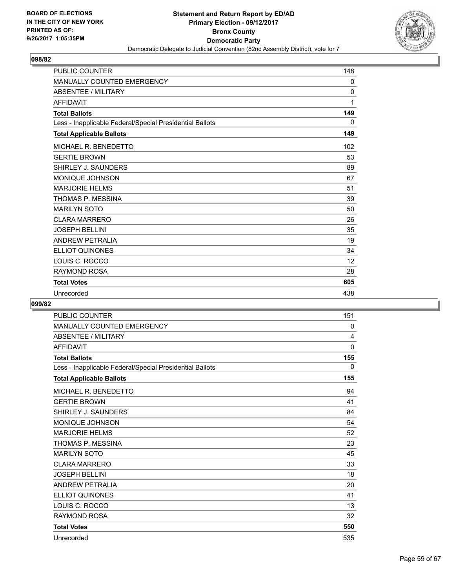

| <b>PUBLIC COUNTER</b>                                    | 148          |
|----------------------------------------------------------|--------------|
| <b>MANUALLY COUNTED EMERGENCY</b>                        | 0            |
| <b>ABSENTEE / MILITARY</b>                               | $\mathbf{0}$ |
| <b>AFFIDAVIT</b>                                         | 1            |
| <b>Total Ballots</b>                                     | 149          |
| Less - Inapplicable Federal/Special Presidential Ballots | 0            |
| <b>Total Applicable Ballots</b>                          | 149          |
| MICHAEL R. BENEDETTO                                     | 102          |
| <b>GERTIE BROWN</b>                                      | 53           |
| SHIRLEY J. SAUNDERS                                      | 89           |
| <b>MONIQUE JOHNSON</b>                                   | 67           |
| <b>MARJORIE HELMS</b>                                    | 51           |
| THOMAS P. MESSINA                                        | 39           |
| <b>MARILYN SOTO</b>                                      | 50           |
| <b>CLARA MARRERO</b>                                     | 26           |
| <b>JOSEPH BELLINI</b>                                    | 35           |
| <b>ANDREW PETRALIA</b>                                   | 19           |
| <b>ELLIOT QUINONES</b>                                   | 34           |
| LOUIS C. ROCCO                                           | 12           |
| RAYMOND ROSA                                             | 28           |
| <b>Total Votes</b>                                       | 605          |
| Unrecorded                                               | 438          |

| <b>PUBLIC COUNTER</b>                                    | 151         |
|----------------------------------------------------------|-------------|
| <b>MANUALLY COUNTED EMERGENCY</b>                        | 0           |
| <b>ABSENTEE / MILITARY</b>                               | 4           |
| <b>AFFIDAVIT</b>                                         | $\mathbf 0$ |
| <b>Total Ballots</b>                                     | 155         |
| Less - Inapplicable Federal/Special Presidential Ballots | 0           |
| <b>Total Applicable Ballots</b>                          | 155         |
| MICHAEL R. BENEDETTO                                     | 94          |
| <b>GERTIE BROWN</b>                                      | 41          |
| SHIRLEY J. SAUNDERS                                      | 84          |
| MONIQUE JOHNSON                                          | 54          |
| <b>MARJORIE HELMS</b>                                    | 52          |
| THOMAS P. MESSINA                                        | 23          |
| <b>MARILYN SOTO</b>                                      | 45          |
| <b>CLARA MARRERO</b>                                     | 33          |
| <b>JOSEPH BELLINI</b>                                    | 18          |
| <b>ANDREW PETRALIA</b>                                   | 20          |
| <b>ELLIOT QUINONES</b>                                   | 41          |
| LOUIS C. ROCCO                                           | 13          |
| <b>RAYMOND ROSA</b>                                      | 32          |
| <b>Total Votes</b>                                       | 550         |
| Unrecorded                                               | 535         |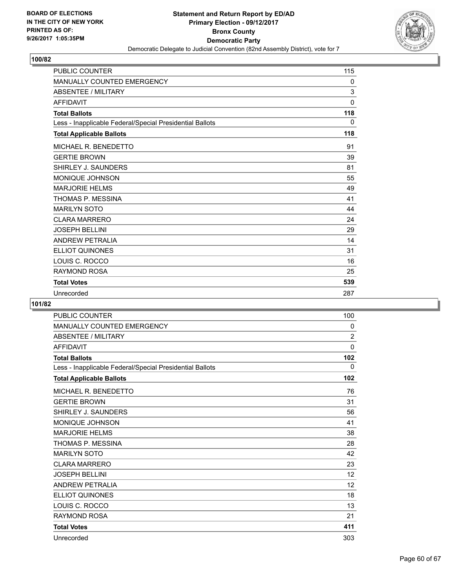

| <b>PUBLIC COUNTER</b>                                    | 115 |
|----------------------------------------------------------|-----|
| <b>MANUALLY COUNTED EMERGENCY</b>                        | 0   |
| <b>ABSENTEE / MILITARY</b>                               | 3   |
| <b>AFFIDAVIT</b>                                         | 0   |
| <b>Total Ballots</b>                                     | 118 |
| Less - Inapplicable Federal/Special Presidential Ballots | 0   |
| <b>Total Applicable Ballots</b>                          | 118 |
| MICHAEL R. BENEDETTO                                     | 91  |
| <b>GERTIE BROWN</b>                                      | 39  |
| SHIRLEY J. SAUNDERS                                      | 81  |
| <b>MONIQUE JOHNSON</b>                                   | 55  |
| <b>MARJORIE HELMS</b>                                    | 49  |
| THOMAS P. MESSINA                                        | 41  |
| <b>MARILYN SOTO</b>                                      | 44  |
| <b>CLARA MARRERO</b>                                     | 24  |
| <b>JOSEPH BELLINI</b>                                    | 29  |
| <b>ANDREW PETRALIA</b>                                   | 14  |
| <b>ELLIOT QUINONES</b>                                   | 31  |
| LOUIS C. ROCCO                                           | 16  |
| <b>RAYMOND ROSA</b>                                      | 25  |
| <b>Total Votes</b>                                       | 539 |
| Unrecorded                                               | 287 |

| <b>PUBLIC COUNTER</b>                                    | 100         |
|----------------------------------------------------------|-------------|
| <b>MANUALLY COUNTED EMERGENCY</b>                        | 0           |
| <b>ABSENTEE / MILITARY</b>                               | 2           |
| <b>AFFIDAVIT</b>                                         | $\mathbf 0$ |
| <b>Total Ballots</b>                                     | 102         |
| Less - Inapplicable Federal/Special Presidential Ballots | 0           |
| <b>Total Applicable Ballots</b>                          | 102         |
| MICHAEL R. BENEDETTO                                     | 76          |
| <b>GERTIE BROWN</b>                                      | 31          |
| SHIRLEY J. SAUNDERS                                      | 56          |
| MONIQUE JOHNSON                                          | 41          |
| <b>MARJORIE HELMS</b>                                    | 38          |
| THOMAS P. MESSINA                                        | 28          |
| <b>MARILYN SOTO</b>                                      | 42          |
| <b>CLARA MARRERO</b>                                     | 23          |
| <b>JOSEPH BELLINI</b>                                    | 12          |
| <b>ANDREW PETRALIA</b>                                   | 12          |
| <b>ELLIOT QUINONES</b>                                   | 18          |
| LOUIS C. ROCCO                                           | 13          |
| <b>RAYMOND ROSA</b>                                      | 21          |
| <b>Total Votes</b>                                       | 411         |
| Unrecorded                                               | 303         |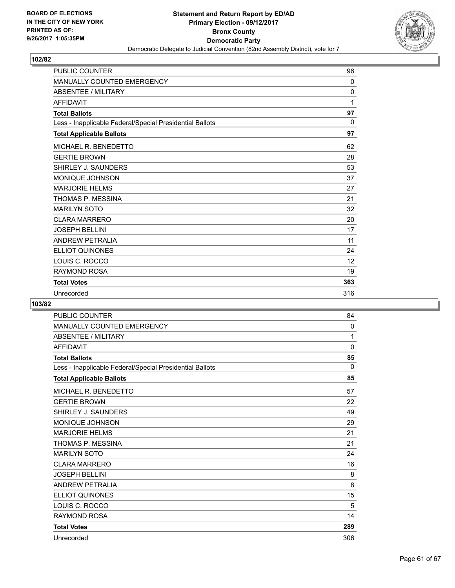

| <b>PUBLIC COUNTER</b>                                    | 96           |
|----------------------------------------------------------|--------------|
| <b>MANUALLY COUNTED EMERGENCY</b>                        | $\mathbf{0}$ |
| <b>ABSENTEE / MILITARY</b>                               | $\mathbf{0}$ |
| <b>AFFIDAVIT</b>                                         | 1            |
| <b>Total Ballots</b>                                     | 97           |
| Less - Inapplicable Federal/Special Presidential Ballots | $\mathbf{0}$ |
| <b>Total Applicable Ballots</b>                          | 97           |
| MICHAEL R. BENEDETTO                                     | 62           |
| <b>GERTIE BROWN</b>                                      | 28           |
| SHIRLEY J. SAUNDERS                                      | 53           |
| MONIQUE JOHNSON                                          | 37           |
| <b>MARJORIE HELMS</b>                                    | 27           |
| THOMAS P. MESSINA                                        | 21           |
| <b>MARILYN SOTO</b>                                      | 32           |
| <b>CLARA MARRERO</b>                                     | 20           |
| <b>JOSEPH BELLINI</b>                                    | 17           |
| <b>ANDREW PETRALIA</b>                                   | 11           |
| ELLIOT QUINONES                                          | 24           |
| LOUIS C. ROCCO                                           | 12           |
| <b>RAYMOND ROSA</b>                                      | 19           |
| <b>Total Votes</b>                                       | 363          |
| Unrecorded                                               | 316          |

| <b>PUBLIC COUNTER</b>                                    | 84           |
|----------------------------------------------------------|--------------|
| <b>MANUALLY COUNTED EMERGENCY</b>                        | $\mathbf{0}$ |
| <b>ABSENTEE / MILITARY</b>                               | 1            |
| <b>AFFIDAVIT</b>                                         | 0            |
| <b>Total Ballots</b>                                     | 85           |
| Less - Inapplicable Federal/Special Presidential Ballots | $\Omega$     |
| <b>Total Applicable Ballots</b>                          | 85           |
| MICHAEL R. BENEDETTO                                     | 57           |
| <b>GERTIE BROWN</b>                                      | 22           |
| SHIRLEY J. SAUNDERS                                      | 49           |
| <b>MONIQUE JOHNSON</b>                                   | 29           |
| <b>MARJORIE HELMS</b>                                    | 21           |
| THOMAS P. MESSINA                                        | 21           |
| <b>MARILYN SOTO</b>                                      | 24           |
| <b>CLARA MARRERO</b>                                     | 16           |
| <b>JOSEPH BELLINI</b>                                    | 8            |
| <b>ANDREW PETRALIA</b>                                   | 8            |
| <b>ELLIOT QUINONES</b>                                   | 15           |
| LOUIS C. ROCCO                                           | 5            |
| <b>RAYMOND ROSA</b>                                      | 14           |
| <b>Total Votes</b>                                       | 289          |
| Unrecorded                                               | 306          |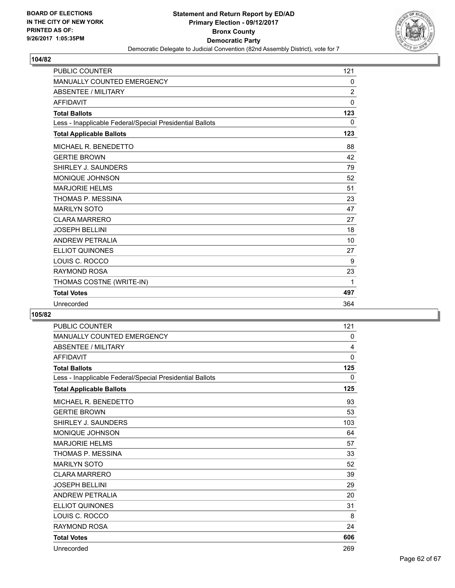

| <b>PUBLIC COUNTER</b>                                    | 121            |
|----------------------------------------------------------|----------------|
| <b>MANUALLY COUNTED EMERGENCY</b>                        | 0              |
| <b>ABSENTEE / MILITARY</b>                               | $\overline{2}$ |
| <b>AFFIDAVIT</b>                                         | 0              |
| <b>Total Ballots</b>                                     | 123            |
| Less - Inapplicable Federal/Special Presidential Ballots | 0              |
| <b>Total Applicable Ballots</b>                          | 123            |
| MICHAEL R. BENEDETTO                                     | 88             |
| <b>GERTIE BROWN</b>                                      | 42             |
| SHIRLEY J. SAUNDERS                                      | 79             |
| <b>MONIQUE JOHNSON</b>                                   | 52             |
| <b>MARJORIE HELMS</b>                                    | 51             |
| THOMAS P. MESSINA                                        | 23             |
| <b>MARILYN SOTO</b>                                      | 47             |
| <b>CLARA MARRERO</b>                                     | 27             |
| <b>JOSEPH BELLINI</b>                                    | 18             |
| <b>ANDREW PETRALIA</b>                                   | 10             |
| <b>ELLIOT QUINONES</b>                                   | 27             |
| LOUIS C. ROCCO                                           | 9              |
| <b>RAYMOND ROSA</b>                                      | 23             |
| THOMAS COSTNE (WRITE-IN)                                 | 1              |
| <b>Total Votes</b>                                       | 497            |
| Unrecorded                                               | 364            |

| <b>PUBLIC COUNTER</b>                                    | 121          |
|----------------------------------------------------------|--------------|
| <b>MANUALLY COUNTED EMERGENCY</b>                        | 0            |
| <b>ABSENTEE / MILITARY</b>                               | 4            |
| <b>AFFIDAVIT</b>                                         | $\mathbf{0}$ |
| <b>Total Ballots</b>                                     | 125          |
| Less - Inapplicable Federal/Special Presidential Ballots | 0            |
| <b>Total Applicable Ballots</b>                          | 125          |
| MICHAEL R. BENEDETTO                                     | 93           |
| <b>GERTIE BROWN</b>                                      | 53           |
| SHIRLEY J. SAUNDERS                                      | 103          |
| <b>MONIQUE JOHNSON</b>                                   | 64           |
| <b>MARJORIE HELMS</b>                                    | 57           |
| THOMAS P. MESSINA                                        | 33           |
| <b>MARILYN SOTO</b>                                      | 52           |
| <b>CLARA MARRERO</b>                                     | 39           |
| <b>JOSEPH BELLINI</b>                                    | 29           |
| <b>ANDREW PETRALIA</b>                                   | 20           |
| <b>ELLIOT QUINONES</b>                                   | 31           |
| LOUIS C. ROCCO                                           | 8            |
| <b>RAYMOND ROSA</b>                                      | 24           |
| <b>Total Votes</b>                                       | 606          |
| Unrecorded                                               | 269          |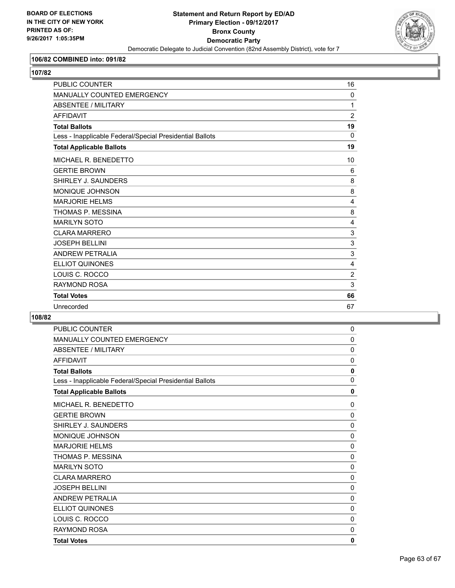

## **106/82 COMBINED into: 091/82**

**107/82** 

| <b>PUBLIC COUNTER</b>                                    | 16             |
|----------------------------------------------------------|----------------|
| <b>MANUALLY COUNTED EMERGENCY</b>                        | $\Omega$       |
| <b>ABSENTEE / MILITARY</b>                               | 1              |
| <b>AFFIDAVIT</b>                                         | $\overline{2}$ |
| <b>Total Ballots</b>                                     | 19             |
| Less - Inapplicable Federal/Special Presidential Ballots | $\mathbf 0$    |
| <b>Total Applicable Ballots</b>                          | 19             |
| MICHAEL R. BENEDETTO                                     | 10             |
| <b>GERTIE BROWN</b>                                      | 6              |
| SHIRLEY J. SAUNDERS                                      | 8              |
| <b>MONIQUE JOHNSON</b>                                   | 8              |
| <b>MARJORIE HELMS</b>                                    | 4              |
| THOMAS P. MESSINA                                        | 8              |
| <b>MARILYN SOTO</b>                                      | 4              |
| <b>CLARA MARRERO</b>                                     | 3              |
| <b>JOSEPH BELLINI</b>                                    | 3              |
| <b>ANDREW PETRALIA</b>                                   | 3              |
| <b>ELLIOT QUINONES</b>                                   | 4              |
| LOUIS C. ROCCO                                           | $\overline{2}$ |
| <b>RAYMOND ROSA</b>                                      | 3              |
| <b>Total Votes</b>                                       | 66             |
| Unrecorded                                               | 67             |

| PUBLIC COUNTER                                           | 0            |
|----------------------------------------------------------|--------------|
| <b>MANUALLY COUNTED EMERGENCY</b>                        | $\Omega$     |
| <b>ABSENTEE / MILITARY</b>                               | $\mathbf 0$  |
| <b>AFFIDAVIT</b>                                         | $\Omega$     |
| <b>Total Ballots</b>                                     | 0            |
| Less - Inapplicable Federal/Special Presidential Ballots | 0            |
| <b>Total Applicable Ballots</b>                          | 0            |
| MICHAEL R. BENEDETTO                                     | $\Omega$     |
| <b>GERTIE BROWN</b>                                      | $\Omega$     |
| SHIRLEY J. SAUNDERS                                      | $\Omega$     |
| MONIQUE JOHNSON                                          | $\Omega$     |
| <b>MARJORIE HELMS</b>                                    | $\Omega$     |
| THOMAS P. MESSINA                                        | 0            |
| <b>MARILYN SOTO</b>                                      | 0            |
| <b>CLARA MARRERO</b>                                     | 0            |
| <b>JOSEPH BELLINI</b>                                    | $\mathbf{0}$ |
| <b>ANDREW PETRALIA</b>                                   | 0            |
| <b>ELLIOT QUINONES</b>                                   | $\mathbf{0}$ |
| LOUIS C. ROCCO                                           | $\Omega$     |
| <b>RAYMOND ROSA</b>                                      | $\mathbf{0}$ |
| <b>Total Votes</b>                                       | 0            |
|                                                          |              |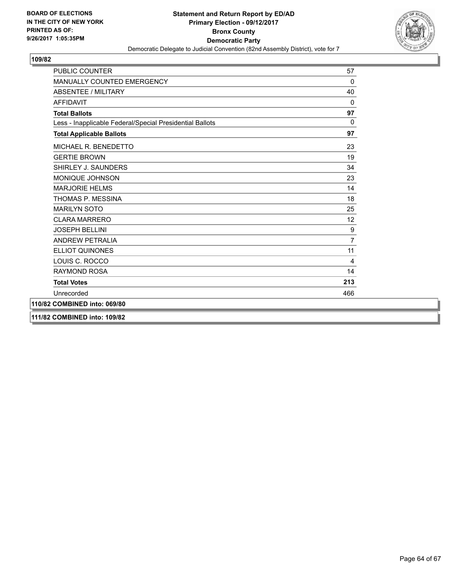

| <b>PUBLIC COUNTER</b>                                    | 57                |
|----------------------------------------------------------|-------------------|
| MANUALLY COUNTED EMERGENCY                               | 0                 |
| <b>ABSENTEE / MILITARY</b>                               | 40                |
| <b>AFFIDAVIT</b>                                         | 0                 |
| <b>Total Ballots</b>                                     | 97                |
| Less - Inapplicable Federal/Special Presidential Ballots | $\mathbf{0}$      |
| <b>Total Applicable Ballots</b>                          | 97                |
| MICHAEL R. BENEDETTO                                     | 23                |
| <b>GERTIE BROWN</b>                                      | 19                |
| SHIRLEY J. SAUNDERS                                      | 34                |
| MONIQUE JOHNSON                                          | 23                |
| <b>MARJORIE HELMS</b>                                    | 14                |
| THOMAS P. MESSINA                                        | 18                |
| <b>MARILYN SOTO</b>                                      | 25                |
| <b>CLARA MARRERO</b>                                     | $12 \overline{ }$ |
| <b>JOSEPH BELLINI</b>                                    | 9                 |
| <b>ANDREW PETRALIA</b>                                   | $\overline{7}$    |
| <b>ELLIOT QUINONES</b>                                   | 11                |
| LOUIS C. ROCCO                                           | 4                 |
| <b>RAYMOND ROSA</b>                                      | 14                |
| <b>Total Votes</b>                                       | 213               |
| Unrecorded                                               | 466               |
| 110/82 COMBINED into: 069/80                             |                   |
| 111/82 COMBINED into: 109/82                             |                   |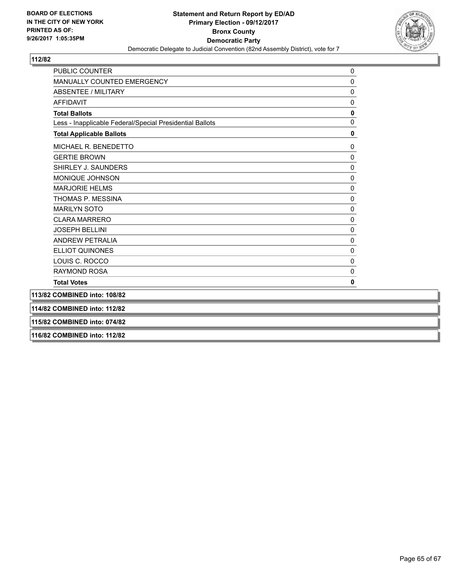

| <b>PUBLIC COUNTER</b>                                    | 0            |
|----------------------------------------------------------|--------------|
| MANUALLY COUNTED EMERGENCY                               | 0            |
| <b>ABSENTEE / MILITARY</b>                               | 0            |
| <b>AFFIDAVIT</b>                                         | $\pmb{0}$    |
| <b>Total Ballots</b>                                     | 0            |
| Less - Inapplicable Federal/Special Presidential Ballots | $\Omega$     |
| <b>Total Applicable Ballots</b>                          | 0            |
| MICHAEL R. BENEDETTO                                     | 0            |
| <b>GERTIE BROWN</b>                                      | $\mathbf 0$  |
| SHIRLEY J. SAUNDERS                                      | $\mathbf 0$  |
| MONIQUE JOHNSON                                          | $\mathbf 0$  |
| <b>MARJORIE HELMS</b>                                    | $\mathbf 0$  |
| THOMAS P. MESSINA                                        | $\mathbf 0$  |
| <b>MARILYN SOTO</b>                                      | $\mathbf 0$  |
| <b>CLARA MARRERO</b>                                     | $\pmb{0}$    |
| <b>JOSEPH BELLINI</b>                                    | $\mathbf 0$  |
| <b>ANDREW PETRALIA</b>                                   | $\mathbf 0$  |
| <b>ELLIOT QUINONES</b>                                   | $\mathbf{0}$ |
| LOUIS C. ROCCO                                           | $\mathbf{0}$ |
| RAYMOND ROSA                                             | 0            |
| <b>Total Votes</b>                                       | 0            |
| 113/82 COMBINED into: 108/82                             |              |
| 114/82 COMBINED into: 112/82                             |              |
| 115/82 COMBINED into: 074/82                             |              |
| 116/82 COMBINED into: 112/82                             |              |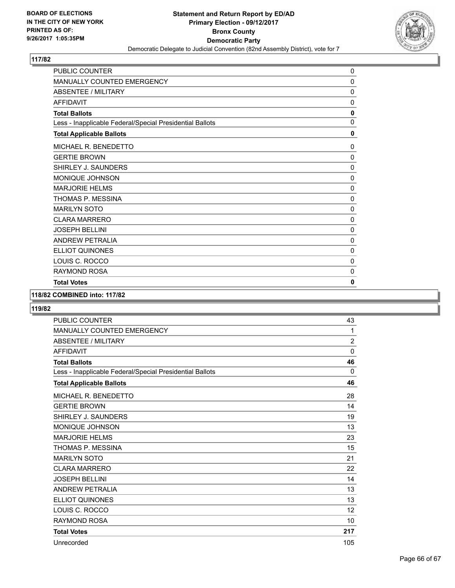

| PUBLIC COUNTER                                           | 0            |
|----------------------------------------------------------|--------------|
| <b>MANUALLY COUNTED EMERGENCY</b>                        | $\mathbf{0}$ |
| <b>ABSENTEE / MILITARY</b>                               | 0            |
| <b>AFFIDAVIT</b>                                         | $\mathbf{0}$ |
| <b>Total Ballots</b>                                     | $\mathbf{0}$ |
| Less - Inapplicable Federal/Special Presidential Ballots | 0            |
| <b>Total Applicable Ballots</b>                          | 0            |
| <b>MICHAEL R. BENEDETTO</b>                              | 0            |
| <b>GERTIE BROWN</b>                                      | $\mathbf 0$  |
| SHIRLEY J. SAUNDERS                                      | $\mathbf{0}$ |
| MONIQUE JOHNSON                                          | 0            |
| <b>MARJORIE HELMS</b>                                    | $\mathbf{0}$ |
| THOMAS P. MESSINA                                        | $\Omega$     |
| <b>MARILYN SOTO</b>                                      | 0            |
| <b>CLARA MARRERO</b>                                     | 0            |
| <b>JOSEPH BELLINI</b>                                    | 0            |
| <b>ANDREW PETRALIA</b>                                   | 0            |
| <b>ELLIOT QUINONES</b>                                   | 0            |
| LOUIS C. ROCCO                                           | 0            |
| <b>RAYMOND ROSA</b>                                      | $\mathbf{0}$ |
| <b>Total Votes</b>                                       | 0            |

## **118/82 COMBINED into: 117/82**

| <b>PUBLIC COUNTER</b>                                    | 43             |
|----------------------------------------------------------|----------------|
| <b>MANUALLY COUNTED EMERGENCY</b>                        | 1              |
| ABSENTEE / MILITARY                                      | $\overline{2}$ |
| <b>AFFIDAVIT</b>                                         | 0              |
| <b>Total Ballots</b>                                     | 46             |
| Less - Inapplicable Federal/Special Presidential Ballots | $\Omega$       |
| <b>Total Applicable Ballots</b>                          | 46             |
| MICHAEL R. BENEDETTO                                     | 28             |
| <b>GERTIE BROWN</b>                                      | 14             |
| SHIRLEY J. SAUNDERS                                      | 19             |
| MONIQUE JOHNSON                                          | 13             |
| <b>MARJORIE HELMS</b>                                    | 23             |
| THOMAS P. MESSINA                                        | 15             |
| <b>MARILYN SOTO</b>                                      | 21             |
| <b>CLARA MARRERO</b>                                     | 22             |
| <b>JOSEPH BELLINI</b>                                    | 14             |
| <b>ANDREW PETRALIA</b>                                   | 13             |
| <b>ELLIOT QUINONES</b>                                   | 13             |
| LOUIS C. ROCCO                                           | 12             |
| <b>RAYMOND ROSA</b>                                      | 10             |
| <b>Total Votes</b>                                       | 217            |
| Unrecorded                                               | 105            |